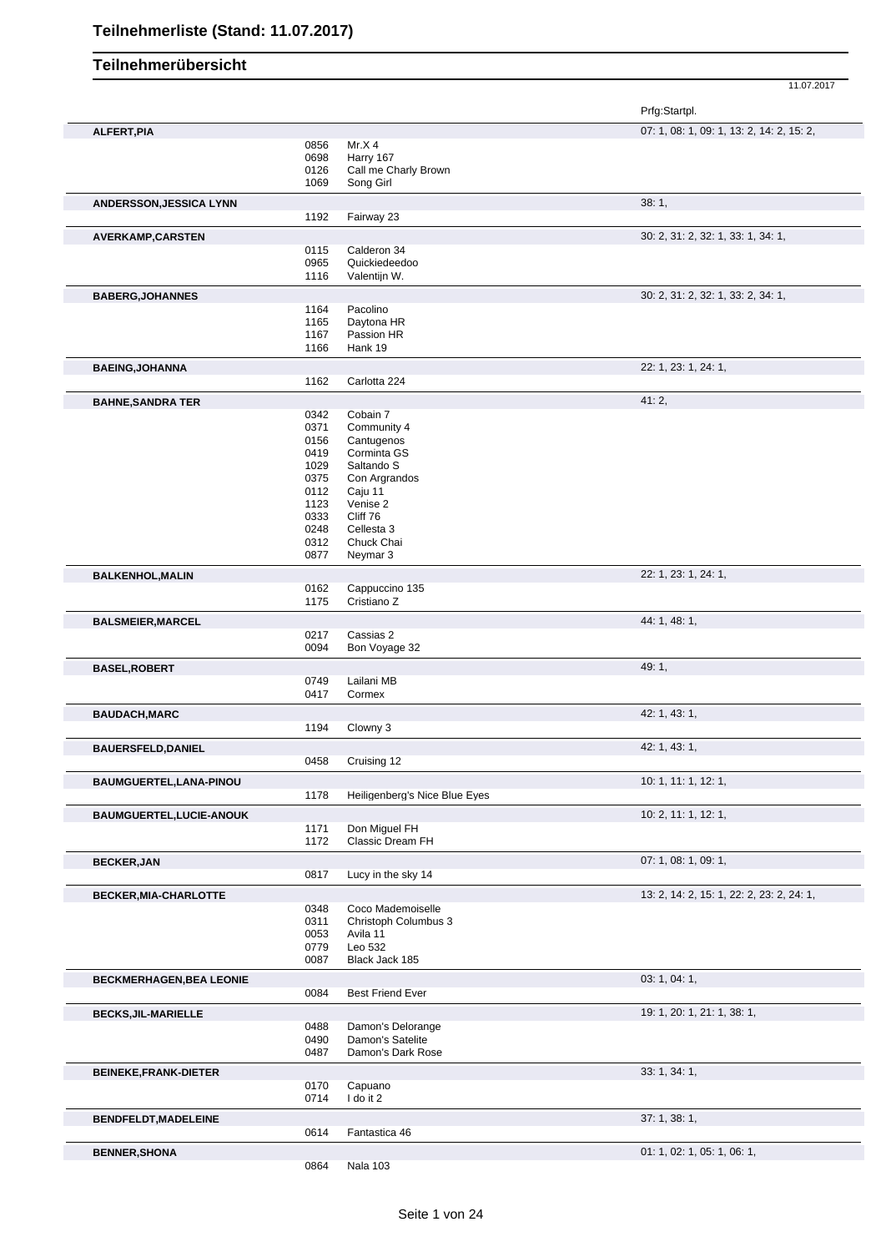| 11.07.2017                                          |
|-----------------------------------------------------|
| Prfg:Startpl.                                       |
| 07: 1, 08: 1, 09: 1, 13: 2, 14: 2, 15: 2,           |
|                                                     |
| Mr. $\times$ 4<br>Harry 167<br>Call me Charly Brown |

|                                 | 0126         | Call me Charly Brown                  |                                           |
|---------------------------------|--------------|---------------------------------------|-------------------------------------------|
|                                 | 1069         | Song Girl                             |                                           |
| <b>ANDERSSON, JESSICA LYNN</b>  |              |                                       | 38:1,                                     |
|                                 | 1192         | Fairway 23                            |                                           |
| AVERKAMP, CARSTEN               |              |                                       | 30: 2, 31: 2, 32: 1, 33: 1, 34: 1,        |
|                                 | 0115         | Calderon 34                           |                                           |
|                                 | 0965         | Quickiedeedoo                         |                                           |
|                                 | 1116         | Valentijn W.                          |                                           |
|                                 |              |                                       | 30: 2, 31: 2, 32: 1, 33: 2, 34: 1,        |
| <b>BABERG, JOHANNES</b>         | 1164         | Pacolino                              |                                           |
|                                 | 1165         | Daytona HR                            |                                           |
|                                 | 1167         | Passion HR                            |                                           |
|                                 | 1166         | Hank 19                               |                                           |
|                                 |              |                                       |                                           |
| <b>BAEING, JOHANNA</b>          |              |                                       | 22: 1, 23: 1, 24: 1,                      |
|                                 | 1162         | Carlotta 224                          |                                           |
| <b>BAHNE, SANDRA TER</b>        |              |                                       | 41:2,                                     |
|                                 | 0342         | Cobain 7                              |                                           |
|                                 | 0371         | Community 4                           |                                           |
|                                 | 0156         | Cantugenos                            |                                           |
|                                 | 0419         | Corminta GS                           |                                           |
|                                 | 1029         | Saltando S                            |                                           |
|                                 | 0375         | Con Argrandos                         |                                           |
|                                 | 0112         | Caju 11<br>Venise 2                   |                                           |
|                                 | 1123<br>0333 | Cliff 76                              |                                           |
|                                 | 0248         | Cellesta 3                            |                                           |
|                                 | 0312         | Chuck Chai                            |                                           |
|                                 | 0877         | Neymar <sub>3</sub>                   |                                           |
|                                 |              |                                       |                                           |
| <b>BALKENHOL, MALIN</b>         |              |                                       | 22: 1, 23: 1, 24: 1,                      |
|                                 | 0162<br>1175 | Cappuccino 135<br>Cristiano Z         |                                           |
|                                 |              |                                       |                                           |
| <b>BALSMEIER, MARCEL</b>        |              |                                       | 44: 1, 48: 1,                             |
|                                 | 0217         | Cassias 2                             |                                           |
|                                 | 0094         | Bon Voyage 32                         |                                           |
| <b>BASEL, ROBERT</b>            |              |                                       | 49:1,                                     |
|                                 | 0749         | Lailani MB                            |                                           |
|                                 | 0417         | Cormex                                |                                           |
| <b>BAUDACH, MARC</b>            |              |                                       | 42: 1, 43: 1,                             |
|                                 | 1194         | Clowny 3                              |                                           |
|                                 |              |                                       |                                           |
| <b>BAUERSFELD, DANIEL</b>       |              |                                       | 42: 1, 43: 1,                             |
|                                 | 0458         | Cruising 12                           |                                           |
| BAUMGUERTEL, LANA-PINOU         |              |                                       | 10: 1, 11: 1, 12: 1,                      |
|                                 | 1178         | Heiligenberg's Nice Blue Eyes         |                                           |
| <b>BAUMGUERTEL,LUCIE-ANOUK</b>  |              |                                       | 10: 2, 11: 1, 12: 1,                      |
|                                 | 1171         | Don Miguel FH                         |                                           |
|                                 | 1172         | Classic Dream FH                      |                                           |
|                                 |              |                                       |                                           |
| <b>BECKER, JAN</b>              |              |                                       | 07: 1, 08: 1, 09: 1,                      |
|                                 | 0817         | Lucy in the sky 14                    |                                           |
| BECKER, MIA-CHARLOTTE           |              |                                       | 13: 2, 14: 2, 15: 1, 22: 2, 23: 2, 24: 1, |
|                                 | 0348         | Coco Mademoiselle                     |                                           |
|                                 | 0311         | Christoph Columbus 3                  |                                           |
|                                 | 0053         | Avila 11                              |                                           |
|                                 | 0779         | Leo 532                               |                                           |
|                                 | 0087         | Black Jack 185                        |                                           |
| <b>BECKMERHAGEN, BEA LEONIE</b> |              |                                       | 03: 1, 04: 1,                             |
|                                 | 0084         | <b>Best Friend Ever</b>               |                                           |
|                                 |              |                                       |                                           |
| <b>BECKS, JIL-MARIELLE</b>      |              |                                       | 19: 1, 20: 1, 21: 1, 38: 1,               |
|                                 | 0488<br>0490 | Damon's Delorange<br>Damon's Satelite |                                           |
|                                 | 0487         | Damon's Dark Rose                     |                                           |
|                                 |              |                                       |                                           |
| <b>BEINEKE, FRANK-DIETER</b>    |              |                                       | 33: 1, 34: 1,                             |
|                                 | 0170         | Capuano                               |                                           |
|                                 | 0714         | I do it 2                             |                                           |
| <b>BENDFELDT, MADELEINE</b>     |              |                                       | 37: 1, 38: 1,                             |
|                                 | 0614         | Fantastica 46                         |                                           |
|                                 |              |                                       |                                           |
| <b>BENNER, SHONA</b>            |              |                                       | 01: 1, 02: 1, 05: 1, 06: 1,               |
|                                 | 0864         | Nala 103                              |                                           |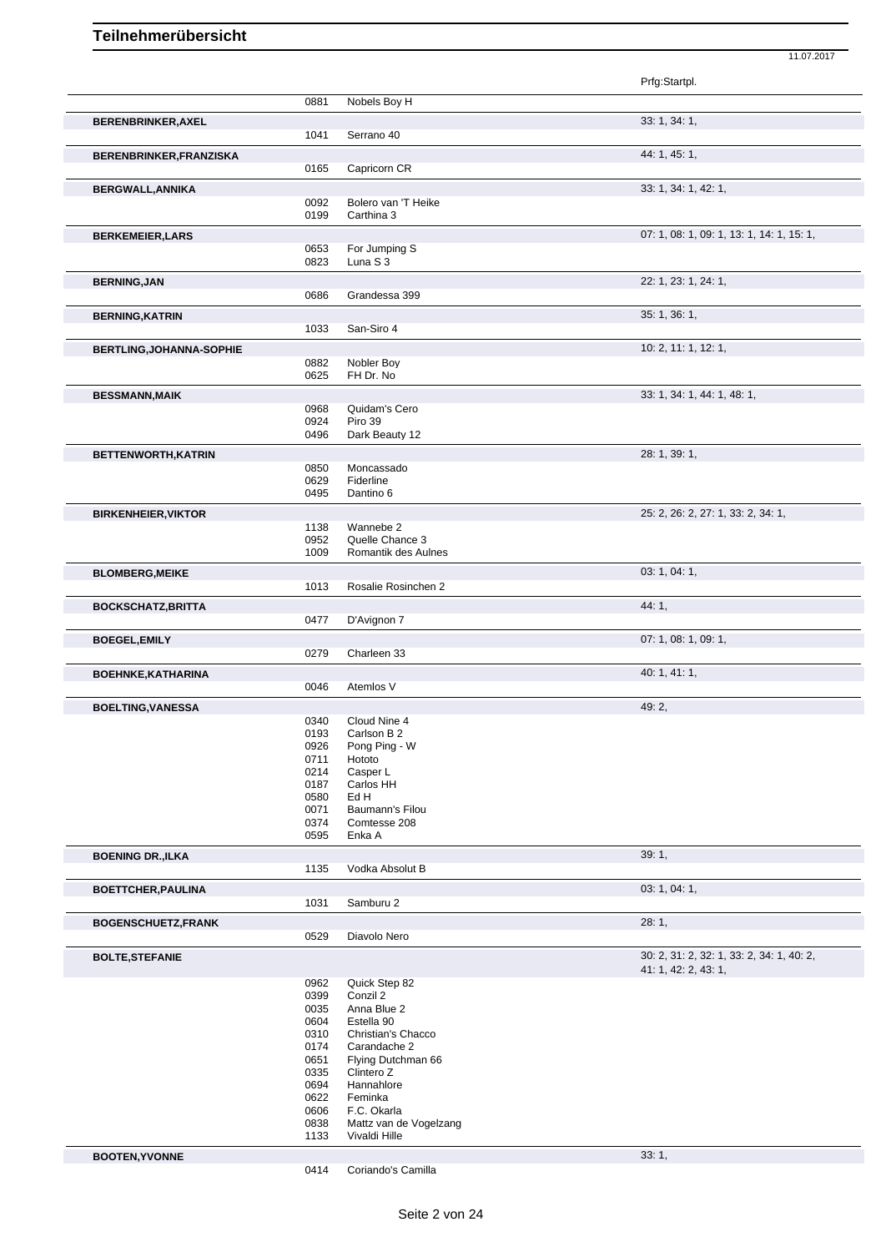|                                 |              |                                 | Prfg:Startpl.                             |
|---------------------------------|--------------|---------------------------------|-------------------------------------------|
|                                 | 0881         | Nobels Boy H                    |                                           |
| BERENBRINKER, AXEL              |              |                                 | 33: 1, 34: 1,                             |
|                                 | 1041         | Serrano 40                      |                                           |
| BERENBRINKER, FRANZISKA         |              |                                 | 44: 1, 45: 1,                             |
|                                 | 0165         | Capricorn CR                    |                                           |
| <b>BERGWALL, ANNIKA</b>         |              |                                 | 33: 1, 34: 1, 42: 1,                      |
|                                 | 0092         | Bolero van 'T Heike             |                                           |
|                                 | 0199         | Carthina 3                      |                                           |
| <b>BERKEMEIER, LARS</b>         |              |                                 | 07: 1, 08: 1, 09: 1, 13: 1, 14: 1, 15: 1, |
|                                 | 0653         | For Jumping S                   |                                           |
|                                 | 0823         | Luna S 3                        |                                           |
| <b>BERNING, JAN</b>             |              |                                 | 22: 1, 23: 1, 24: 1,                      |
|                                 | 0686         | Grandessa 399                   |                                           |
| <b>BERNING, KATRIN</b>          |              |                                 | 35: 1, 36: 1,                             |
|                                 | 1033         | San-Siro 4                      |                                           |
| <b>BERTLING, JOHANNA-SOPHIE</b> |              |                                 | 10: 2, 11: 1, 12: 1,                      |
|                                 | 0882         | Nobler Boy                      |                                           |
|                                 | 0625         | FH Dr. No                       |                                           |
| <b>BESSMANN, MAIK</b>           |              |                                 | 33: 1, 34: 1, 44: 1, 48: 1,               |
|                                 | 0968         | Quidam's Cero                   |                                           |
|                                 | 0924<br>0496 | Piro 39<br>Dark Beauty 12       |                                           |
|                                 |              |                                 | 28: 1, 39: 1,                             |
| BETTENWORTH, KATRIN             | 0850         | Moncassado                      |                                           |
|                                 | 0629         | Fiderline                       |                                           |
|                                 | 0495         | Dantino 6                       |                                           |
| <b>BIRKENHEIER, VIKTOR</b>      |              |                                 | 25: 2, 26: 2, 27: 1, 33: 2, 34: 1,        |
|                                 | 1138         | Wannebe 2                       |                                           |
|                                 | 0952         | Quelle Chance 3                 |                                           |
|                                 | 1009         | Romantik des Aulnes             |                                           |
| <b>BLOMBERG, MEIKE</b>          |              |                                 | 03: 1, 04: 1,                             |
|                                 | 1013         | Rosalie Rosinchen 2             |                                           |
| <b>BOCKSCHATZ, BRITTA</b>       |              |                                 | 44: 1,                                    |
|                                 | 0477         | D'Avignon 7                     |                                           |
| <b>BOEGEL, EMILY</b>            |              |                                 | 07: 1, 08: 1, 09: 1,                      |
|                                 | 0279         | Charleen 33                     |                                           |
| BOEHNKE, KATHARINA              |              |                                 | 40: 1, 41: 1,                             |
|                                 | 0046         | Atemlos V                       |                                           |
| <b>BOELTING, VANESSA</b>        |              |                                 | 49: 2,                                    |
|                                 | 0340         | Cloud Nine 4                    |                                           |
|                                 | 0193<br>0926 | Carlson B 2<br>Pong Ping - W    |                                           |
|                                 | 0711         | Hototo                          |                                           |
|                                 | 0214         | Casper L                        |                                           |
|                                 | 0187         | Carlos HH                       |                                           |
|                                 | 0580         | Ed H                            |                                           |
|                                 | 0071<br>0374 | Baumann's Filou<br>Comtesse 208 |                                           |
|                                 | 0595         | Enka A                          |                                           |
| <b>BOENING DR., ILKA</b>        |              |                                 | 39:1,                                     |
|                                 | 1135         | Vodka Absolut B                 |                                           |
| <b>BOETTCHER, PAULINA</b>       |              |                                 | 03: 1, 04: 1,                             |
|                                 | 1031         | Samburu 2                       |                                           |
| <b>BOGENSCHUETZ,FRANK</b>       |              |                                 | 28:1,                                     |
|                                 | 0529         | Diavolo Nero                    |                                           |
| <b>BOLTE, STEFANIE</b>          |              |                                 | 30: 2, 31: 2, 32: 1, 33: 2, 34: 1, 40: 2, |
|                                 |              |                                 | 41: 1, 42: 2, 43: 1,                      |
|                                 | 0962         | Quick Step 82                   |                                           |
|                                 | 0399         | Conzil 2                        |                                           |
|                                 | 0035         | Anna Blue 2                     |                                           |
|                                 | 0604         | Estella 90                      |                                           |
|                                 | 0310         | Christian's Chacco              |                                           |
|                                 | 0174         | Carandache 2                    |                                           |
|                                 | 0651         | Flying Dutchman 66              |                                           |
|                                 | 0335<br>0694 | Clintero Z<br>Hannahlore        |                                           |
|                                 | 0622         | Feminka                         |                                           |
|                                 | 0606         | F.C. Okarla                     |                                           |
|                                 | 0838         | Mattz van de Vogelzang          |                                           |
|                                 | 1133         | Vivaldi Hille                   |                                           |
| <b>BOOTEN, YVONNE</b>           |              |                                 | 33:1,                                     |
|                                 | 0414         | Coriando's Camilla              |                                           |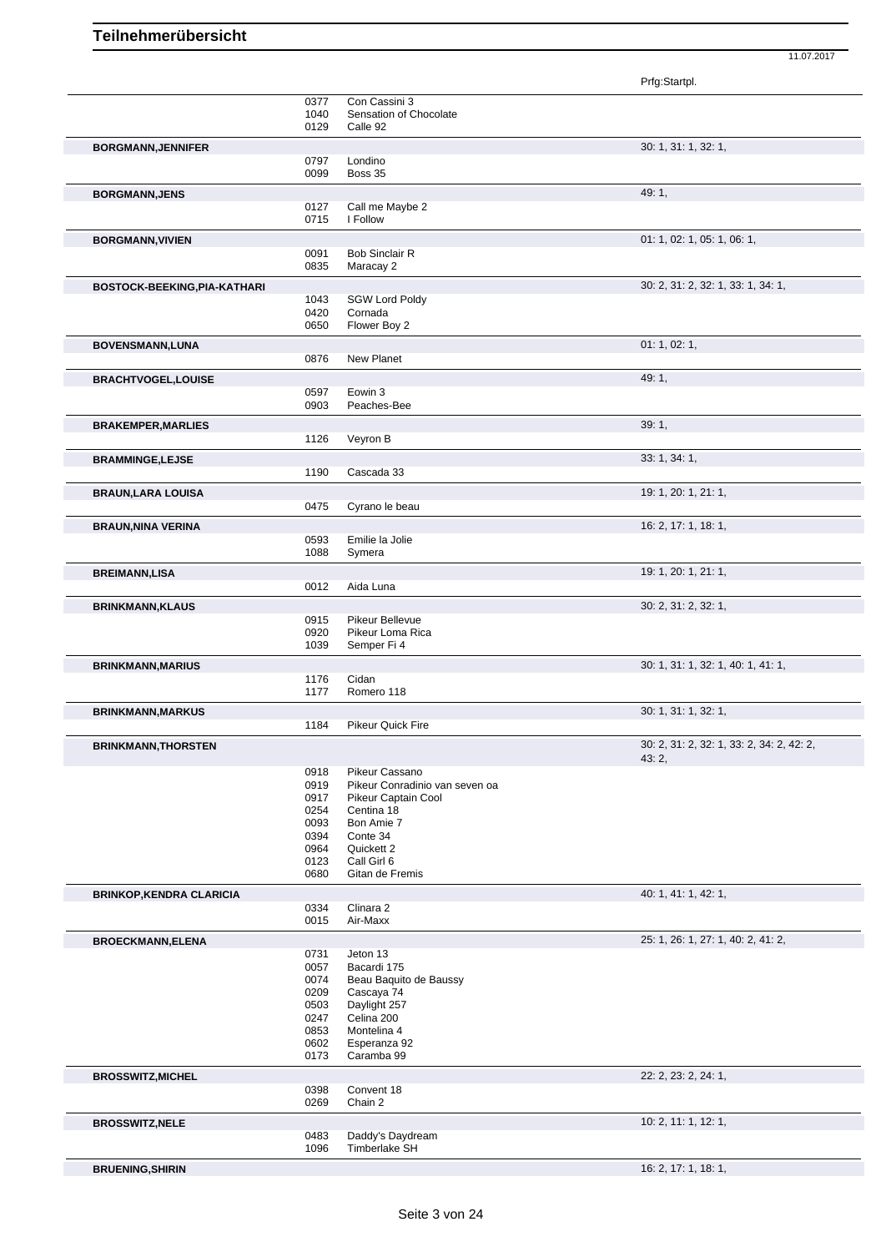|                                 |                                                                      |                                                                                                                                                                 | Prfg:Startpl.                                      |
|---------------------------------|----------------------------------------------------------------------|-----------------------------------------------------------------------------------------------------------------------------------------------------------------|----------------------------------------------------|
|                                 | 0377<br>1040<br>0129                                                 | Con Cassini 3<br>Sensation of Chocolate<br>Calle 92                                                                                                             |                                                    |
| <b>BORGMANN, JENNIFER</b>       | 0797<br>0099                                                         | Londino<br>Boss 35                                                                                                                                              | 30: 1, 31: 1, 32: 1,                               |
| <b>BORGMANN, JENS</b>           | 0127<br>0715                                                         | Call me Maybe 2<br>I Follow                                                                                                                                     | $49:1$ ,                                           |
| <b>BORGMANN, VIVIEN</b>         | 0091<br>0835                                                         | <b>Bob Sinclair R</b><br>Maracay 2                                                                                                                              | 01: 1, 02: 1, 05: 1, 06: 1,                        |
| BOSTOCK-BEEKING, PIA-KATHARI    | 1043<br>0420<br>0650                                                 | <b>SGW Lord Poldy</b><br>Cornada<br>Flower Boy 2                                                                                                                | 30: 2, 31: 2, 32: 1, 33: 1, 34: 1,                 |
| BOVENSMANN, LUNA                | 0876                                                                 | New Planet                                                                                                                                                      | 01: 1, 02: 1,                                      |
| <b>BRACHTVOGEL,LOUISE</b>       | 0597<br>0903                                                         | Eowin 3<br>Peaches-Bee                                                                                                                                          | 49:1,                                              |
| <b>BRAKEMPER, MARLIES</b>       | 1126                                                                 | Veyron B                                                                                                                                                        | 39:1,                                              |
| <b>BRAMMINGE,LEJSE</b>          | 1190                                                                 | Cascada 33                                                                                                                                                      | 33: 1, 34: 1,                                      |
| <b>BRAUN, LARA LOUISA</b>       | 0475                                                                 | Cyrano le beau                                                                                                                                                  | 19: 1, 20: 1, 21: 1,                               |
| <b>BRAUN, NINA VERINA</b>       |                                                                      |                                                                                                                                                                 | 16: 2, 17: 1, 18: 1,                               |
|                                 | 0593<br>1088                                                         | Emilie la Jolie<br>Symera                                                                                                                                       |                                                    |
| <b>BREIMANN,LISA</b>            | 0012                                                                 | Aida Luna                                                                                                                                                       | 19: 1, 20: 1, 21: 1,                               |
| <b>BRINKMANN, KLAUS</b>         | 0915<br>0920<br>1039                                                 | Pikeur Bellevue<br>Pikeur Loma Rica<br>Semper Fi 4                                                                                                              | 30: 2, 31: 2, 32: 1,                               |
| <b>BRINKMANN, MARIUS</b>        | 1176                                                                 | Cidan                                                                                                                                                           | 30: 1, 31: 1, 32: 1, 40: 1, 41: 1,                 |
|                                 | 1177                                                                 | Romero 118                                                                                                                                                      |                                                    |
| <b>BRINKMANN, MARKUS</b>        | 1184                                                                 | <b>Pikeur Quick Fire</b>                                                                                                                                        | 30: 1, 31: 1, 32: 1,                               |
| <b>BRINKMANN, THORSTEN</b>      |                                                                      |                                                                                                                                                                 | 30: 2, 31: 2, 32: 1, 33: 2, 34: 2, 42: 2,<br>43:2, |
|                                 | 0918<br>0919<br>0917<br>0254<br>0093<br>0394<br>0964<br>0123<br>0680 | Pikeur Cassano<br>Pikeur Conradinio van seven oa<br>Pikeur Captain Cool<br>Centina 18<br>Bon Amie 7<br>Conte 34<br>Quickett 2<br>Call Girl 6<br>Gitan de Fremis |                                                    |
| <b>BRINKOP, KENDRA CLARICIA</b> |                                                                      | Clinara 2                                                                                                                                                       | 40: 1, 41: 1, 42: 1,                               |
|                                 | 0334<br>0015                                                         | Air-Maxx                                                                                                                                                        |                                                    |
| <b>BROECKMANN, ELENA</b>        | 0731<br>0057<br>0074<br>0209<br>0503<br>0247<br>0853<br>0602<br>0173 | Jeton 13<br>Bacardi 175<br>Beau Baquito de Baussy<br>Cascaya 74<br>Daylight 257<br>Celina 200<br>Montelina 4<br>Esperanza 92<br>Caramba 99                      | 25: 1, 26: 1, 27: 1, 40: 2, 41: 2,                 |
| <b>BROSSWITZ, MICHEL</b>        | 0398<br>0269                                                         | Convent 18<br>Chain 2                                                                                                                                           | 22: 2, 23: 2, 24: 1,                               |
| <b>BROSSWITZ, NELE</b>          | 0483<br>1096                                                         | Daddy's Daydream<br>Timberlake SH                                                                                                                               | 10: 2, 11: 1, 12: 1,                               |
| <b>BRUENING, SHIRIN</b>         |                                                                      |                                                                                                                                                                 | 16: 2, 17: 1, 18: 1,                               |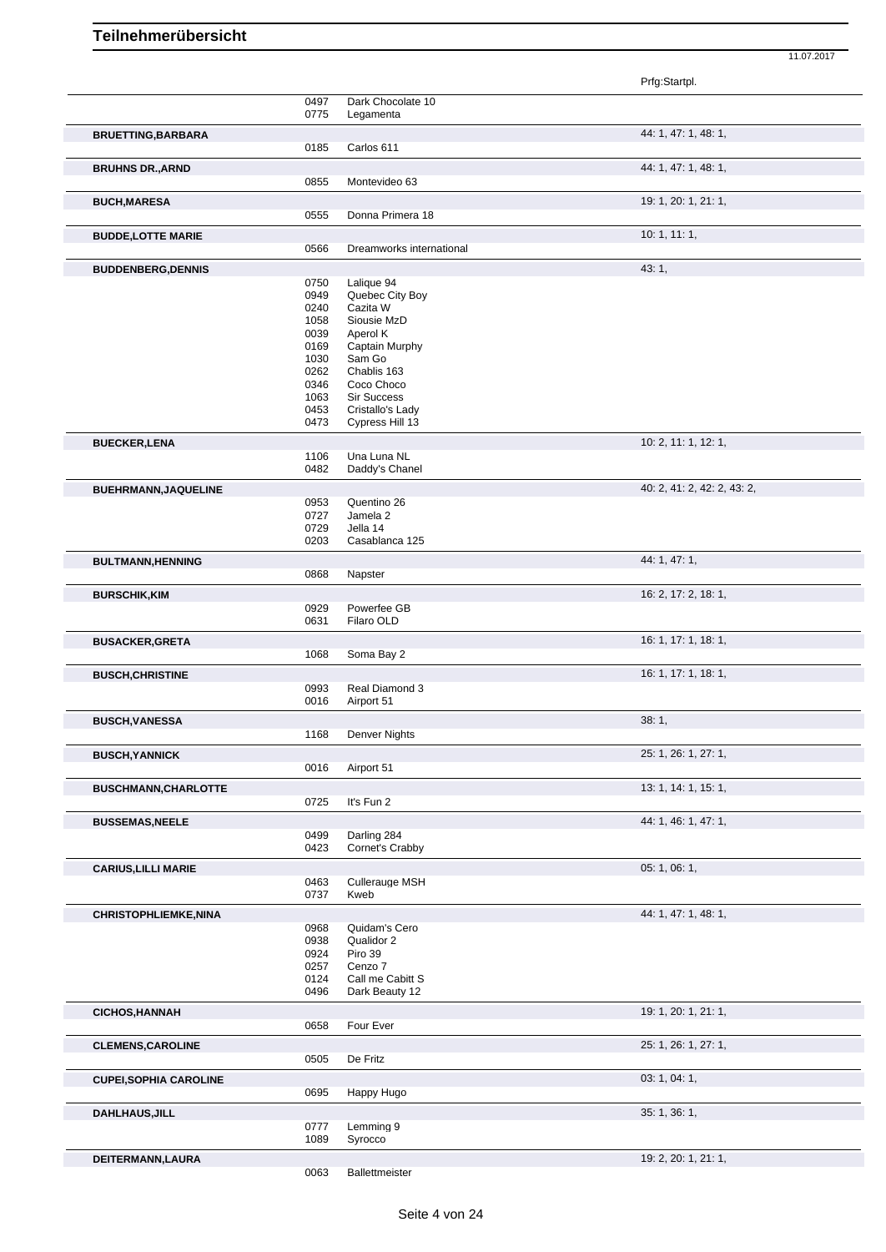|                               |              |                                | Prfg:Startpl.               |  |
|-------------------------------|--------------|--------------------------------|-----------------------------|--|
|                               | 0497         | Dark Chocolate 10              |                             |  |
|                               | 0775         | Legamenta                      |                             |  |
| <b>BRUETTING, BARBARA</b>     |              |                                | 44: 1, 47: 1, 48: 1,        |  |
|                               | 0185         | Carlos 611                     |                             |  |
| <b>BRUHNS DR., ARND</b>       |              |                                | 44: 1, 47: 1, 48: 1,        |  |
|                               | 0855         | Montevideo 63                  |                             |  |
| <b>BUCH, MARESA</b>           |              |                                | 19: 1, 20: 1, 21: 1,        |  |
|                               | 0555         | Donna Primera 18               |                             |  |
| <b>BUDDE,LOTTE MARIE</b>      |              |                                | 10:1, 11:1,                 |  |
|                               | 0566         | Dreamworks international       |                             |  |
| <b>BUDDENBERG, DENNIS</b>     |              |                                | 43: 1,                      |  |
|                               | 0750<br>0949 | Lalique 94<br>Quebec City Boy  |                             |  |
|                               | 0240         | Cazita W                       |                             |  |
|                               | 1058         | Siousie MzD                    |                             |  |
|                               | 0039<br>0169 | Aperol K<br>Captain Murphy     |                             |  |
|                               | 1030         | Sam Go                         |                             |  |
|                               | 0262         | Chablis 163                    |                             |  |
|                               | 0346<br>1063 | Coco Choco<br>Sir Success      |                             |  |
|                               | 0453         | Cristallo's Lady               |                             |  |
|                               | 0473         | Cypress Hill 13                |                             |  |
| <b>BUECKER,LENA</b>           |              |                                | 10: 2, 11: 1, 12: 1,        |  |
|                               | 1106         | Una Luna NL                    |                             |  |
|                               | 0482         | Daddy's Chanel                 |                             |  |
| BUEHRMANN, JAQUELINE          |              |                                | 40: 2, 41: 2, 42: 2, 43: 2, |  |
|                               | 0953<br>0727 | Quentino 26<br>Jamela 2        |                             |  |
|                               | 0729         | Jella 14                       |                             |  |
|                               | 0203         | Casablanca 125                 |                             |  |
| <b>BULTMANN, HENNING</b>      |              |                                | 44: 1, 47: 1,               |  |
|                               | 0868         | Napster                        |                             |  |
| <b>BURSCHIK, KIM</b>          |              |                                | 16: 2, 17: 2, 18: 1,        |  |
|                               | 0929<br>0631 | Powerfee GB<br>Filaro OLD      |                             |  |
| <b>BUSACKER, GRETA</b>        |              |                                | 16: 1, 17: 1, 18: 1,        |  |
|                               | 1068         | Soma Bay 2                     |                             |  |
| <b>BUSCH, CHRISTINE</b>       |              |                                | 16: 1, 17: 1, 18: 1,        |  |
|                               | 0993         | Real Diamond 3                 |                             |  |
|                               | 0016         | Airport 51                     |                             |  |
| <b>BUSCH, VANESSA</b>         |              |                                | 38:1,                       |  |
|                               | 1168         | Denver Nights                  |                             |  |
| <b>BUSCH, YANNICK</b>         |              |                                | 25: 1, 26: 1, 27: 1,        |  |
|                               | 0016         | Airport 51                     |                             |  |
| <b>BUSCHMANN, CHARLOTTE</b>   |              |                                | 13: 1, 14: 1, 15: 1,        |  |
|                               | 0725         | It's Fun 2                     |                             |  |
| <b>BUSSEMAS, NEELE</b>        |              |                                | 44: 1, 46: 1, 47: 1,        |  |
|                               | 0499<br>0423 | Darling 284<br>Cornet's Crabby |                             |  |
| <b>CARIUS, LILLI MARIE</b>    |              |                                | 05: 1, 06: 1,               |  |
|                               | 0463         | <b>Cullerauge MSH</b>          |                             |  |
|                               | 0737         | Kweb                           |                             |  |
| CHRISTOPHLIEMKE, NINA         |              |                                | 44: 1, 47: 1, 48: 1,        |  |
|                               | 0968         | Quidam's Cero                  |                             |  |
|                               | 0938<br>0924 | Qualidor 2<br>Piro 39          |                             |  |
|                               | 0257         | Cenzo 7                        |                             |  |
|                               | 0124         | Call me Cabitt S               |                             |  |
|                               | 0496         | Dark Beauty 12                 |                             |  |
| <b>CICHOS, HANNAH</b>         |              |                                | 19: 1, 20: 1, 21: 1,        |  |
|                               | 0658         | Four Ever                      |                             |  |
| <b>CLEMENS, CAROLINE</b>      |              |                                | 25: 1, 26: 1, 27: 1,        |  |
|                               | 0505         | De Fritz                       |                             |  |
| <b>CUPEI, SOPHIA CAROLINE</b> |              |                                | 03: 1, 04: 1,               |  |
|                               | 0695         | Happy Hugo                     |                             |  |
| <b>DAHLHAUS, JILL</b>         | 0777         | Lemming 9                      | 35: 1, 36: 1,               |  |
|                               | 1089         | Syrocco                        |                             |  |
| DEITERMANN, LAURA             |              |                                | 19: 2, 20: 1, 21: 1,        |  |
|                               | 0063         | Ballettmeister                 |                             |  |
|                               |              |                                |                             |  |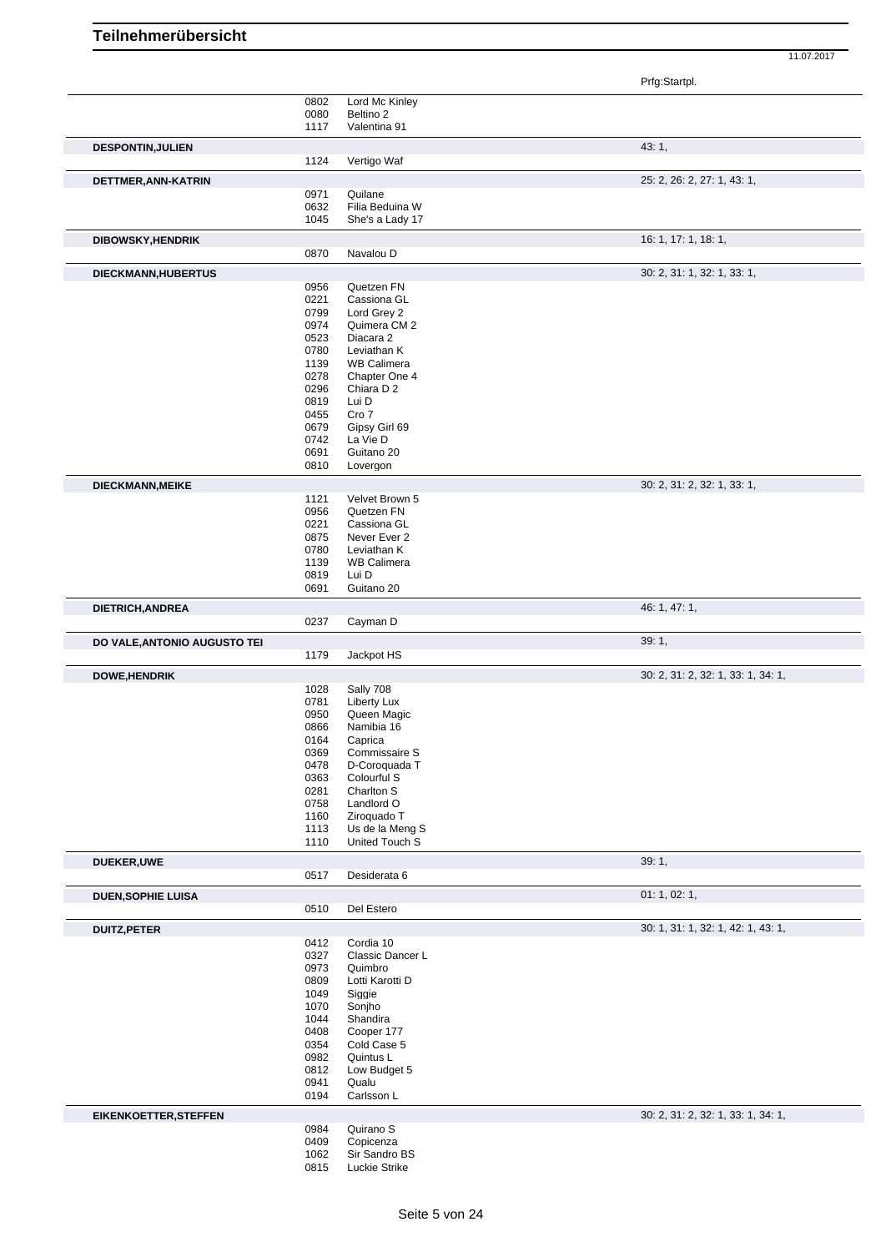|                                     |              |                                   | Prfg:Startpl.                      |
|-------------------------------------|--------------|-----------------------------------|------------------------------------|
|                                     | 0802         | Lord Mc Kinley                    |                                    |
|                                     | 0080         | Beltino 2                         |                                    |
|                                     | 1117         | Valentina 91                      |                                    |
| <b>DESPONTIN, JULIEN</b>            |              |                                   | 43:1,                              |
|                                     | 1124         | Vertigo Waf                       |                                    |
|                                     |              |                                   |                                    |
| DETTMER, ANN-KATRIN                 |              |                                   | 25: 2, 26: 2, 27: 1, 43: 1,        |
|                                     | 0971         | Quilane                           |                                    |
|                                     | 0632         | Filia Beduina W                   |                                    |
|                                     | 1045         | She's a Lady 17                   |                                    |
| <b>DIBOWSKY, HENDRIK</b>            |              |                                   | 16: 1, 17: 1, 18: 1,               |
|                                     | 0870         | Navalou D                         |                                    |
|                                     |              |                                   |                                    |
| DIECKMANN, HUBERTUS                 |              |                                   | 30: 2, 31: 1, 32: 1, 33: 1,        |
|                                     | 0956         | Quetzen FN                        |                                    |
|                                     | 0221         | Cassiona GL                       |                                    |
|                                     | 0799<br>0974 | Lord Grey 2<br>Quimera CM 2       |                                    |
|                                     | 0523         | Diacara 2                         |                                    |
|                                     | 0780         | Leviathan K                       |                                    |
|                                     | 1139         | <b>WB Calimera</b>                |                                    |
|                                     | 0278         | Chapter One 4                     |                                    |
|                                     | 0296         | Chiara D 2                        |                                    |
|                                     | 0819         | Lui D                             |                                    |
|                                     | 0455         | Cro 7                             |                                    |
|                                     | 0679         | Gipsy Girl 69                     |                                    |
|                                     | 0742         | La Vie D                          |                                    |
|                                     | 0691         | Guitano 20                        |                                    |
|                                     | 0810         | Lovergon                          |                                    |
| DIECKMANN, MEIKE                    |              |                                   | 30: 2, 31: 2, 32: 1, 33: 1,        |
|                                     | 1121         | Velvet Brown 5                    |                                    |
|                                     | 0956         | Quetzen FN                        |                                    |
|                                     | 0221         | Cassiona GL                       |                                    |
|                                     | 0875         | Never Ever 2                      |                                    |
|                                     | 0780         | Leviathan K                       |                                    |
|                                     | 1139         | <b>WB Calimera</b>                |                                    |
|                                     | 0819         | Lui D                             |                                    |
|                                     | 0691         | Guitano 20                        |                                    |
| DIETRICH, ANDREA                    |              |                                   | 46: 1, 47: 1,                      |
|                                     | 0237         | Cayman D                          |                                    |
|                                     |              |                                   |                                    |
|                                     |              |                                   |                                    |
|                                     |              |                                   | 39:1,                              |
|                                     | 1179         | Jackpot HS                        |                                    |
|                                     |              |                                   | 30: 2, 31: 2, 32: 1, 33: 1, 34: 1, |
|                                     | 1028         | Sally 708                         |                                    |
|                                     | 0781         | Liberty Lux                       |                                    |
|                                     | 0950         | Queen Magic                       |                                    |
|                                     | 0866         | Namibia 16                        |                                    |
|                                     | 0164         | Caprica                           |                                    |
|                                     | 0369         | Commissaire S                     |                                    |
|                                     | 0478         | D-Coroquada T                     |                                    |
|                                     | 0363         | Colourful S                       |                                    |
|                                     | 0281         | Charlton S                        |                                    |
|                                     | 0758         | Landlord O                        |                                    |
|                                     | 1160         | Ziroquado T                       |                                    |
|                                     | 1113<br>1110 | Us de la Meng S<br>United Touch S |                                    |
| DO VALE, ANTONIO AUGUSTO TEI        |              |                                   |                                    |
| <b>DOWE, HENDRIK</b><br>DUEKER, UWE |              |                                   | 39:1,                              |
|                                     | 0517         | Desiderata 6                      |                                    |
| <b>DUEN, SOPHIE LUISA</b>           |              |                                   | 01: 1, 02: 1,                      |
|                                     | 0510         | Del Estero                        |                                    |
|                                     |              |                                   |                                    |
|                                     |              |                                   | 30: 1, 31: 1, 32: 1, 42: 1, 43: 1, |
|                                     | 0412         | Cordia 10                         |                                    |
|                                     | 0327<br>0973 | Classic Dancer L<br>Quimbro       |                                    |
| <b>DUITZ, PETER</b>                 | 0809         | Lotti Karotti D                   |                                    |
|                                     | 1049         | Siggie                            |                                    |
|                                     | 1070         | Sonjho                            |                                    |
|                                     | 1044         | Shandira                          |                                    |
|                                     | 0408         | Cooper 177                        |                                    |
|                                     | 0354         | Cold Case 5                       |                                    |
|                                     | 0982         | Quintus L                         |                                    |
|                                     | 0812         | Low Budget 5                      |                                    |
|                                     | 0941         | Qualu                             |                                    |
|                                     | 0194         | Carlsson L                        |                                    |
|                                     |              |                                   | 30: 2, 31: 2, 32: 1, 33: 1, 34: 1, |
| <b>EIKENKOETTER, STEFFEN</b>        | 0984         | Quirano S                         |                                    |
|                                     | 0409         | Copicenza                         |                                    |
|                                     | 1062<br>0815 | Sir Sandro BS<br>Luckie Strike    |                                    |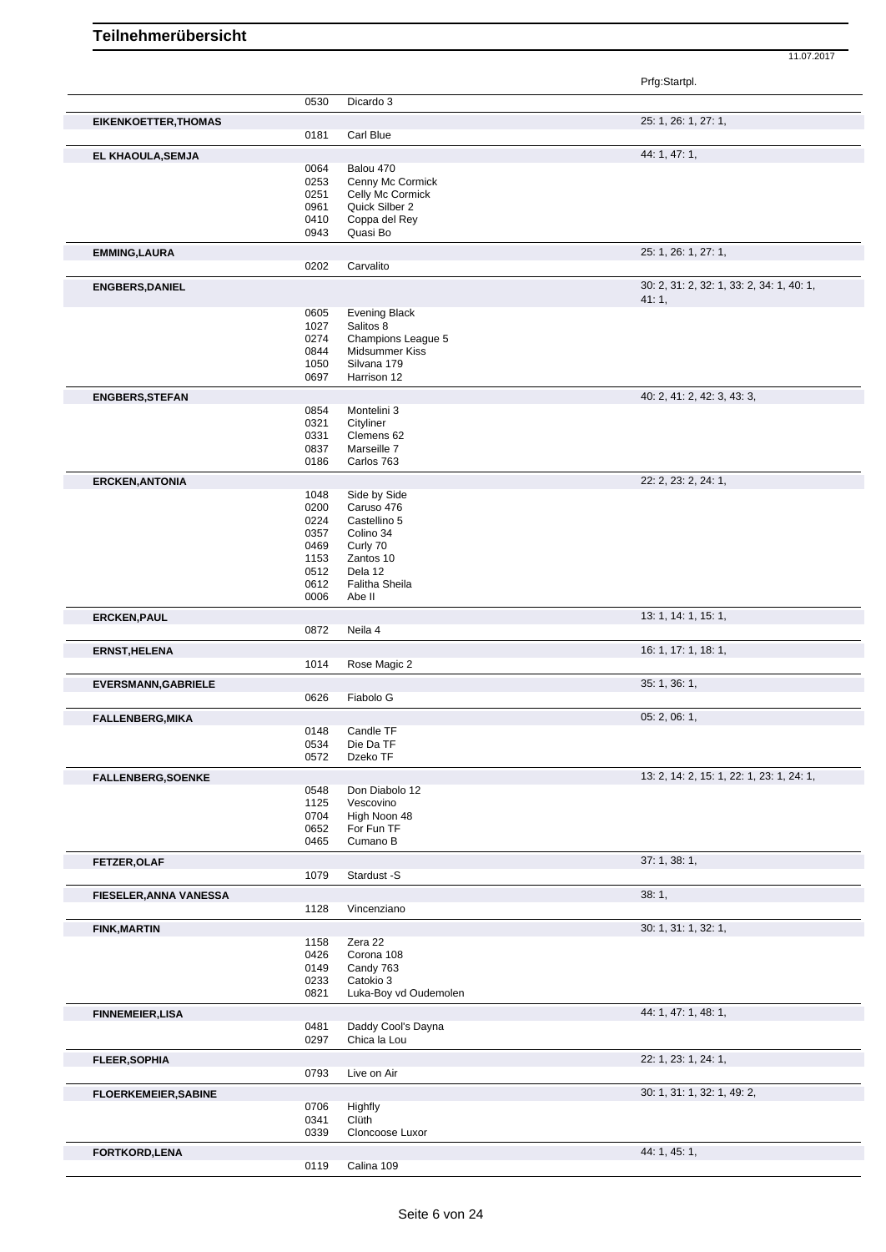|                               |              |                                    | Prfg:Startpl.                                      |
|-------------------------------|--------------|------------------------------------|----------------------------------------------------|
|                               | 0530         | Dicardo 3                          |                                                    |
| <b>EIKENKOETTER, THOMAS</b>   |              |                                    | 25: 1, 26: 1, 27: 1,                               |
|                               | 0181         | Carl Blue                          |                                                    |
| EL KHAOULA, SEMJA             |              |                                    | 44: 1, 47: 1,                                      |
|                               | 0064         | Balou 470                          |                                                    |
|                               | 0253         | Cenny Mc Cormick                   |                                                    |
|                               | 0251<br>0961 | Celly Mc Cormick<br>Quick Silber 2 |                                                    |
|                               | 0410         | Coppa del Rey                      |                                                    |
|                               | 0943         | Quasi Bo                           |                                                    |
| <b>EMMING, LAURA</b>          |              |                                    | 25: 1, 26: 1, 27: 1,                               |
|                               | 0202         | Carvalito                          |                                                    |
| <b>ENGBERS, DANIEL</b>        |              |                                    | 30: 2, 31: 2, 32: 1, 33: 2, 34: 1, 40: 1,<br>41:1, |
|                               | 0605         | Evening Black                      |                                                    |
|                               | 1027         | Salitos 8                          |                                                    |
|                               | 0274         | Champions League 5                 |                                                    |
|                               | 0844         | Midsummer Kiss                     |                                                    |
|                               | 1050<br>0697 | Silvana 179<br>Harrison 12         |                                                    |
| <b>ENGBERS, STEFAN</b>        |              |                                    | 40: 2, 41: 2, 42: 3, 43: 3,                        |
|                               | 0854         | Montelini 3                        |                                                    |
|                               | 0321         | Cityliner                          |                                                    |
|                               | 0331         | Clemens 62                         |                                                    |
|                               | 0837<br>0186 | Marseille 7<br>Carlos 763          |                                                    |
| <b>ERCKEN, ANTONIA</b>        |              |                                    | 22: 2, 23: 2, 24: 1,                               |
|                               | 1048         | Side by Side                       |                                                    |
|                               | 0200         | Caruso 476                         |                                                    |
|                               | 0224         | Castellino 5                       |                                                    |
|                               | 0357<br>0469 | Colino 34<br>Curly 70              |                                                    |
|                               | 1153         | Zantos 10                          |                                                    |
|                               | 0512         | Dela 12                            |                                                    |
|                               | 0612         | Falitha Sheila                     |                                                    |
|                               | 0006         | Abe II                             |                                                    |
| <b>ERCKEN, PAUL</b>           |              |                                    | 13: 1, 14: 1, 15: 1,                               |
|                               | 0872         | Neila 4                            |                                                    |
| <b>ERNST, HELENA</b>          | 1014         |                                    | 16: 1, 17: 1, 18: 1,                               |
|                               |              | Rose Magic 2                       |                                                    |
| <b>EVERSMANN, GABRIELE</b>    | 0626         | Fiabolo G                          | 35: 1, 36: 1,                                      |
| <b>FALLENBERG, MIKA</b>       |              |                                    | 05: 2, 06: 1,                                      |
|                               | 0148         | Candle TF                          |                                                    |
|                               | 0534         | Die Da TF                          |                                                    |
|                               | 0572         | Dzeko TF                           |                                                    |
| <b>FALLENBERG, SOENKE</b>     |              |                                    | 13: 2, 14: 2, 15: 1, 22: 1, 23: 1, 24: 1,          |
|                               | 0548         | Don Diabolo 12                     |                                                    |
|                               | 1125<br>0704 | Vescovino<br>High Noon 48          |                                                    |
|                               | 0652         | For Fun TF                         |                                                    |
|                               | 0465         | Cumano B                           |                                                    |
| FETZER, OLAF                  |              |                                    | 37:1,38:1,                                         |
|                               | 1079         | Stardust -S                        |                                                    |
| <b>FIESELER, ANNA VANESSA</b> | 1128         | Vincenziano                        | 38:1,                                              |
|                               |              |                                    | 30: 1, 31: 1, 32: 1,                               |
| <b>FINK, MARTIN</b>           | 1158         | Zera 22                            |                                                    |
|                               | 0426         | Corona 108                         |                                                    |
|                               | 0149         | Candy 763                          |                                                    |
|                               | 0233         | Catokio 3                          |                                                    |
|                               | 0821         | Luka-Boy vd Oudemolen              |                                                    |
| <b>FINNEMEIER, LISA</b>       |              |                                    | 44: 1, 47: 1, 48: 1,                               |
|                               | 0481<br>0297 | Daddy Cool's Dayna<br>Chica la Lou |                                                    |
| <b>FLEER, SOPHIA</b>          |              |                                    | 22: 1, 23: 1, 24: 1,                               |
|                               | 0793         | Live on Air                        |                                                    |
| <b>FLOERKEMEIER, SABINE</b>   |              |                                    | 30: 1, 31: 1, 32: 1, 49: 2,                        |
|                               | 0706         | Highfly                            |                                                    |
|                               | 0341         | Clüth                              |                                                    |
|                               | 0339         | Cloncoose Luxor                    |                                                    |
| FORTKORD, LENA                | 0119         | Calina 109                         | 44: 1, 45: 1,                                      |
|                               |              |                                    |                                                    |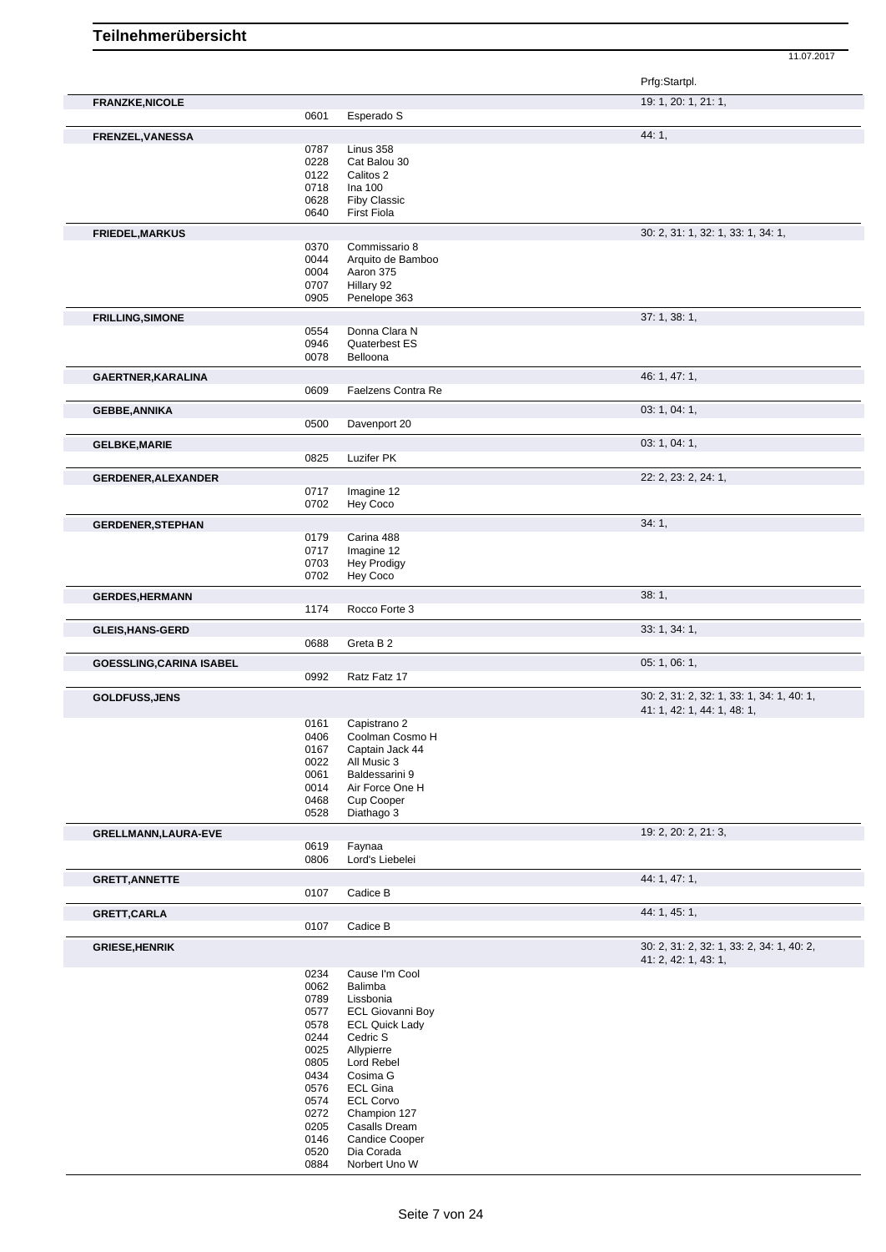|                                 |              |                             | Prfg:Startpl.                             |
|---------------------------------|--------------|-----------------------------|-------------------------------------------|
| <b>FRANZKE, NICOLE</b>          |              |                             | 19: 1, 20: 1, 21: 1,                      |
|                                 | 0601         | Esperado S                  |                                           |
| FRENZEL, VANESSA                |              |                             | 44: 1,                                    |
|                                 | 0787         | Linus 358                   |                                           |
|                                 | 0228         | Cat Balou 30                |                                           |
|                                 | 0122         | Calitos 2<br>Ina 100        |                                           |
|                                 | 0718<br>0628 | <b>Fiby Classic</b>         |                                           |
|                                 | 0640         | <b>First Fiola</b>          |                                           |
|                                 |              |                             | 30: 2, 31: 1, 32: 1, 33: 1, 34: 1,        |
| <b>FRIEDEL, MARKUS</b>          | 0370         | Commissario 8               |                                           |
|                                 | 0044         | Arquito de Bamboo           |                                           |
|                                 | 0004         | Aaron 375                   |                                           |
|                                 | 0707         | Hillary 92                  |                                           |
|                                 | 0905         | Penelope 363                |                                           |
| <b>FRILLING, SIMONE</b>         |              |                             | 37: 1, 38: 1,                             |
|                                 | 0554         | Donna Clara N               |                                           |
|                                 | 0946         | Quaterbest ES               |                                           |
|                                 | 0078         | Belloona                    |                                           |
| <b>GAERTNER, KARALINA</b>       |              |                             | 46: 1, 47: 1,                             |
|                                 | 0609         | Faelzens Contra Re          |                                           |
| <b>GEBBE, ANNIKA</b>            |              |                             | 03: 1, 04: 1,                             |
|                                 | 0500         | Davenport 20                |                                           |
| <b>GELBKE, MARIE</b>            |              |                             | 03: 1, 04: 1,                             |
|                                 | 0825         | Luzifer PK                  |                                           |
| <b>GERDENER, ALEXANDER</b>      |              |                             | 22: 2, 23: 2, 24: 1,                      |
|                                 | 0717         | Imagine 12                  |                                           |
|                                 | 0702         | Hey Coco                    |                                           |
| <b>GERDENER, STEPHAN</b>        |              |                             | 34:1,                                     |
|                                 | 0179         | Carina 488                  |                                           |
|                                 | 0717         | Imagine 12                  |                                           |
|                                 | 0703         | <b>Hey Prodigy</b>          |                                           |
|                                 | 0702         | Hey Coco                    |                                           |
| <b>GERDES, HERMANN</b>          |              |                             | 38:1,                                     |
|                                 | 1174         | Rocco Forte 3               |                                           |
| <b>GLEIS, HANS-GERD</b>         |              |                             | 33: 1, 34: 1,                             |
|                                 | 0688         | Greta B 2                   |                                           |
| <b>GOESSLING, CARINA ISABEL</b> |              |                             | 05: 1, 06: 1,                             |
|                                 | 0992         | Ratz Fatz 17                |                                           |
| <b>GOLDFUSS, JENS</b>           |              |                             | 30: 2, 31: 2, 32: 1, 33: 1, 34: 1, 40: 1, |
|                                 | 0161         | Capistrano 2                | 41: 1, 42: 1, 44: 1, 48: 1,               |
|                                 | 0406         | Coolman Cosmo H             |                                           |
|                                 | 0167         | Captain Jack 44             |                                           |
|                                 | 0022         | All Music 3                 |                                           |
|                                 | 0061         | Baldessarini 9              |                                           |
|                                 | 0014         | Air Force One H             |                                           |
|                                 | 0468         | Cup Cooper                  |                                           |
|                                 | 0528         | Diathago 3                  |                                           |
| GRELLMANN, LAURA-EVE            |              |                             | 19: 2, 20: 2, 21: 3,                      |
|                                 | 0619         | Faynaa                      |                                           |
|                                 | 0806         | Lord's Liebelei             |                                           |
| <b>GRETT, ANNETTE</b>           |              |                             | 44: 1, 47: 1,                             |
|                                 | 0107         | Cadice B                    |                                           |
| GRETT, CARLA                    |              |                             | 44: 1, 45: 1,                             |
|                                 | 0107         | Cadice B                    |                                           |
| <b>GRIESE, HENRIK</b>           |              |                             | 30: 2, 31: 2, 32: 1, 33: 2, 34: 1, 40: 2, |
|                                 | 0234         | Cause I'm Cool              | 41: 2, 42: 1, 43: 1,                      |
|                                 | 0062         | Balimba                     |                                           |
|                                 | 0789         | Lissbonia                   |                                           |
|                                 | 0577         | <b>ECL Giovanni Boy</b>     |                                           |
|                                 | 0578         | <b>ECL Quick Lady</b>       |                                           |
|                                 | 0244         | Cedric S                    |                                           |
|                                 | 0025         | Allypierre                  |                                           |
|                                 | 0805         | Lord Rebel                  |                                           |
|                                 | 0434         | Cosima G                    |                                           |
|                                 | 0576         | <b>ECL Gina</b>             |                                           |
|                                 | 0574         | <b>ECL Corvo</b>            |                                           |
|                                 | 0272         | Champion 127                |                                           |
|                                 | 0205         | Casalls Dream               |                                           |
|                                 | 0146         | <b>Candice Cooper</b>       |                                           |
|                                 | 0520<br>0884 | Dia Corada<br>Norbert Uno W |                                           |
|                                 |              |                             |                                           |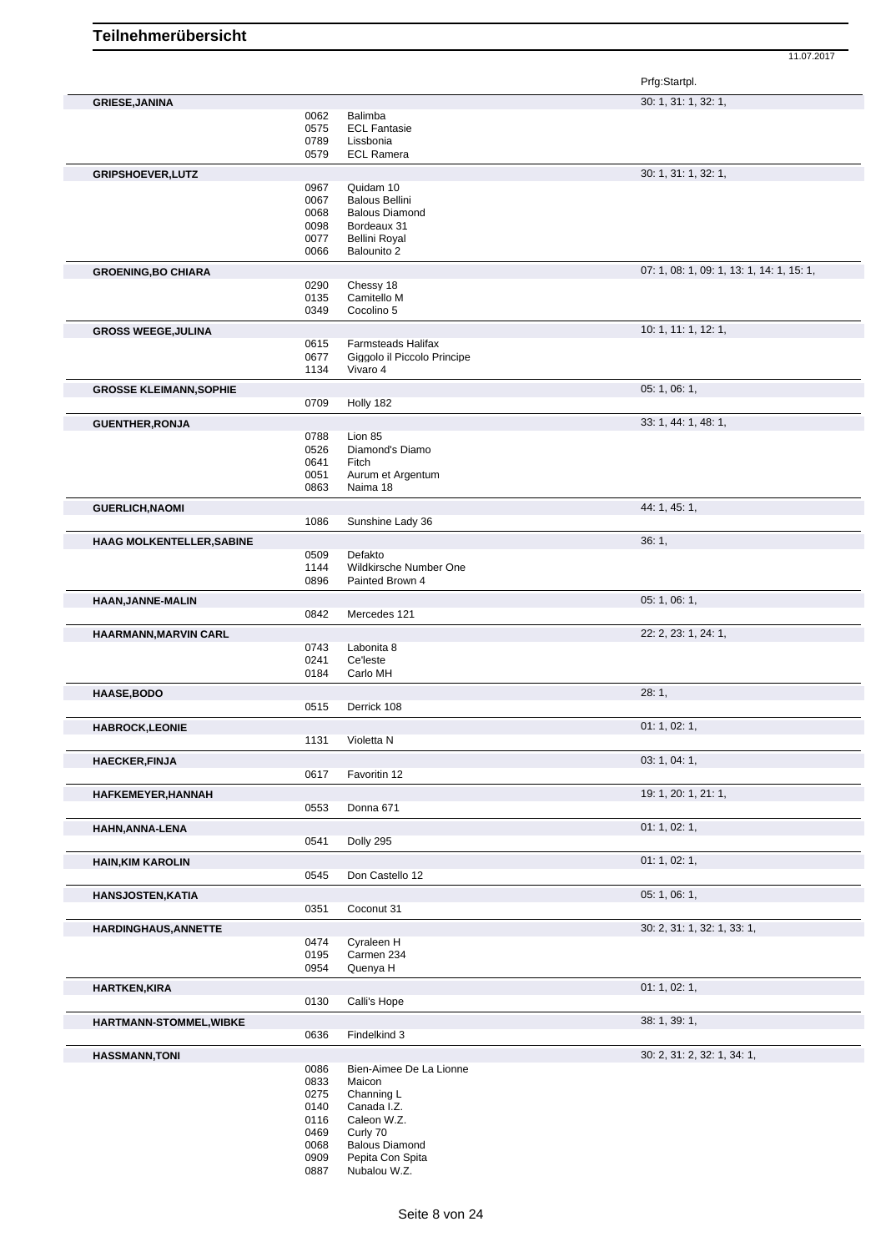|              |                                                                                                                                                                              | Prfg:Startpl.                                                                                                                                                                                                                                                                            |
|--------------|------------------------------------------------------------------------------------------------------------------------------------------------------------------------------|------------------------------------------------------------------------------------------------------------------------------------------------------------------------------------------------------------------------------------------------------------------------------------------|
|              |                                                                                                                                                                              | 30: 1, 31: 1, 32: 1,                                                                                                                                                                                                                                                                     |
| 0062         | Balimba                                                                                                                                                                      |                                                                                                                                                                                                                                                                                          |
| 0575         | <b>ECL Fantasie</b>                                                                                                                                                          |                                                                                                                                                                                                                                                                                          |
| 0789         | Lissbonia                                                                                                                                                                    |                                                                                                                                                                                                                                                                                          |
|              |                                                                                                                                                                              |                                                                                                                                                                                                                                                                                          |
|              |                                                                                                                                                                              | 30: 1, 31: 1, 32: 1,                                                                                                                                                                                                                                                                     |
|              | Quidam 10                                                                                                                                                                    |                                                                                                                                                                                                                                                                                          |
| 0067         | <b>Balous Bellini</b>                                                                                                                                                        |                                                                                                                                                                                                                                                                                          |
| 0068         | <b>Balous Diamond</b>                                                                                                                                                        |                                                                                                                                                                                                                                                                                          |
| 0098         | Bordeaux 31                                                                                                                                                                  |                                                                                                                                                                                                                                                                                          |
|              |                                                                                                                                                                              |                                                                                                                                                                                                                                                                                          |
|              |                                                                                                                                                                              |                                                                                                                                                                                                                                                                                          |
|              |                                                                                                                                                                              | 07: 1, 08: 1, 09: 1, 13: 1, 14: 1, 15: 1,                                                                                                                                                                                                                                                |
| 0290         | Chessy 18                                                                                                                                                                    |                                                                                                                                                                                                                                                                                          |
| 0135         | Camitello M                                                                                                                                                                  |                                                                                                                                                                                                                                                                                          |
| 0349         | Cocolino 5                                                                                                                                                                   |                                                                                                                                                                                                                                                                                          |
|              |                                                                                                                                                                              | 10: 1, 11: 1, 12: 1,                                                                                                                                                                                                                                                                     |
| 0615         | Farmsteads Halifax                                                                                                                                                           |                                                                                                                                                                                                                                                                                          |
| 0677         | Giggolo il Piccolo Principe                                                                                                                                                  |                                                                                                                                                                                                                                                                                          |
| 1134         | Vivaro 4                                                                                                                                                                     |                                                                                                                                                                                                                                                                                          |
|              |                                                                                                                                                                              | 05: 1, 06: 1,                                                                                                                                                                                                                                                                            |
|              |                                                                                                                                                                              |                                                                                                                                                                                                                                                                                          |
|              |                                                                                                                                                                              |                                                                                                                                                                                                                                                                                          |
|              |                                                                                                                                                                              | 33: 1, 44: 1, 48: 1,                                                                                                                                                                                                                                                                     |
|              |                                                                                                                                                                              |                                                                                                                                                                                                                                                                                          |
|              |                                                                                                                                                                              |                                                                                                                                                                                                                                                                                          |
|              |                                                                                                                                                                              |                                                                                                                                                                                                                                                                                          |
|              |                                                                                                                                                                              |                                                                                                                                                                                                                                                                                          |
|              |                                                                                                                                                                              |                                                                                                                                                                                                                                                                                          |
|              |                                                                                                                                                                              | 44: 1, 45: 1,                                                                                                                                                                                                                                                                            |
|              |                                                                                                                                                                              |                                                                                                                                                                                                                                                                                          |
|              |                                                                                                                                                                              | 36:1,                                                                                                                                                                                                                                                                                    |
| 0509         | Defakto                                                                                                                                                                      |                                                                                                                                                                                                                                                                                          |
|              | Wildkirsche Number One                                                                                                                                                       |                                                                                                                                                                                                                                                                                          |
|              |                                                                                                                                                                              |                                                                                                                                                                                                                                                                                          |
|              |                                                                                                                                                                              | 05: 1, 06: 1,                                                                                                                                                                                                                                                                            |
| 0842         | Mercedes 121                                                                                                                                                                 |                                                                                                                                                                                                                                                                                          |
|              |                                                                                                                                                                              | 22: 2, 23: 1, 24: 1,                                                                                                                                                                                                                                                                     |
|              |                                                                                                                                                                              |                                                                                                                                                                                                                                                                                          |
|              |                                                                                                                                                                              |                                                                                                                                                                                                                                                                                          |
|              |                                                                                                                                                                              |                                                                                                                                                                                                                                                                                          |
|              |                                                                                                                                                                              |                                                                                                                                                                                                                                                                                          |
|              |                                                                                                                                                                              | 28:1,                                                                                                                                                                                                                                                                                    |
|              |                                                                                                                                                                              |                                                                                                                                                                                                                                                                                          |
|              |                                                                                                                                                                              | 01: 1, 02: 1,                                                                                                                                                                                                                                                                            |
|              | Violetta N                                                                                                                                                                   |                                                                                                                                                                                                                                                                                          |
|              |                                                                                                                                                                              | 03: 1, 04: 1,                                                                                                                                                                                                                                                                            |
| 0617         | Favoritin 12                                                                                                                                                                 |                                                                                                                                                                                                                                                                                          |
|              |                                                                                                                                                                              | 19: 1, 20: 1, 21: 1,                                                                                                                                                                                                                                                                     |
|              |                                                                                                                                                                              |                                                                                                                                                                                                                                                                                          |
|              |                                                                                                                                                                              |                                                                                                                                                                                                                                                                                          |
|              |                                                                                                                                                                              | 01: 1, 02: 1,                                                                                                                                                                                                                                                                            |
|              |                                                                                                                                                                              |                                                                                                                                                                                                                                                                                          |
|              |                                                                                                                                                                              | 01: 1, 02: 1,                                                                                                                                                                                                                                                                            |
| 0545         | Don Castello 12                                                                                                                                                              |                                                                                                                                                                                                                                                                                          |
|              |                                                                                                                                                                              | 05: 1, 06: 1,                                                                                                                                                                                                                                                                            |
|              |                                                                                                                                                                              |                                                                                                                                                                                                                                                                                          |
|              |                                                                                                                                                                              |                                                                                                                                                                                                                                                                                          |
|              |                                                                                                                                                                              | 30: 2, 31: 1, 32: 1, 33: 1,                                                                                                                                                                                                                                                              |
|              |                                                                                                                                                                              |                                                                                                                                                                                                                                                                                          |
|              |                                                                                                                                                                              |                                                                                                                                                                                                                                                                                          |
| 0195         | Carmen 234                                                                                                                                                                   |                                                                                                                                                                                                                                                                                          |
| 0954         | Quenya H                                                                                                                                                                     |                                                                                                                                                                                                                                                                                          |
|              |                                                                                                                                                                              | 01: 1, 02: 1,                                                                                                                                                                                                                                                                            |
| 0130         | Calli's Hope                                                                                                                                                                 |                                                                                                                                                                                                                                                                                          |
|              |                                                                                                                                                                              |                                                                                                                                                                                                                                                                                          |
| 0636         | Findelkind 3                                                                                                                                                                 | 38:1, 39:1,                                                                                                                                                                                                                                                                              |
|              |                                                                                                                                                                              |                                                                                                                                                                                                                                                                                          |
|              |                                                                                                                                                                              | 30: 2, 31: 2, 32: 1, 34: 1,                                                                                                                                                                                                                                                              |
| 0086         | Bien-Aimee De La Lionne                                                                                                                                                      |                                                                                                                                                                                                                                                                                          |
| 0833         | Maicon                                                                                                                                                                       |                                                                                                                                                                                                                                                                                          |
| 0275         | Channing L                                                                                                                                                                   |                                                                                                                                                                                                                                                                                          |
| 0140         | Canada I.Z.                                                                                                                                                                  |                                                                                                                                                                                                                                                                                          |
| 0116         | Caleon W.Z.                                                                                                                                                                  |                                                                                                                                                                                                                                                                                          |
| 0469         | Curly 70                                                                                                                                                                     |                                                                                                                                                                                                                                                                                          |
| 0068<br>0909 | <b>Balous Diamond</b><br>Pepita Con Spita                                                                                                                                    |                                                                                                                                                                                                                                                                                          |
|              | 0579<br>0967<br>0077<br>0066<br>0709<br>0788<br>0526<br>0641<br>0051<br>0863<br>1086<br>1144<br>0896<br>0743<br>0241<br>0184<br>0515<br>1131<br>0553<br>0541<br>0351<br>0474 | <b>ECL Ramera</b><br>Bellini Royal<br>Balounito 2<br>Holly 182<br>Lion 85<br>Diamond's Diamo<br>Fitch<br>Aurum et Argentum<br>Naima 18<br>Sunshine Lady 36<br>Painted Brown 4<br>Labonita 8<br>Ce'leste<br>Carlo MH<br>Derrick 108<br>Donna 671<br>Dolly 295<br>Coconut 31<br>Cyraleen H |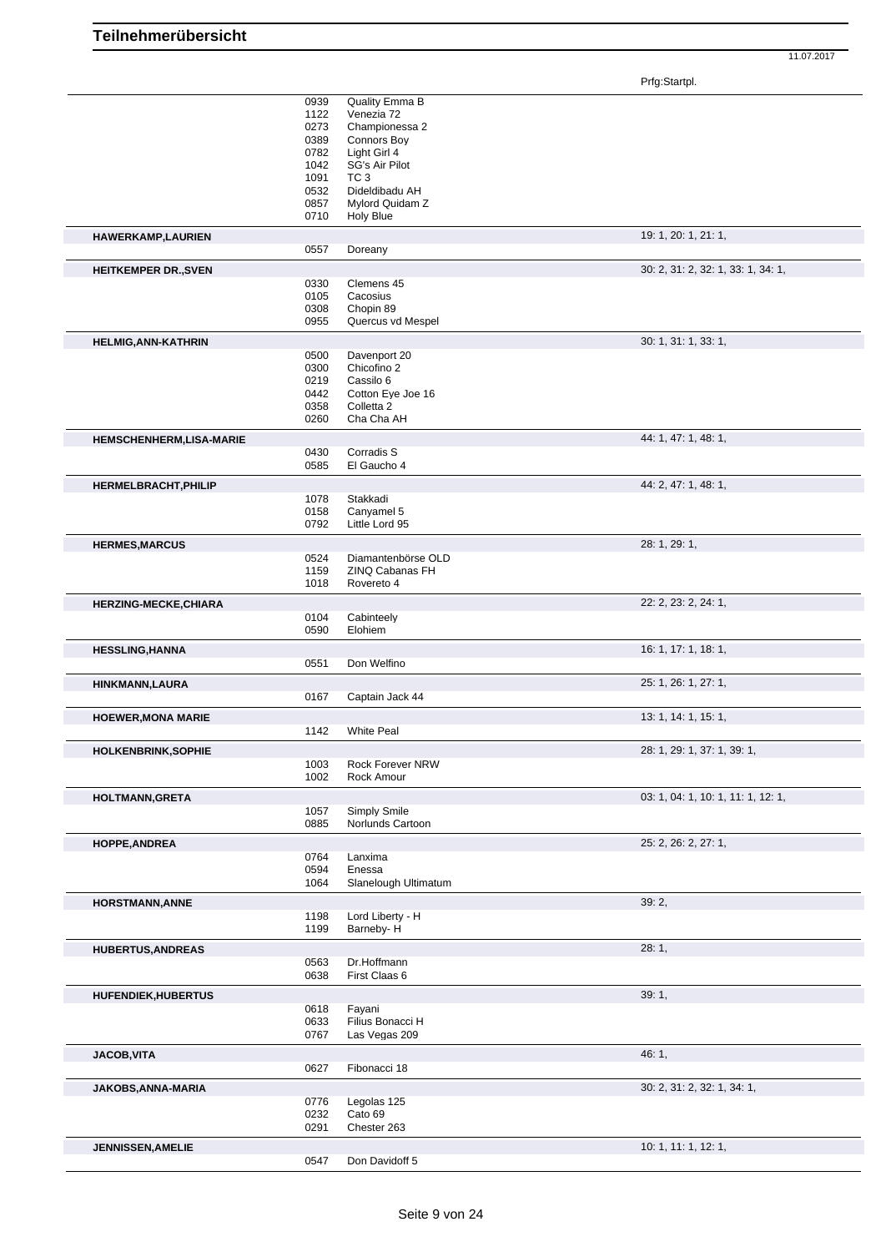Prfg:Startpl.

|                                | 0939 | Quality Emma B       |                                    |
|--------------------------------|------|----------------------|------------------------------------|
|                                | 1122 | Venezia 72           |                                    |
|                                | 0273 | Championessa 2       |                                    |
|                                | 0389 |                      |                                    |
|                                |      | Connors Boy          |                                    |
|                                | 0782 | Light Girl 4         |                                    |
|                                | 1042 | SG's Air Pilot       |                                    |
|                                | 1091 | TC <sub>3</sub>      |                                    |
|                                | 0532 | Dideldibadu AH       |                                    |
|                                | 0857 | Mylord Quidam Z      |                                    |
|                                | 0710 | Holy Blue            |                                    |
|                                |      |                      |                                    |
| HAWERKAMP, LAURIEN             |      |                      | 19: 1, 20: 1, 21: 1,               |
|                                | 0557 | Doreany              |                                    |
|                                |      |                      | 30: 2, 31: 2, 32: 1, 33: 1, 34: 1, |
| <b>HEITKEMPER DR., SVEN</b>    |      |                      |                                    |
|                                | 0330 | Clemens 45           |                                    |
|                                | 0105 | Cacosius             |                                    |
|                                | 0308 | Chopin 89            |                                    |
|                                | 0955 | Quercus vd Mespel    |                                    |
|                                |      |                      |                                    |
| <b>HELMIG, ANN-KATHRIN</b>     |      |                      | 30: 1, 31: 1, 33: 1,               |
|                                | 0500 | Davenport 20         |                                    |
|                                | 0300 | Chicofino 2          |                                    |
|                                | 0219 | Cassilo 6            |                                    |
|                                | 0442 | Cotton Eye Joe 16    |                                    |
|                                | 0358 | Colletta 2           |                                    |
|                                | 0260 | Cha Cha AH           |                                    |
|                                |      |                      |                                    |
| <b>HEMSCHENHERM,LISA-MARIE</b> |      |                      | 44: 1, 47: 1, 48: 1,               |
|                                | 0430 | Corradis S           |                                    |
|                                | 0585 | El Gaucho 4          |                                    |
|                                |      |                      |                                    |
| <b>HERMELBRACHT, PHILIP</b>    |      |                      | 44: 2, 47: 1, 48: 1,               |
|                                | 1078 | Stakkadi             |                                    |
|                                | 0158 | Canyamel 5           |                                    |
|                                | 0792 | Little Lord 95       |                                    |
|                                |      |                      |                                    |
| <b>HERMES, MARCUS</b>          |      |                      | 28: 1, 29: 1,                      |
|                                | 0524 | Diamantenbörse OLD   |                                    |
|                                | 1159 | ZINQ Cabanas FH      |                                    |
|                                | 1018 | Rovereto 4           |                                    |
|                                |      |                      | 22: 2, 23: 2, 24: 1,               |
| <b>HERZING-MECKE, CHIARA</b>   |      |                      |                                    |
|                                | 0104 | Cabinteely           |                                    |
|                                | 0590 | Elohiem              |                                    |
| <b>HESSLING, HANNA</b>         |      |                      | 16: 1, 17: 1, 18: 1,               |
|                                |      |                      |                                    |
|                                | 0551 | Don Welfino          |                                    |
| HINKMANN, LAURA                |      |                      | 25: 1, 26: 1, 27: 1,               |
|                                | 0167 | Captain Jack 44      |                                    |
|                                |      |                      |                                    |
| <b>HOEWER, MONA MARIE</b>      |      |                      | 13: 1, 14: 1, 15: 1,               |
|                                | 1142 | <b>White Peal</b>    |                                    |
|                                |      |                      |                                    |
| <b>HOLKENBRINK, SOPHIE</b>     |      |                      | 28: 1, 29: 1, 37: 1, 39: 1,        |
|                                | 1003 | Rock Forever NRW     |                                    |
|                                | 1002 | Rock Amour           |                                    |
| <b>HOLTMANN, GRETA</b>         |      |                      | 03: 1, 04: 1, 10: 1, 11: 1, 12: 1, |
|                                | 1057 | <b>Simply Smile</b>  |                                    |
|                                | 0885 | Norlunds Cartoon     |                                    |
|                                |      |                      |                                    |
|                                |      |                      |                                    |
| HOPPE, ANDREA                  |      |                      | 25: 2, 26: 2, 27: 1,               |
|                                |      |                      |                                    |
|                                | 0764 | Lanxima              |                                    |
|                                | 0594 | Enessa               |                                    |
|                                | 1064 | Slanelough Ultimatum |                                    |
| <b>HORSTMANN, ANNE</b>         |      |                      | 39:2,                              |
|                                | 1198 | Lord Liberty - H     |                                    |
|                                | 1199 | Barneby-H            |                                    |
|                                |      |                      |                                    |
| <b>HUBERTUS, ANDREAS</b>       |      |                      | 28:1,                              |
|                                | 0563 | Dr.Hoffmann          |                                    |
|                                | 0638 | First Claas 6        |                                    |
|                                |      |                      |                                    |
| <b>HUFENDIEK, HUBERTUS</b>     |      |                      | 39:1,                              |
|                                | 0618 | Fayani               |                                    |
|                                | 0633 | Filius Bonacci H     |                                    |
|                                | 0767 | Las Vegas 209        |                                    |
|                                |      |                      |                                    |
| <b>JACOB, VITA</b>             |      |                      | 46:1,                              |
|                                | 0627 | Fibonacci 18         |                                    |
|                                |      |                      |                                    |
| JAKOBS, ANNA-MARIA             |      |                      | 30: 2, 31: 2, 32: 1, 34: 1,        |
|                                | 0776 | Legolas 125          |                                    |
|                                | 0232 | Cato 69              |                                    |
|                                | 0291 | Chester 263          |                                    |
|                                |      |                      |                                    |
| <b>JENNISSEN, AMELIE</b>       | 0547 | Don Davidoff 5       | 10: 1, 11: 1, 12: 1,               |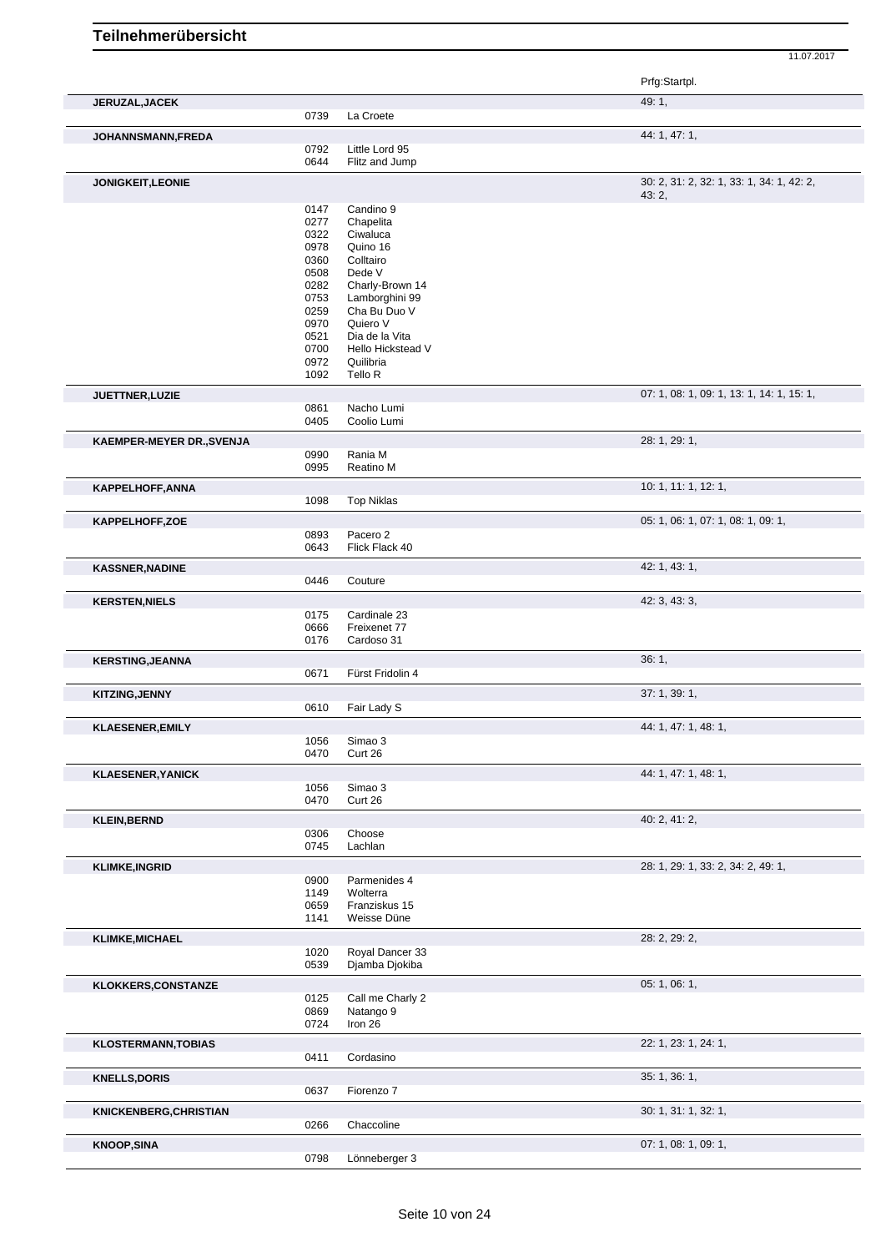|                            |              |                                   | Prfg:Startpl.                             |
|----------------------------|--------------|-----------------------------------|-------------------------------------------|
| <b>JERUZAL, JACEK</b>      | 0739         | La Croete                         | 49: 1,                                    |
| JOHANNSMANN, FREDA         |              |                                   | 44: 1, 47: 1,                             |
|                            | 0792<br>0644 | Little Lord 95<br>Flitz and Jump  |                                           |
| JONIGKEIT, LEONIE          |              |                                   | 30: 2, 31: 2, 32: 1, 33: 1, 34: 1, 42: 2, |
|                            | 0147         | Candino 9                         | 43:2,                                     |
|                            | 0277         | Chapelita                         |                                           |
|                            | 0322         | Ciwaluca                          |                                           |
|                            | 0978         | Quino 16                          |                                           |
|                            | 0360         | Colltairo                         |                                           |
|                            | 0508         | Dede V                            |                                           |
|                            | 0282<br>0753 | Charly-Brown 14<br>Lamborghini 99 |                                           |
|                            | 0259         | Cha Bu Duo V                      |                                           |
|                            | 0970         | Quiero V                          |                                           |
|                            | 0521         | Dia de la Vita                    |                                           |
|                            | 0700         | Hello Hickstead V                 |                                           |
|                            | 0972         | Quilibria                         |                                           |
|                            | 1092         | Tello R                           |                                           |
| JUETTNER, LUZIE            | 0861         | Nacho Lumi                        | 07: 1, 08: 1, 09: 1, 13: 1, 14: 1, 15: 1, |
|                            | 0405         | Coolio Lumi                       |                                           |
| KAEMPER-MEYER DR., SVENJA  |              |                                   | 28: 1, 29: 1,                             |
|                            | 0990<br>0995 | Rania M<br>Reatino M              |                                           |
|                            |              |                                   | 10: 1, 11: 1, 12: 1,                      |
| <b>KAPPELHOFF, ANNA</b>    | 1098         | <b>Top Niklas</b>                 |                                           |
| KAPPELHOFF,ZOE             |              |                                   | 05: 1, 06: 1, 07: 1, 08: 1, 09: 1,        |
|                            | 0893         | Pacero <sub>2</sub>               |                                           |
|                            | 0643         | Flick Flack 40                    |                                           |
| <b>KASSNER, NADINE</b>     |              |                                   | 42: 1, 43: 1,                             |
|                            | 0446         | Couture                           |                                           |
| <b>KERSTEN, NIELS</b>      |              |                                   | 42: 3, 43: 3,                             |
|                            | 0175<br>0666 | Cardinale 23<br>Freixenet 77      |                                           |
|                            | 0176         | Cardoso 31                        |                                           |
| <b>KERSTING, JEANNA</b>    |              |                                   | 36:1,                                     |
|                            | 0671         | Fürst Fridolin 4                  |                                           |
| <b>KITZING, JENNY</b>      | 0610         |                                   | 37:1,39:1,                                |
|                            |              | Fair Lady S                       |                                           |
| <b>KLAESENER, EMILY</b>    | 1056         | Simao 3                           | 44: 1, 47: 1, 48: 1,                      |
|                            | 0470         | Curt 26                           |                                           |
| <b>KLAESENER, YANICK</b>   |              |                                   | 44: 1, 47: 1, 48: 1,                      |
|                            | 1056<br>0470 | Simao 3<br>Curt 26                |                                           |
| <b>KLEIN, BERND</b>        |              |                                   | 40: 2, 41: 2,                             |
|                            | 0306         | Choose                            |                                           |
|                            | 0745         | Lachlan                           |                                           |
| <b>KLIMKE, INGRID</b>      |              |                                   | 28: 1, 29: 1, 33: 2, 34: 2, 49: 1,        |
|                            | 0900<br>1149 | Parmenides 4<br>Wolterra          |                                           |
|                            | 0659         | Franziskus 15                     |                                           |
|                            | 1141         | Weisse Düne                       |                                           |
| <b>KLIMKE, MICHAEL</b>     |              |                                   | 28: 2, 29: 2,                             |
|                            | 1020<br>0539 | Royal Dancer 33<br>Djamba Djokiba |                                           |
|                            |              |                                   |                                           |
| <b>KLOKKERS,CONSTANZE</b>  | 0125         | Call me Charly 2                  | 05: 1, 06: 1,                             |
|                            | 0869         | Natango 9                         |                                           |
|                            | 0724         | Iron 26                           |                                           |
| <b>KLOSTERMANN, TOBIAS</b> |              |                                   | 22: 1, 23: 1, 24: 1,                      |
|                            | 0411         | Cordasino                         |                                           |
| <b>KNELLS, DORIS</b>       |              |                                   | 35: 1, 36: 1,                             |
|                            | 0637         | Fiorenzo 7                        |                                           |
| KNICKENBERG, CHRISTIAN     | 0266         | Chaccoline                        | 30: 1, 31: 1, 32: 1,                      |
|                            |              |                                   | 07: 1, 08: 1, 09: 1,                      |
| <b>KNOOP, SINA</b>         | 0798         | Lönneberger 3                     |                                           |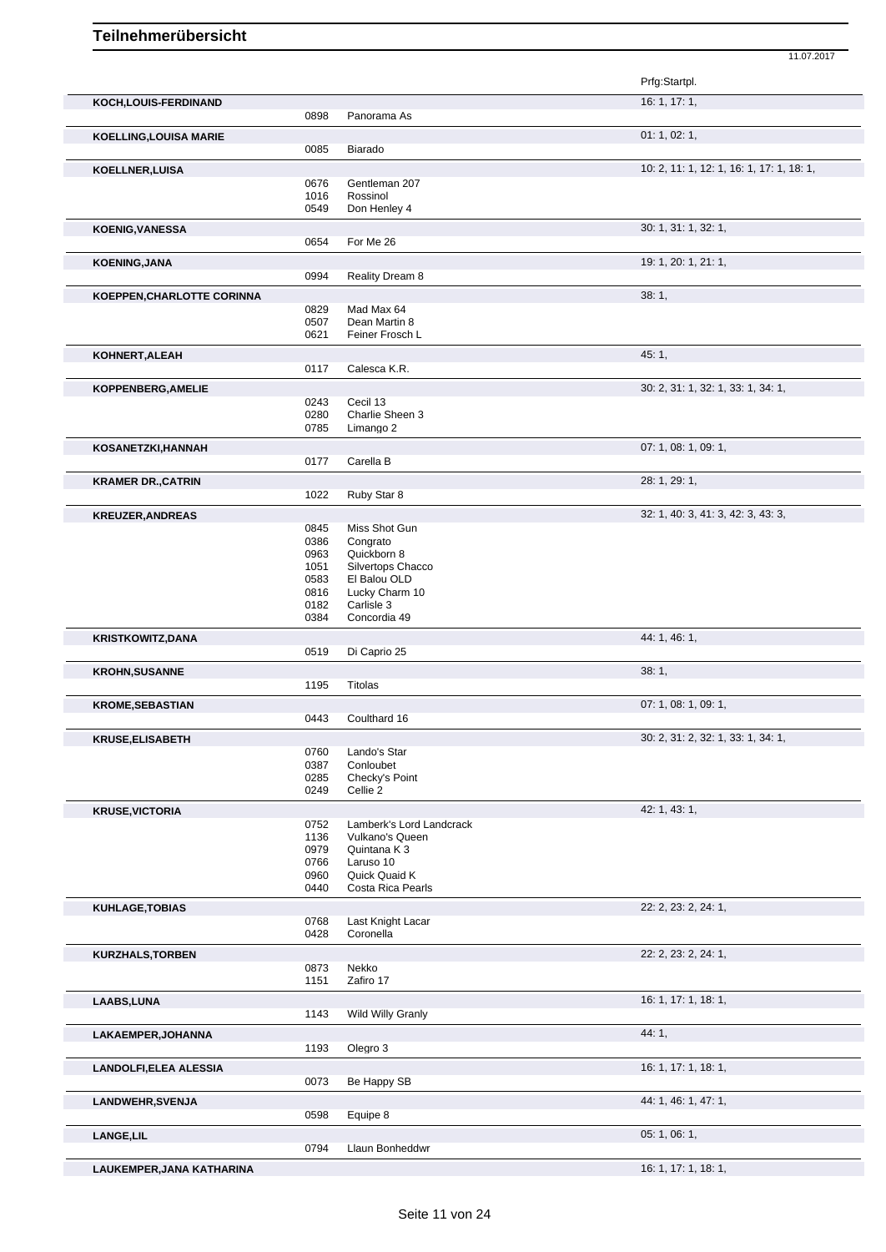Prfg:Startpl. **KOCH,LOUIS-FERDINAND** 16: 1, 17: 1, 0898 Panorama As **KOELLING,LOUISA MARIE 01: 1, 02: 1,** 02: 1, 02: 1, 02: 1, 02: 1, 02: 1, 02: 1, 02: 1, 02: 1, 02: 1, 02: 1, 02: 1, 02: 1, 02: 1, 02: 1, 02: 1, 02: 1, 02: 1, 02: 1, 02: 1, 02: 1, 02: 1, 02: 1, 02: 1, 02: 1, 02: 1, 02: 1, 0085 Biarado **KOELLNER,LUISA** 10: 2, 11: 1, 12: 1, 16: 1, 17: 1, 18: 1, 16: 1, 17: 1, 18: 1, 16: 1, 17: 1, 18: 1, 17: 1, 18: 1, Gentleman 207 1016 Rossinol<br>0549 Don Hen Don Henley 4 **KOENIG,VANESSA** 30: 1, 31: 1, 32: 1, 0654 For Me 26 **KOENING,JANA** 19: 1, 20: 1, 21: 1, 0994 Reality Dream 8 **KOEPPEN,CHARLOTTE CORINNA** 38: 1, 0829 Mad Max 64<br>0507 Dean Martin 0507 Dean Martin 8<br>0621 Feiner Frosch Feiner Frosch L **KOHNERT,ALEAH** 45: 1, 0117 Calesca K.R. **KOPPENBERG,AMELIE** 30: 2, 31: 1, 32: 1, 33: 1, 34: 1, 0243 Cecil 13<br>0280 Charlie 9 0280 Charlie Sheen 3<br>0785 Limango 2 Limango 2 **KOSANETZKI,HANNAH** 07: 1, 08: 1, 09: 1, 0177 Carella B **KRAMER DR.,CATRIN** 28: 1, 29: 1, Ruby Star 8 **KREUZER,ANDREAS** 32: 1, 40: 3, 41: 3, 42: 3, 43: 3, 0845 Miss Shot Gun<br>0386 Congrato 0386 Congrato<br>0963 Quickborr Quickborn 8 1051 Silvertops Chacco<br>0583 El Balou OLD 0583 El Balou OLD<br>0816 Lucky Charm 0816 Lucky Charm 10<br>0182 Carlisle 3 0182 Carlisle 3<br>0384 Concordia Concordia 49 **KRISTKOWITZ,DANA** 44: 1, 46: 1, 46: 1, 46: 1, 46: 1, 46: 1, 46: 1, 46: 1, 46: 1, 46: 1, 46: 1, 46: 1, 46: 1, 46: 1, 46: 1, 46: 1, 46: 1, 46: 1, 46: 1, 46: 1, 46: 1, 46: 1, 46: 1, 46: 1, 46: 1, 46: 1, 46: 1, 46: 1, 46: 1, Di Caprio 25 **KROHN,SUSANNE** 38: 1, Titolas **KROME,SEBASTIAN** 07: 1, 08: 1, 09: 1, 09: 1, 09: 1, 09: 1, 09: 1, 09: 1, 09: 1, 09: 1, 09: 1, 09: 1, 09: 1, 09: 1, 09: 1, 09: 1, 09: 1, 09: 1, 09: 1, 09: 1, 09: 1, 09: 1, 09: 1, 09: 1, 09: 1, 09: 1, 09: 1, 09: 1, 09: 1, 0 0443 Coulthard 16 **KRUSE,ELISABETH** 30: 2, 31: 2, 32: 1, 33: 1, 34: 1, 0760 Lando's Star<br>0387 Conloubet 0387 Conloubet<br>0285 Checky's F Checky's Point 0249 Cellie 2 **KRUSE, VICTORIA** 42: 1, 43: 1, 43: 1, 43: 1, 43: 1, 43: 1, 43: 1, 43: 1, 45: 1, 45: 1, 45: 1, 45: 1, 45: 1, 45: 1, 45: 1, 45: 1, 45: 1, 45: 1, 45: 1, 45: 1, 45: 1, 45: 1, 45: 1, 45: 1, 45: 1, 45: 1, 45: 1, 45: 1, 45: 1, 4 Lamberk's Lord Landcrack 1136 Vulkano's Queen 0979 Quintana K 3 0766 Laruso 10<br>0960 Quick Qua Quick Quaid K 0440 Costa Rica Pearls **KUHLAGE,TOBIAS** 22: 2, 23: 2, 24: 1, 0768 Last Knight Lacar<br>0428 Coronella Coronella **KURZHALS,TORBEN** 22: 2, 23: 2, 24: 1, 0873 Nekko<br>1151 Zafiro Zafiro 17 **LAABS, LUNA** 16: 1, 17: 1, 18: 1,<br>
1143 Wild Willy Granly **Wild Willy Granly** LAKAEMPER,JOHANNA 44: 1, 2014 193 Dlegro 3 Olegro 3 **LANDOLFI,ELEA ALESSIA** 16: 1, 17: 1, 18: 1,<br>
0073 Be Happy SB Be Happy SB **LANDWEHR, SVENJA 1.46: 1,47: 1,46: 1,47: 1,46: 1,47: 1,46: 1,47: 1,46: 1,47: 1,46: 1,47: 1,46: 1,47: 1,46: 1,47: 1,46: 1,47: 1,46: 1,47: 1,46: 1,47: 1,46: 1,47: 1,46: 1,47: 1,46: 1,47: 1,46: 1,47: 1,46: 1,47: 1,46: 1,47** Equipe 8

11.07.2017

**LANGE,LIL** 05: 1, 06: 1,

**LAUKEMPER, JANA KATHARINA** 16: 1, 17: 1, 18: 1, 16: 1, 17: 1, 18: 1, 16: 1, 17: 1, 18: 1, 16: 1, 17: 1, 18: 1,

0794 Llaun Bonheddwr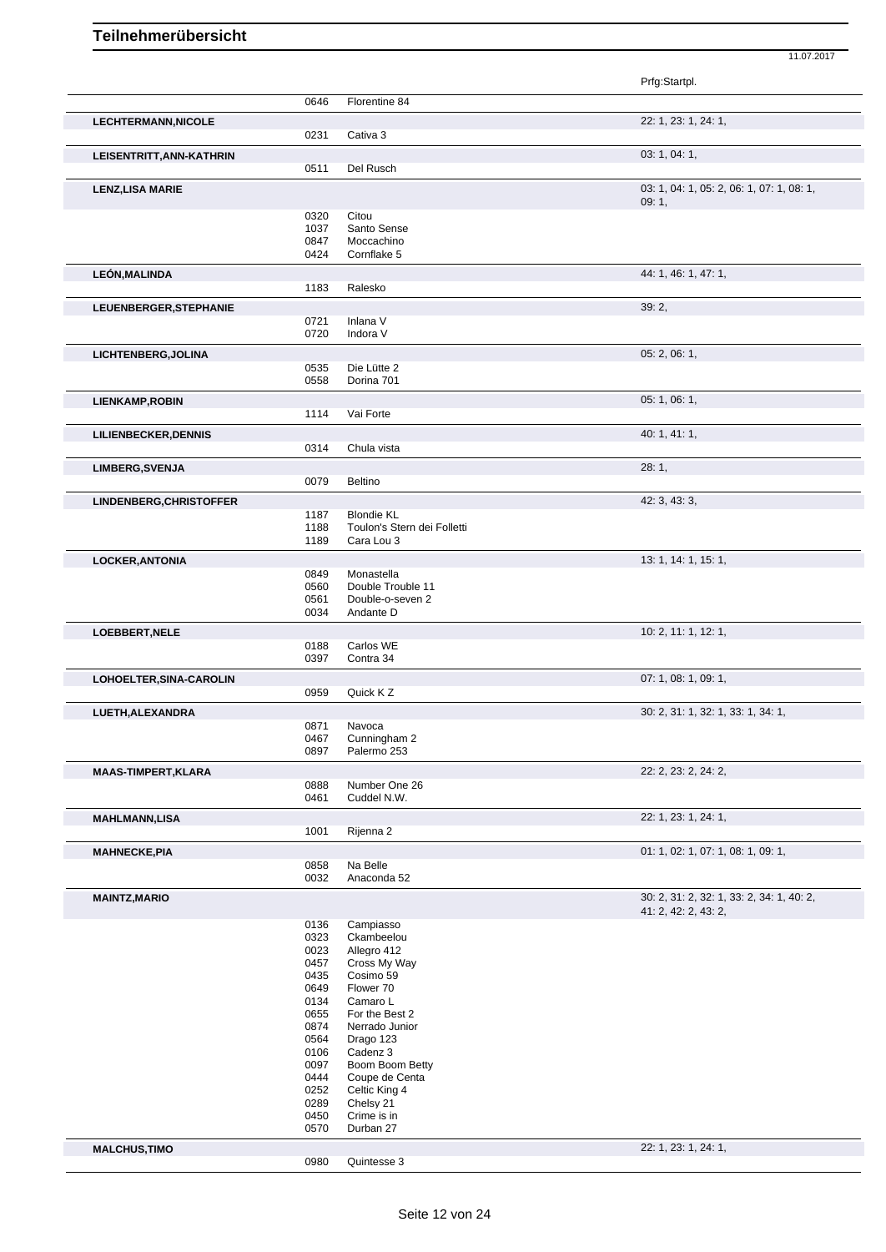| Prfg:Startpl.<br>0646<br>Florentine 84<br>22: 1, 23: 1, 24: 1,<br><b>LECHTERMANN, NICOLE</b><br>0231<br>Cativa 3<br>03: 1, 04: 1,<br>LEISENTRITT, ANN-KATHRIN<br>0511<br>Del Rusch<br>03: 1, 04: 1, 05: 2, 06: 1, 07: 1, 08: 1,<br><b>LENZ, LISA MARIE</b><br>09:1,<br>0320<br>Citou<br>1037<br>Santo Sense<br>Moccachino<br>0847<br>0424<br>Cornflake 5<br>44: 1, 46: 1, 47: 1,<br>LEÓN, MALINDA<br>1183<br>Ralesko<br>39:2,<br>LEUENBERGER, STEPHANIE<br>0721<br>Inlana V<br>0720<br>Indora V<br>05: 2, 06: 1,<br>LICHTENBERG, JOLINA<br>0535<br>Die Lütte 2<br>0558<br>Dorina 701<br>05: 1, 06: 1,<br>LIENKAMP, ROBIN<br>1114<br>Vai Forte<br>40:1, 41:1,<br><b>LILIENBECKER, DENNIS</b><br>0314<br>Chula vista<br>28:1,<br><b>LIMBERG, SVENJA</b><br>0079<br>Beltino<br>42: 3, 43: 3,<br>LINDENBERG, CHRISTOFFER<br>1187<br><b>Blondie KL</b><br>Toulon's Stern dei Folletti<br>1188<br>Cara Lou 3<br>1189 |  |
|----------------------------------------------------------------------------------------------------------------------------------------------------------------------------------------------------------------------------------------------------------------------------------------------------------------------------------------------------------------------------------------------------------------------------------------------------------------------------------------------------------------------------------------------------------------------------------------------------------------------------------------------------------------------------------------------------------------------------------------------------------------------------------------------------------------------------------------------------------------------------------------------------------------|--|
|                                                                                                                                                                                                                                                                                                                                                                                                                                                                                                                                                                                                                                                                                                                                                                                                                                                                                                                |  |
|                                                                                                                                                                                                                                                                                                                                                                                                                                                                                                                                                                                                                                                                                                                                                                                                                                                                                                                |  |
|                                                                                                                                                                                                                                                                                                                                                                                                                                                                                                                                                                                                                                                                                                                                                                                                                                                                                                                |  |
|                                                                                                                                                                                                                                                                                                                                                                                                                                                                                                                                                                                                                                                                                                                                                                                                                                                                                                                |  |
|                                                                                                                                                                                                                                                                                                                                                                                                                                                                                                                                                                                                                                                                                                                                                                                                                                                                                                                |  |
|                                                                                                                                                                                                                                                                                                                                                                                                                                                                                                                                                                                                                                                                                                                                                                                                                                                                                                                |  |
|                                                                                                                                                                                                                                                                                                                                                                                                                                                                                                                                                                                                                                                                                                                                                                                                                                                                                                                |  |
|                                                                                                                                                                                                                                                                                                                                                                                                                                                                                                                                                                                                                                                                                                                                                                                                                                                                                                                |  |
|                                                                                                                                                                                                                                                                                                                                                                                                                                                                                                                                                                                                                                                                                                                                                                                                                                                                                                                |  |
|                                                                                                                                                                                                                                                                                                                                                                                                                                                                                                                                                                                                                                                                                                                                                                                                                                                                                                                |  |
|                                                                                                                                                                                                                                                                                                                                                                                                                                                                                                                                                                                                                                                                                                                                                                                                                                                                                                                |  |
|                                                                                                                                                                                                                                                                                                                                                                                                                                                                                                                                                                                                                                                                                                                                                                                                                                                                                                                |  |
|                                                                                                                                                                                                                                                                                                                                                                                                                                                                                                                                                                                                                                                                                                                                                                                                                                                                                                                |  |
|                                                                                                                                                                                                                                                                                                                                                                                                                                                                                                                                                                                                                                                                                                                                                                                                                                                                                                                |  |
|                                                                                                                                                                                                                                                                                                                                                                                                                                                                                                                                                                                                                                                                                                                                                                                                                                                                                                                |  |
|                                                                                                                                                                                                                                                                                                                                                                                                                                                                                                                                                                                                                                                                                                                                                                                                                                                                                                                |  |
|                                                                                                                                                                                                                                                                                                                                                                                                                                                                                                                                                                                                                                                                                                                                                                                                                                                                                                                |  |
|                                                                                                                                                                                                                                                                                                                                                                                                                                                                                                                                                                                                                                                                                                                                                                                                                                                                                                                |  |
|                                                                                                                                                                                                                                                                                                                                                                                                                                                                                                                                                                                                                                                                                                                                                                                                                                                                                                                |  |
|                                                                                                                                                                                                                                                                                                                                                                                                                                                                                                                                                                                                                                                                                                                                                                                                                                                                                                                |  |
|                                                                                                                                                                                                                                                                                                                                                                                                                                                                                                                                                                                                                                                                                                                                                                                                                                                                                                                |  |
|                                                                                                                                                                                                                                                                                                                                                                                                                                                                                                                                                                                                                                                                                                                                                                                                                                                                                                                |  |
|                                                                                                                                                                                                                                                                                                                                                                                                                                                                                                                                                                                                                                                                                                                                                                                                                                                                                                                |  |
|                                                                                                                                                                                                                                                                                                                                                                                                                                                                                                                                                                                                                                                                                                                                                                                                                                                                                                                |  |
|                                                                                                                                                                                                                                                                                                                                                                                                                                                                                                                                                                                                                                                                                                                                                                                                                                                                                                                |  |
|                                                                                                                                                                                                                                                                                                                                                                                                                                                                                                                                                                                                                                                                                                                                                                                                                                                                                                                |  |
|                                                                                                                                                                                                                                                                                                                                                                                                                                                                                                                                                                                                                                                                                                                                                                                                                                                                                                                |  |
|                                                                                                                                                                                                                                                                                                                                                                                                                                                                                                                                                                                                                                                                                                                                                                                                                                                                                                                |  |
| 13: 1, 14: 1, 15: 1,<br><b>LOCKER, ANTONIA</b>                                                                                                                                                                                                                                                                                                                                                                                                                                                                                                                                                                                                                                                                                                                                                                                                                                                                 |  |
| 0849<br>Monastella<br>0560<br>Double Trouble 11                                                                                                                                                                                                                                                                                                                                                                                                                                                                                                                                                                                                                                                                                                                                                                                                                                                                |  |
| Double-o-seven 2<br>0561                                                                                                                                                                                                                                                                                                                                                                                                                                                                                                                                                                                                                                                                                                                                                                                                                                                                                       |  |
| 0034<br>Andante D                                                                                                                                                                                                                                                                                                                                                                                                                                                                                                                                                                                                                                                                                                                                                                                                                                                                                              |  |
| 10: 2, 11: 1, 12: 1,<br>LOEBBERT, NELE                                                                                                                                                                                                                                                                                                                                                                                                                                                                                                                                                                                                                                                                                                                                                                                                                                                                         |  |
| 0188<br>Carlos WE                                                                                                                                                                                                                                                                                                                                                                                                                                                                                                                                                                                                                                                                                                                                                                                                                                                                                              |  |
| 0397<br>Contra 34                                                                                                                                                                                                                                                                                                                                                                                                                                                                                                                                                                                                                                                                                                                                                                                                                                                                                              |  |
| 07: 1, 08: 1, 09: 1,<br>LOHOELTER, SINA-CAROLIN                                                                                                                                                                                                                                                                                                                                                                                                                                                                                                                                                                                                                                                                                                                                                                                                                                                                |  |
| Quick K Z<br>0959                                                                                                                                                                                                                                                                                                                                                                                                                                                                                                                                                                                                                                                                                                                                                                                                                                                                                              |  |
| 30: 2, 31: 1, 32: 1, 33: 1, 34: 1,<br>LUETH, ALEXANDRA                                                                                                                                                                                                                                                                                                                                                                                                                                                                                                                                                                                                                                                                                                                                                                                                                                                         |  |
| 0871<br>Navoca<br>0467<br>Cunningham 2                                                                                                                                                                                                                                                                                                                                                                                                                                                                                                                                                                                                                                                                                                                                                                                                                                                                         |  |
| 0897<br>Palermo 253                                                                                                                                                                                                                                                                                                                                                                                                                                                                                                                                                                                                                                                                                                                                                                                                                                                                                            |  |
| 22: 2, 23: 2, 24: 2,<br>MAAS-TIMPERT, KLARA                                                                                                                                                                                                                                                                                                                                                                                                                                                                                                                                                                                                                                                                                                                                                                                                                                                                    |  |
| 0888<br>Number One 26                                                                                                                                                                                                                                                                                                                                                                                                                                                                                                                                                                                                                                                                                                                                                                                                                                                                                          |  |
| 0461<br>Cuddel N.W.                                                                                                                                                                                                                                                                                                                                                                                                                                                                                                                                                                                                                                                                                                                                                                                                                                                                                            |  |
| 22: 1, 23: 1, 24: 1,<br><b>MAHLMANN,LISA</b>                                                                                                                                                                                                                                                                                                                                                                                                                                                                                                                                                                                                                                                                                                                                                                                                                                                                   |  |
| 1001<br>Rijenna 2                                                                                                                                                                                                                                                                                                                                                                                                                                                                                                                                                                                                                                                                                                                                                                                                                                                                                              |  |
| 01: 1, 02: 1, 07: 1, 08: 1, 09: 1,<br><b>MAHNECKE, PIA</b>                                                                                                                                                                                                                                                                                                                                                                                                                                                                                                                                                                                                                                                                                                                                                                                                                                                     |  |
| Na Belle<br>0858<br>0032<br>Anaconda 52                                                                                                                                                                                                                                                                                                                                                                                                                                                                                                                                                                                                                                                                                                                                                                                                                                                                        |  |
| 30: 2, 31: 2, 32: 1, 33: 2, 34: 1, 40: 2,                                                                                                                                                                                                                                                                                                                                                                                                                                                                                                                                                                                                                                                                                                                                                                                                                                                                      |  |
| <b>MAINTZ, MARIO</b><br>41: 2, 42: 2, 43: 2,                                                                                                                                                                                                                                                                                                                                                                                                                                                                                                                                                                                                                                                                                                                                                                                                                                                                   |  |
| 0136<br>Campiasso                                                                                                                                                                                                                                                                                                                                                                                                                                                                                                                                                                                                                                                                                                                                                                                                                                                                                              |  |
| 0323<br>Ckambeelou                                                                                                                                                                                                                                                                                                                                                                                                                                                                                                                                                                                                                                                                                                                                                                                                                                                                                             |  |
| 0023<br>Allegro 412                                                                                                                                                                                                                                                                                                                                                                                                                                                                                                                                                                                                                                                                                                                                                                                                                                                                                            |  |
| 0457<br>Cross My Way                                                                                                                                                                                                                                                                                                                                                                                                                                                                                                                                                                                                                                                                                                                                                                                                                                                                                           |  |
| 0435<br>Cosimo 59<br>0649<br>Flower 70                                                                                                                                                                                                                                                                                                                                                                                                                                                                                                                                                                                                                                                                                                                                                                                                                                                                         |  |
| 0134<br>Camaro L                                                                                                                                                                                                                                                                                                                                                                                                                                                                                                                                                                                                                                                                                                                                                                                                                                                                                               |  |
| 0655<br>For the Best 2                                                                                                                                                                                                                                                                                                                                                                                                                                                                                                                                                                                                                                                                                                                                                                                                                                                                                         |  |
| 0874<br>Nerrado Junior                                                                                                                                                                                                                                                                                                                                                                                                                                                                                                                                                                                                                                                                                                                                                                                                                                                                                         |  |
| 0564<br>Drago 123                                                                                                                                                                                                                                                                                                                                                                                                                                                                                                                                                                                                                                                                                                                                                                                                                                                                                              |  |
| Cadenz 3<br>0106                                                                                                                                                                                                                                                                                                                                                                                                                                                                                                                                                                                                                                                                                                                                                                                                                                                                                               |  |
| Boom Boom Betty<br>0097                                                                                                                                                                                                                                                                                                                                                                                                                                                                                                                                                                                                                                                                                                                                                                                                                                                                                        |  |
| 0444<br>Coupe de Centa                                                                                                                                                                                                                                                                                                                                                                                                                                                                                                                                                                                                                                                                                                                                                                                                                                                                                         |  |
| 0252<br>Celtic King 4                                                                                                                                                                                                                                                                                                                                                                                                                                                                                                                                                                                                                                                                                                                                                                                                                                                                                          |  |
| 0289<br>Chelsy 21                                                                                                                                                                                                                                                                                                                                                                                                                                                                                                                                                                                                                                                                                                                                                                                                                                                                                              |  |
| 0450<br>Crime is in                                                                                                                                                                                                                                                                                                                                                                                                                                                                                                                                                                                                                                                                                                                                                                                                                                                                                            |  |
| 0570<br>Durban 27                                                                                                                                                                                                                                                                                                                                                                                                                                                                                                                                                                                                                                                                                                                                                                                                                                                                                              |  |

**MALCHUS,TIMO** 22: 1, 23: 1, 24: 1, 2980 Quintesse 3 Quintesse 3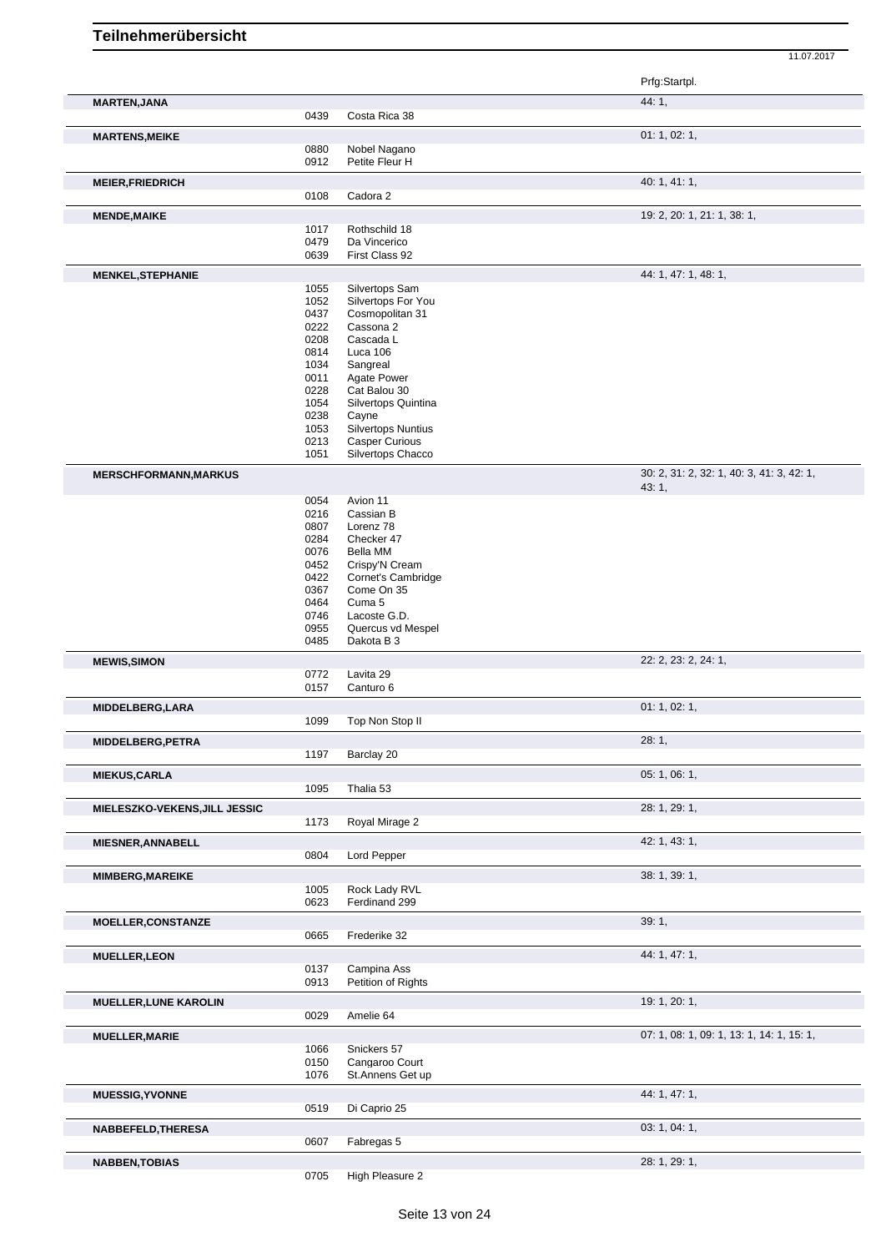|                               |              |                                            | Prfg:Startpl.                             |
|-------------------------------|--------------|--------------------------------------------|-------------------------------------------|
| <b>MARTEN, JANA</b>           |              |                                            | 44: 1,                                    |
|                               | 0439         | Costa Rica 38                              |                                           |
| <b>MARTENS, MEIKE</b>         | 0880         | Nobel Nagano                               | 01: 1, 02: 1,                             |
|                               | 0912         | Petite Fleur H                             |                                           |
| <b>MEIER, FRIEDRICH</b>       |              |                                            | 40: 1, 41: 1,                             |
|                               | 0108         | Cadora 2                                   |                                           |
| <b>MENDE, MAIKE</b>           |              |                                            | 19: 2, 20: 1, 21: 1, 38: 1,               |
|                               | 1017         | Rothschild 18                              |                                           |
|                               | 0479<br>0639 | Da Vincerico<br>First Class 92             |                                           |
| <b>MENKEL, STEPHANIE</b>      |              |                                            | 44: 1, 47: 1, 48: 1,                      |
|                               | 1055         | Silvertops Sam                             |                                           |
|                               | 1052         | Silvertops For You                         |                                           |
|                               | 0437         | Cosmopolitan 31                            |                                           |
|                               | 0222<br>0208 | Cassona 2<br>Cascada L                     |                                           |
|                               | 0814         | Luca 106                                   |                                           |
|                               | 1034         | Sangreal                                   |                                           |
|                               | 0011         | Agate Power                                |                                           |
|                               | 0228<br>1054 | Cat Balou 30<br>Silvertops Quintina        |                                           |
|                               | 0238         | Cayne                                      |                                           |
|                               | 1053         | <b>Silvertops Nuntius</b>                  |                                           |
|                               | 0213         | <b>Casper Curious</b><br>Silvertops Chacco |                                           |
|                               | 1051         |                                            | 30: 2, 31: 2, 32: 1, 40: 3, 41: 3, 42: 1, |
| <b>MERSCHFORMANN, MARKUS</b>  |              |                                            | 43: 1,                                    |
|                               | 0054<br>0216 | Avion 11<br>Cassian B                      |                                           |
|                               | 0807         | Lorenz 78                                  |                                           |
|                               | 0284         | Checker 47                                 |                                           |
|                               | 0076         | Bella MM                                   |                                           |
|                               | 0452         | Crispy'N Cream                             |                                           |
|                               | 0422<br>0367 | Cornet's Cambridge<br>Come On 35           |                                           |
|                               | 0464         | Cuma 5                                     |                                           |
|                               | 0746         | Lacoste G.D.                               |                                           |
|                               | 0955<br>0485 | Quercus vd Mespel<br>Dakota B 3            |                                           |
| <b>MEWIS, SIMON</b>           |              |                                            | 22: 2, 23: 2, 24: 1,                      |
|                               | 0772         | Lavita 29                                  |                                           |
|                               | 0157         | Canturo 6                                  |                                           |
| MIDDELBERG, LARA              |              |                                            | 01: 1, 02: 1,                             |
|                               | 1099         | Top Non Stop II                            |                                           |
| MIDDELBERG, PETRA             |              |                                            | 28: 1,                                    |
|                               | 1197         | Barclay 20                                 |                                           |
| <b>MIEKUS, CARLA</b>          | 1095         | Thalia 53                                  | 05: 1, 06: 1,                             |
|                               |              |                                            |                                           |
| MIELESZKO-VEKENS, JILL JESSIC | 1173         | Royal Mirage 2                             | 28: 1, 29: 1,                             |
| <b>MIESNER, ANNABELL</b>      |              |                                            | 42: 1, 43: 1,                             |
|                               | 0804         | Lord Pepper                                |                                           |
| <b>MIMBERG, MAREIKE</b>       |              |                                            | 38: 1, 39: 1,                             |
|                               | 1005         | Rock Lady RVL                              |                                           |
|                               | 0623         | Ferdinand 299                              |                                           |
| <b>MOELLER, CONSTANZE</b>     | 0665         | Frederike 32                               | 39:1,                                     |
|                               |              |                                            |                                           |
| <b>MUELLER, LEON</b>          | 0137         | Campina Ass                                | 44: 1, 47: 1,                             |
|                               | 0913         | Petition of Rights                         |                                           |
| <b>MUELLER, LUNE KAROLIN</b>  |              |                                            | 19: 1, 20: 1,                             |
|                               | 0029         | Amelie 64                                  |                                           |
| <b>MUELLER, MARIE</b>         |              |                                            | 07: 1, 08: 1, 09: 1, 13: 1, 14: 1, 15: 1, |
|                               | 1066         | Snickers 57                                |                                           |
|                               | 0150<br>1076 | Cangaroo Court<br>St.Annens Get up         |                                           |
| <b>MUESSIG, YVONNE</b>        |              |                                            | 44: 1, 47: 1,                             |
|                               | 0519         | Di Caprio 25                               |                                           |
| NABBEFELD, THERESA            |              |                                            | 03: 1, 04: 1,                             |
|                               | 0607         | Fabregas 5                                 |                                           |
| <b>NABBEN, TOBIAS</b>         |              |                                            | 28: 1, 29: 1,                             |
|                               | 0705         | High Pleasure 2                            |                                           |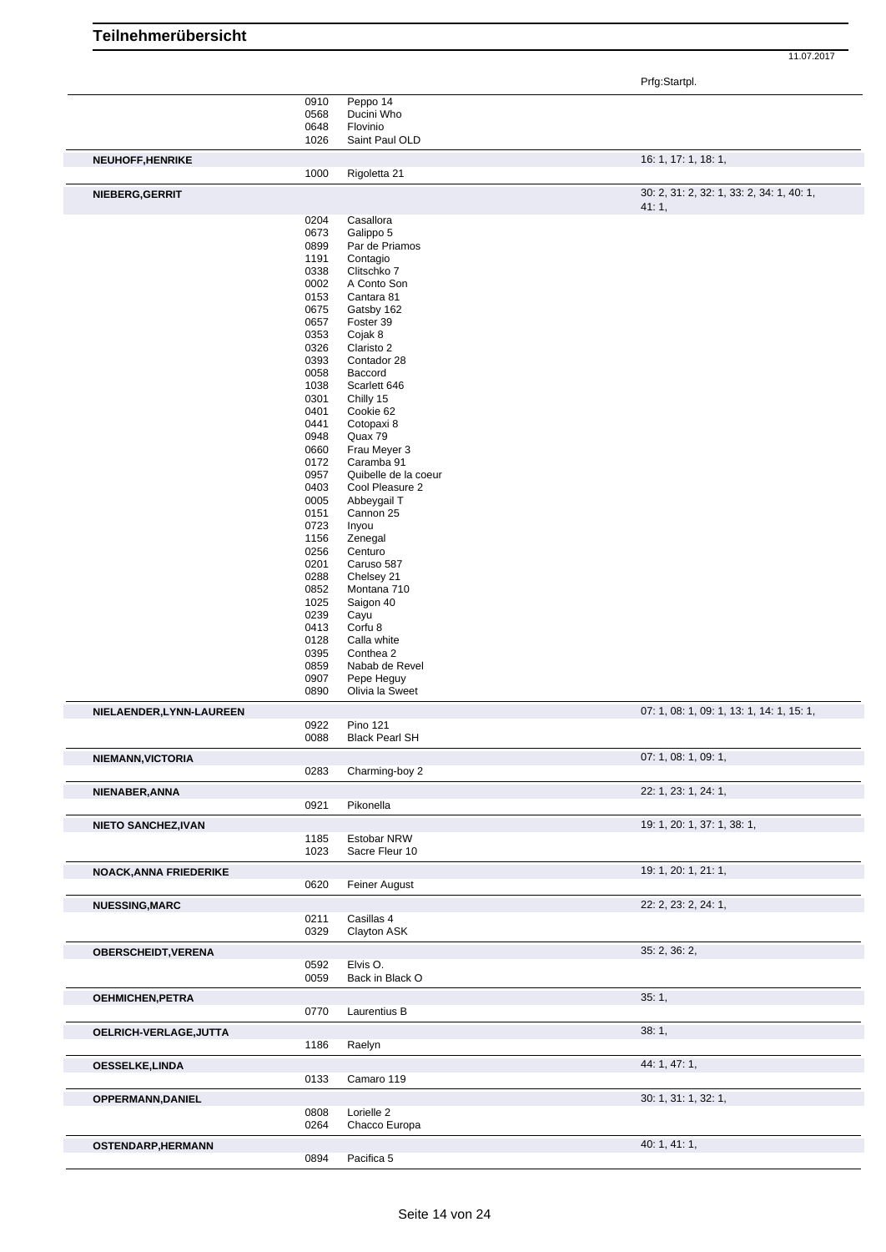|                               |              |                                | Prfg:Startpl.                                      |
|-------------------------------|--------------|--------------------------------|----------------------------------------------------|
|                               | 0910         | Peppo 14                       |                                                    |
|                               | 0568         | Ducini Who                     |                                                    |
|                               | 0648<br>1026 | Flovinio<br>Saint Paul OLD     |                                                    |
|                               |              |                                |                                                    |
| NEUHOFF, HENRIKE              | 1000         | Rigoletta 21                   | 16: 1, 17: 1, 18: 1,                               |
|                               |              |                                |                                                    |
| NIEBERG, GERRIT               |              |                                | 30: 2, 31: 2, 32: 1, 33: 2, 34: 1, 40: 1,<br>41:1, |
|                               | 0204         | Casallora                      |                                                    |
|                               | 0673         | Galippo 5                      |                                                    |
|                               | 0899         | Par de Priamos                 |                                                    |
|                               | 1191         | Contagio                       |                                                    |
|                               | 0338         | Clitschko 7                    |                                                    |
|                               | 0002<br>0153 | A Conto Son<br>Cantara 81      |                                                    |
|                               | 0675         | Gatsby 162                     |                                                    |
|                               | 0657         | Foster 39                      |                                                    |
|                               | 0353         | Cojak 8                        |                                                    |
|                               | 0326         | Claristo 2                     |                                                    |
|                               | 0393         | Contador 28                    |                                                    |
|                               | 0058         | Baccord                        |                                                    |
|                               | 1038<br>0301 | Scarlett 646<br>Chilly 15      |                                                    |
|                               | 0401         | Cookie 62                      |                                                    |
|                               | 0441         | Cotopaxi 8                     |                                                    |
|                               | 0948         | Quax 79                        |                                                    |
|                               | 0660         | Frau Meyer 3                   |                                                    |
|                               | 0172         | Caramba 91                     |                                                    |
|                               | 0957         | Quibelle de la coeur           |                                                    |
|                               | 0403<br>0005 | Cool Pleasure 2<br>Abbeygail T |                                                    |
|                               | 0151         | Cannon 25                      |                                                    |
|                               | 0723         | Inyou                          |                                                    |
|                               | 1156         | Zenegal                        |                                                    |
|                               | 0256         | Centuro                        |                                                    |
|                               | 0201         | Caruso 587                     |                                                    |
|                               | 0288         | Chelsey 21                     |                                                    |
|                               | 0852<br>1025 | Montana 710<br>Saigon 40       |                                                    |
|                               | 0239         | Cayu                           |                                                    |
|                               | 0413         | Corfu 8                        |                                                    |
|                               | 0128         | Calla white                    |                                                    |
|                               | 0395         | Conthea 2                      |                                                    |
|                               | 0859         | Nabab de Revel                 |                                                    |
|                               | 0907<br>0890 | Pepe Heguy<br>Olivia la Sweet  |                                                    |
|                               |              |                                |                                                    |
| NIELAENDER, LYNN-LAUREEN      | 0922         | <b>Pino 121</b>                | 07: 1, 08: 1, 09: 1, 13: 1, 14: 1, 15: 1,          |
|                               | 0088         | <b>Black Pearl SH</b>          |                                                    |
| NIEMANN, VICTORIA             |              |                                | 07: 1, 08: 1, 09: 1,                               |
|                               | 0283         | Charming-boy 2                 |                                                    |
| NIENABER, ANNA                |              |                                | 22: 1, 23: 1, 24: 1,                               |
|                               | 0921         | Pikonella                      |                                                    |
| <b>NIETO SANCHEZ, IVAN</b>    |              |                                | 19: 1, 20: 1, 37: 1, 38: 1,                        |
|                               | 1185         | Estobar NRW                    |                                                    |
|                               | 1023         | Sacre Fleur 10                 |                                                    |
| <b>NOACK, ANNA FRIEDERIKE</b> |              |                                | 19: 1, 20: 1, 21: 1,                               |
|                               | 0620         | Feiner August                  |                                                    |
| <b>NUESSING, MARC</b>         |              |                                | 22: 2, 23: 2, 24: 1,                               |
|                               | 0211         | Casillas 4                     |                                                    |
|                               | 0329         | Clayton ASK                    |                                                    |
| OBERSCHEIDT, VERENA           |              |                                | 35: 2, 36: 2,                                      |
|                               | 0592         | Elvis O.                       |                                                    |
|                               | 0059         | Back in Black O                |                                                    |
| <b>OEHMICHEN, PETRA</b>       |              |                                | 35:1,                                              |
|                               | 0770         | Laurentius B                   |                                                    |
|                               |              |                                |                                                    |
| OELRICH-VERLAGE, JUTTA        | 1186         | Raelyn                         | 38:1,                                              |
|                               |              |                                | 44: 1, 47: 1,                                      |
| <b>OESSELKE,LINDA</b>         | 0133         | Camaro 119                     |                                                    |
|                               |              |                                |                                                    |
| OPPERMANN, DANIEL             | 0808         | Lorielle 2                     | 30: 1, 31: 1, 32: 1,                               |
|                               | 0264         | Chacco Europa                  |                                                    |
|                               |              |                                |                                                    |
| OSTENDARP, HERMANN            | 0894         | Pacifica 5                     | 40: 1, 41: 1,                                      |
|                               |              |                                |                                                    |

**Teilnehmerübersicht**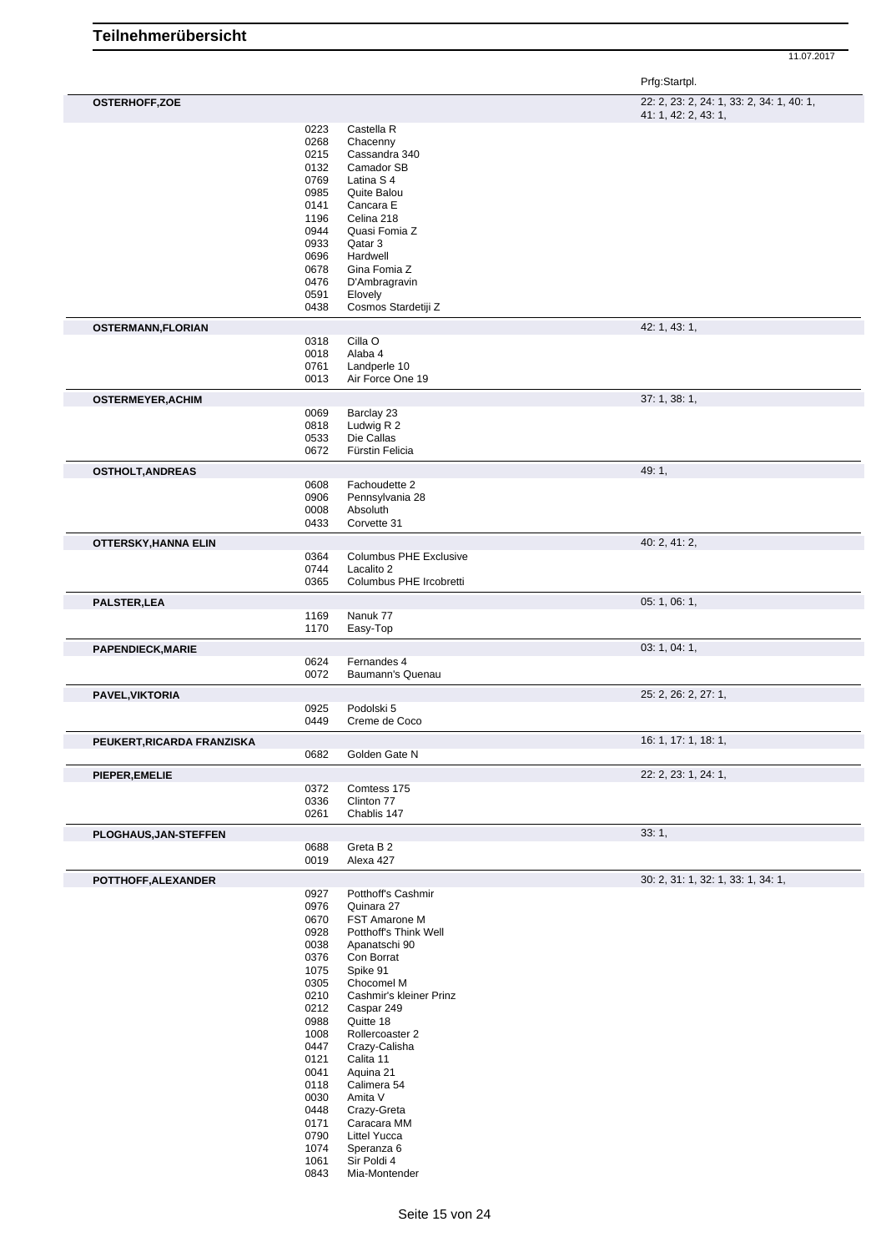| Prfg:Startpl. |
|---------------|
|---------------|

| <b>OSTERHOFF,ZOE</b>        |              |                                       | 22: 2, 23: 2, 24: 1, 33: 2, 34: 1, 40: 1, |
|-----------------------------|--------------|---------------------------------------|-------------------------------------------|
|                             |              |                                       | 41: 1, 42: 2, 43: 1,                      |
|                             | 0223<br>0268 | Castella R<br>Chacenny                |                                           |
|                             | 0215         | Cassandra 340                         |                                           |
|                             | 0132         | Camador SB                            |                                           |
|                             | 0769<br>0985 | Latina S 4<br>Quite Balou             |                                           |
|                             | 0141         | Cancara E                             |                                           |
|                             | 1196         | Celina 218                            |                                           |
|                             | 0944         | Quasi Fomia Z                         |                                           |
|                             | 0933<br>0696 | Qatar 3<br>Hardwell                   |                                           |
|                             | 0678         | Gina Fomia Z                          |                                           |
|                             | 0476         | D'Ambragravin                         |                                           |
|                             | 0591<br>0438 | Elovely<br>Cosmos Stardetiji Z        |                                           |
|                             |              |                                       | 42: 1, 43: 1,                             |
| <b>OSTERMANN,FLORIAN</b>    | 0318         | Cilla O                               |                                           |
|                             | 0018         | Alaba 4                               |                                           |
|                             | 0761         | Landperle 10                          |                                           |
|                             | 0013         | Air Force One 19                      |                                           |
| <b>OSTERMEYER, ACHIM</b>    |              |                                       | 37: 1, 38: 1,                             |
|                             | 0069<br>0818 | Barclay 23<br>Ludwig R 2              |                                           |
|                             | 0533         | Die Callas                            |                                           |
|                             | 0672         | Fürstin Felicia                       |                                           |
| <b>OSTHOLT, ANDREAS</b>     |              |                                       | 49:1,                                     |
|                             | 0608         | Fachoudette 2                         |                                           |
|                             | 0906<br>0008 | Pennsylvania 28<br>Absoluth           |                                           |
|                             | 0433         | Corvette 31                           |                                           |
| <b>OTTERSKY, HANNA ELIN</b> |              |                                       | 40: 2, 41: 2,                             |
|                             | 0364         | <b>Columbus PHE Exclusive</b>         |                                           |
|                             | 0744         | Lacalito 2                            |                                           |
|                             | 0365         | Columbus PHE Ircobretti               |                                           |
| <b>PALSTER,LEA</b>          | 1169         | Nanuk 77                              | 05: 1, 06: 1,                             |
|                             | 1170         | Easy-Top                              |                                           |
| <b>PAPENDIECK, MARIE</b>    |              |                                       | 03: 1, 04: 1,                             |
|                             | 0624         | Fernandes 4                           |                                           |
|                             | 0072         | Baumann's Quenau                      |                                           |
| <b>PAVEL, VIKTORIA</b>      |              |                                       | 25: 2, 26: 2, 27: 1,                      |
|                             | 0925         | Podolski 5                            |                                           |
|                             | 0449         | Creme de Coco                         |                                           |
| PEUKERT, RICARDA FRANZISKA  | 0682         | Golden Gate N                         | 16: 1, 17: 1, 18: 1,                      |
|                             |              |                                       |                                           |
| PIEPER, EMELIE              | 0372         | Comtess 175                           | 22: 2, 23: 1, 24: 1,                      |
|                             | 0336         | Clinton 77                            |                                           |
|                             | 0261         | Chablis 147                           |                                           |
| PLOGHAUS, JAN-STEFFEN       |              |                                       | 33:1,                                     |
|                             | 0688         | Greta B 2                             |                                           |
|                             | 0019         | Alexa 427                             |                                           |
| POTTHOFF, ALEXANDER         | 0927         | Potthoff's Cashmir                    | 30: 2, 31: 1, 32: 1, 33: 1, 34: 1,        |
|                             | 0976         | Quinara 27                            |                                           |
|                             | 0670         | <b>FST Amarone M</b>                  |                                           |
|                             | 0928         | Potthoff's Think Well                 |                                           |
|                             | 0038<br>0376 | Apanatschi 90<br>Con Borrat           |                                           |
|                             | 1075         | Spike 91                              |                                           |
|                             | 0305         | Chocomel M                            |                                           |
|                             | 0210<br>0212 | Cashmir's kleiner Prinz<br>Caspar 249 |                                           |
|                             | 0988         | Quitte 18                             |                                           |
|                             | 1008         | Rollercoaster 2                       |                                           |
|                             | 0447<br>0121 | Crazy-Calisha<br>Calita 11            |                                           |
|                             | 0041         | Aquina 21                             |                                           |
|                             | 0118         | Calimera 54                           |                                           |
|                             | 0030<br>0448 | Amita V<br>Crazy-Greta                |                                           |
|                             | 0171         | Caracara MM                           |                                           |
|                             | 0790         | Littel Yucca                          |                                           |
|                             | 1074         | Speranza 6                            |                                           |
|                             | 1061<br>0843 | Sir Poldi 4<br>Mia-Montender          |                                           |
|                             |              |                                       |                                           |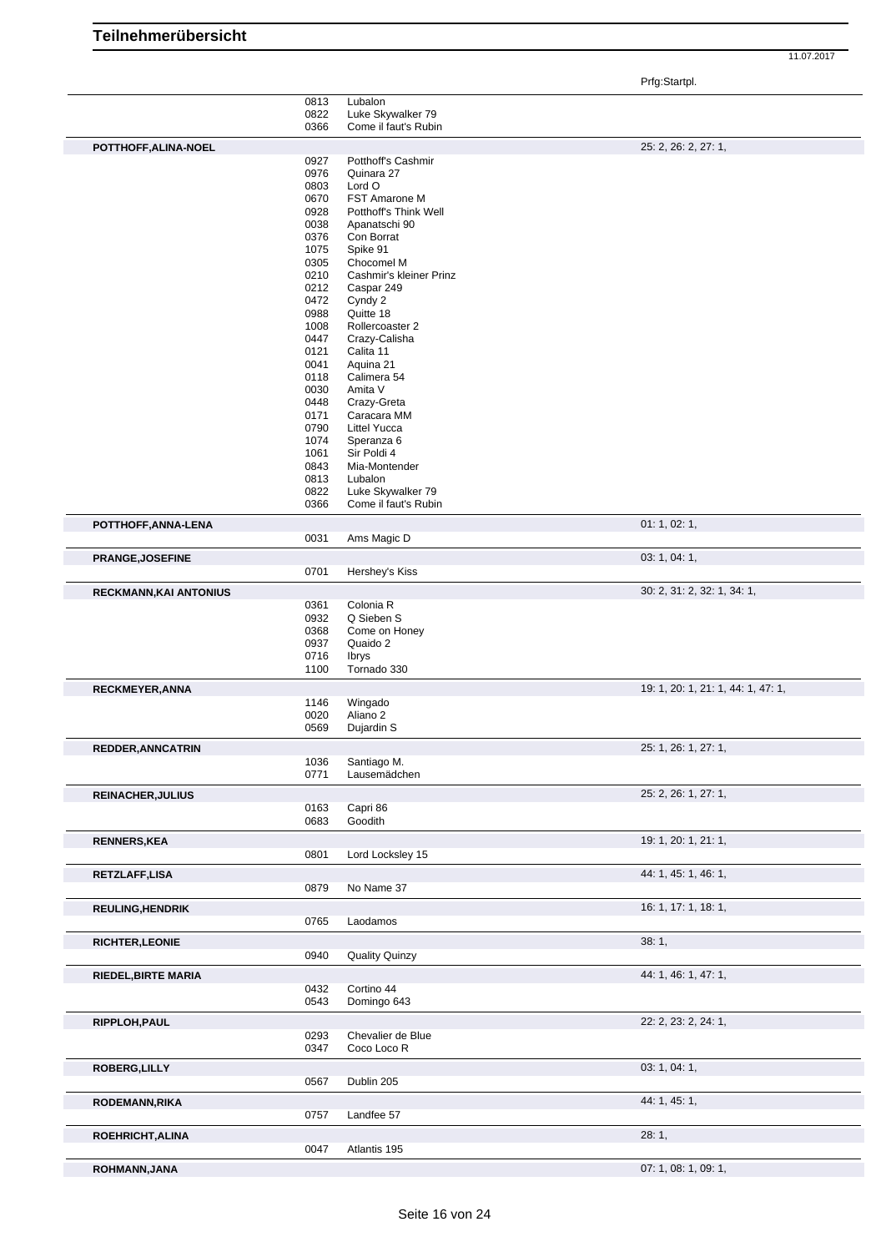Prfg:Startpl.

## **Teilnehmerübersicht**

|                               | 0813         | Lubalon                  |                                    |
|-------------------------------|--------------|--------------------------|------------------------------------|
|                               | 0822         | Luke Skywalker 79        |                                    |
|                               | 0366         | Come il faut's Rubin     |                                    |
| POTTHOFF, ALINA-NOEL          |              |                          | 25: 2, 26: 2, 27: 1,               |
|                               | 0927         | Potthoff's Cashmir       |                                    |
|                               | 0976         | Quinara 27               |                                    |
|                               | 0803         | Lord O                   |                                    |
|                               | 0670         | FST Amarone M            |                                    |
|                               | 0928         | Potthoff's Think Well    |                                    |
|                               | 0038         | Apanatschi 90            |                                    |
|                               | 0376         | Con Borrat               |                                    |
|                               | 1075         | Spike 91                 |                                    |
|                               | 0305         | Chocomel M               |                                    |
|                               | 0210         | Cashmir's kleiner Prinz  |                                    |
|                               | 0212         | Caspar 249               |                                    |
|                               | 0472         | Cyndy 2                  |                                    |
|                               | 0988         | Quitte 18                |                                    |
|                               | 1008         | Rollercoaster 2          |                                    |
|                               | 0447         | Crazy-Calisha            |                                    |
|                               | 0121         | Calita 11                |                                    |
|                               | 0041<br>0118 | Aquina 21<br>Calimera 54 |                                    |
|                               | 0030         | Amita V                  |                                    |
|                               | 0448         | Crazy-Greta              |                                    |
|                               | 0171         | Caracara MM              |                                    |
|                               | 0790         | <b>Littel Yucca</b>      |                                    |
|                               | 1074         | Speranza 6               |                                    |
|                               | 1061         | Sir Poldi 4              |                                    |
|                               | 0843         | Mia-Montender            |                                    |
|                               | 0813         | Lubalon                  |                                    |
|                               | 0822         | Luke Skywalker 79        |                                    |
|                               | 0366         | Come il faut's Rubin     |                                    |
| POTTHOFF, ANNA-LENA           |              |                          | 01: 1, 02: 1,                      |
|                               | 0031         | Ams Magic D              |                                    |
|                               |              |                          |                                    |
| <b>PRANGE, JOSEFINE</b>       |              |                          | 03: 1, 04: 1,                      |
|                               | 0701         | Hershey's Kiss           |                                    |
| <b>RECKMANN, KAI ANTONIUS</b> |              |                          | 30: 2, 31: 2, 32: 1, 34: 1,        |
|                               | 0361         | Colonia R                |                                    |
|                               | 0932         | Q Sieben S               |                                    |
|                               | 0368         | Come on Honey            |                                    |
|                               | 0937         | Quaido 2                 |                                    |
|                               | 0716         | Ibrys                    |                                    |
|                               | 1100         | Tornado 330              |                                    |
| <b>RECKMEYER, ANNA</b>        |              |                          | 19: 1, 20: 1, 21: 1, 44: 1, 47: 1, |
|                               | 1146         | Wingado                  |                                    |
|                               |              | Aliano 2                 |                                    |
|                               | 0020         |                          |                                    |
|                               | 0569         | Dujardin S               |                                    |
|                               |              |                          |                                    |
| <b>REDDER, ANNCATRIN</b>      |              |                          | 25: 1, 26: 1, 27: 1,               |
|                               | 1036         | Santiago M.              |                                    |
|                               | 0771         | Lausemädchen             |                                    |
| <b>REINACHER, JULIUS</b>      |              |                          | 25: 2, 26: 1, 27: 1,               |
|                               | 0163         | Capri 86                 |                                    |
|                               | 0683         | Goodith                  |                                    |
| <b>RENNERS, KEA</b>           |              |                          | 19: 1, 20: 1, 21: 1,               |
|                               | 0801         | Lord Locksley 15         |                                    |
|                               |              |                          |                                    |
| RETZLAFF,LISA                 |              |                          | 44: 1, 45: 1, 46: 1,               |
|                               | 0879         | No Name 37               |                                    |
| <b>REULING, HENDRIK</b>       |              |                          | 16: 1, 17: 1, 18: 1,               |
|                               | 0765         | Laodamos                 |                                    |
|                               |              |                          |                                    |
| <b>RICHTER, LEONIE</b>        |              |                          | 38:1,                              |
|                               | 0940         | <b>Quality Quinzy</b>    |                                    |
| <b>RIEDEL, BIRTE MARIA</b>    |              |                          | 44: 1, 46: 1, 47: 1,               |
|                               | 0432         | Cortino 44               |                                    |
|                               | 0543         | Domingo 643              |                                    |
|                               |              |                          |                                    |
| RIPPLOH, PAUL                 |              |                          | 22: 2, 23: 2, 24: 1,               |
|                               | 0293         | Chevalier de Blue        |                                    |
|                               | 0347         | Coco Loco R              |                                    |
| <b>ROBERG, LILLY</b>          |              |                          | 03: 1, 04: 1,                      |
|                               | 0567         | Dublin 205               |                                    |
| <b>RODEMANN, RIKA</b>         |              |                          | 44: 1, 45: 1,                      |
|                               | 0757         | Landfee 57               |                                    |
|                               |              |                          |                                    |
| ROEHRICHT, ALINA              |              |                          | 28:1,                              |
| ROHMANN, JANA                 | 0047         | Atlantis 195             | 07: 1, 08: 1, 09: 1,               |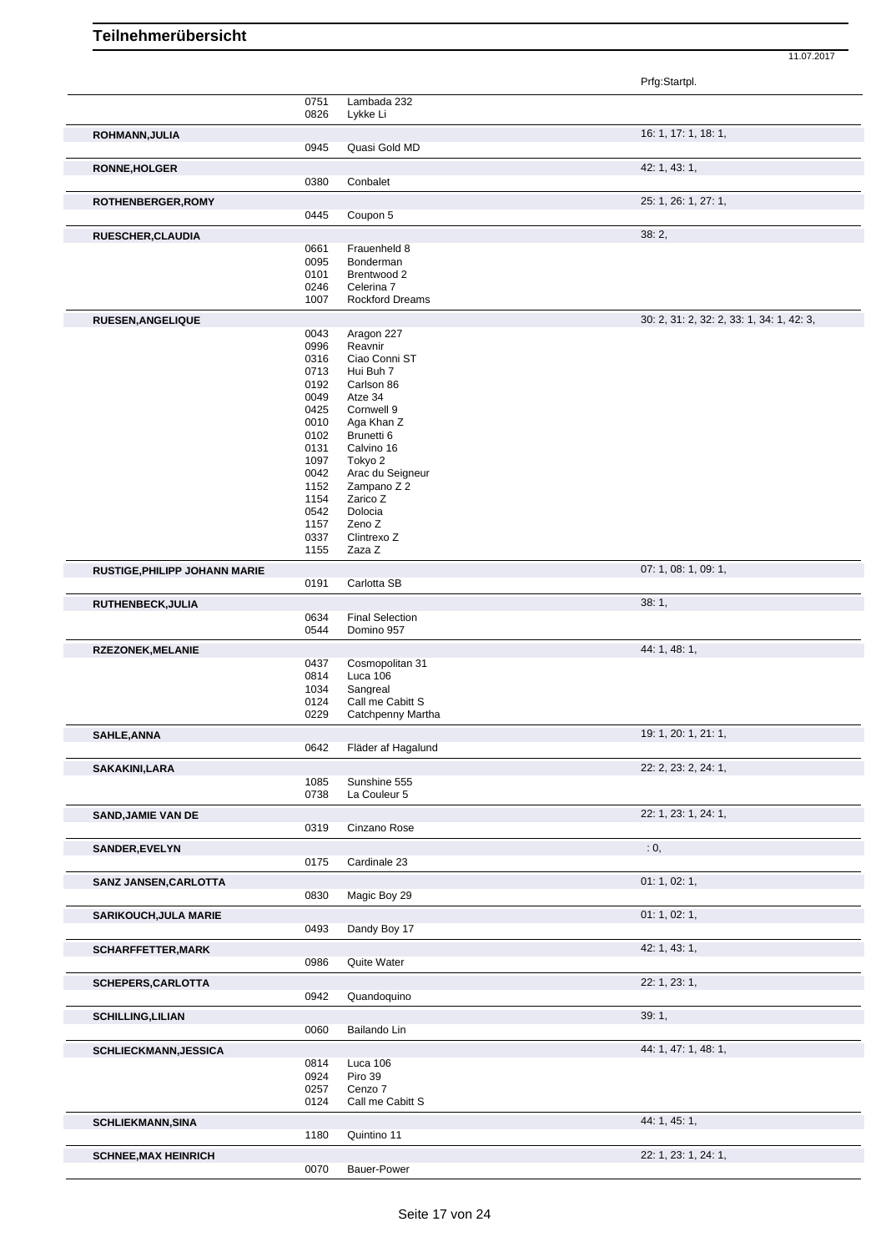|                                      |              |                              | Prfg:Startpl.                             |
|--------------------------------------|--------------|------------------------------|-------------------------------------------|
|                                      | 0751         | Lambada 232                  |                                           |
|                                      | 0826         | Lykke Li                     |                                           |
| ROHMANN, JULIA                       |              |                              | 16: 1, 17: 1, 18: 1,                      |
|                                      | 0945         | Quasi Gold MD                |                                           |
| RONNE, HOLGER                        |              |                              | 42: 1, 43: 1,                             |
|                                      | 0380         | Conbalet                     |                                           |
|                                      |              |                              |                                           |
| ROTHENBERGER, ROMY                   | 0445         | Coupon 5                     | 25: 1, 26: 1, 27: 1,                      |
|                                      |              |                              |                                           |
| RUESCHER, CLAUDIA                    |              |                              | 38:2,                                     |
|                                      | 0661<br>0095 | Frauenheld 8<br>Bonderman    |                                           |
|                                      | 0101         | Brentwood 2                  |                                           |
|                                      | 0246         | Celerina 7                   |                                           |
|                                      | 1007         | <b>Rockford Dreams</b>       |                                           |
| RUESEN, ANGELIQUE                    |              |                              | 30: 2, 31: 2, 32: 2, 33: 1, 34: 1, 42: 3, |
|                                      | 0043         | Aragon 227                   |                                           |
|                                      | 0996         | Reavnir                      |                                           |
|                                      | 0316<br>0713 | Ciao Conni ST<br>Hui Buh 7   |                                           |
|                                      | 0192         | Carlson 86                   |                                           |
|                                      | 0049         | Atze 34                      |                                           |
|                                      | 0425         | Cornwell 9                   |                                           |
|                                      | 0010<br>0102 | Aga Khan Z<br>Brunetti 6     |                                           |
|                                      | 0131         | Calvino 16                   |                                           |
|                                      | 1097         | Tokyo 2                      |                                           |
|                                      | 0042         | Arac du Seigneur             |                                           |
|                                      | 1152         | Zampano Z 2                  |                                           |
|                                      | 1154<br>0542 | Zarico Z<br>Dolocia          |                                           |
|                                      | 1157         | Zeno Z                       |                                           |
|                                      | 0337         | Clintrexo Z                  |                                           |
|                                      | 1155         | Zaza Z                       |                                           |
| <b>RUSTIGE, PHILIPP JOHANN MARIE</b> |              |                              | 07: 1, 08: 1, 09: 1,                      |
|                                      | 0191         | Carlotta SB                  |                                           |
| RUTHENBECK, JULIA                    |              |                              | 38:1,                                     |
|                                      | 0634         | <b>Final Selection</b>       |                                           |
|                                      | 0544         | Domino 957                   |                                           |
| <b>RZEZONEK, MELANIE</b>             |              |                              | 44: 1, 48: 1,                             |
|                                      | 0437         | Cosmopolitan 31              |                                           |
|                                      | 0814         | Luca 106                     |                                           |
|                                      | 1034<br>0124 | Sangreal<br>Call me Cabitt S |                                           |
|                                      | 0229         | Catchpenny Martha            |                                           |
|                                      |              |                              |                                           |
| <b>SAHLE, ANNA</b>                   | 0642         | Fläder af Hagalund           | 19: 1, 20: 1, 21: 1,                      |
|                                      |              |                              |                                           |
| SAKAKINI, LARA                       | 1085         | Sunshine 555                 | 22: 2, 23: 2, 24: 1,                      |
|                                      | 0738         | La Couleur 5                 |                                           |
|                                      |              |                              |                                           |
| <b>SAND, JAMIE VAN DE</b>            | 0319         | Cinzano Rose                 | 22: 1, 23: 1, 24: 1,                      |
|                                      |              |                              |                                           |
| <b>SANDER, EVELYN</b>                |              |                              | : 0,                                      |
|                                      | 0175         | Cardinale 23                 |                                           |
| SANZ JANSEN, CARLOTTA                |              |                              | 01: 1, 02: 1,                             |
|                                      | 0830         | Magic Boy 29                 |                                           |
| <b>SARIKOUCH, JULA MARIE</b>         |              |                              | 01: 1, 02: 1,                             |
|                                      | 0493         | Dandy Boy 17                 |                                           |
| <b>SCHARFFETTER, MARK</b>            |              |                              | 42: 1, 43: 1,                             |
|                                      | 0986         | Quite Water                  |                                           |
|                                      |              |                              | 22: 1, 23: 1,                             |
| SCHEPERS, CARLOTTA                   | 0942         | Quandoquino                  |                                           |
|                                      |              |                              |                                           |
| <b>SCHILLING, LILIAN</b>             |              |                              | 39:1,                                     |
|                                      | 0060         | Bailando Lin                 |                                           |
| <b>SCHLIECKMANN, JESSICA</b>         |              |                              | 44: 1, 47: 1, 48: 1,                      |
|                                      | 0814         | Luca 106                     |                                           |
|                                      | 0924<br>0257 | Piro 39<br>Cenzo 7           |                                           |
|                                      | 0124         | Call me Cabitt S             |                                           |
|                                      |              |                              |                                           |
| <b>SCHLIEKMANN, SINA</b>             | 1180         | Quintino 11                  | 44: 1, 45: 1,                             |
|                                      |              |                              |                                           |
| <b>SCHNEE, MAX HEINRICH</b>          |              |                              | 22: 1, 23: 1, 24: 1,                      |
|                                      | 0070         | Bauer-Power                  |                                           |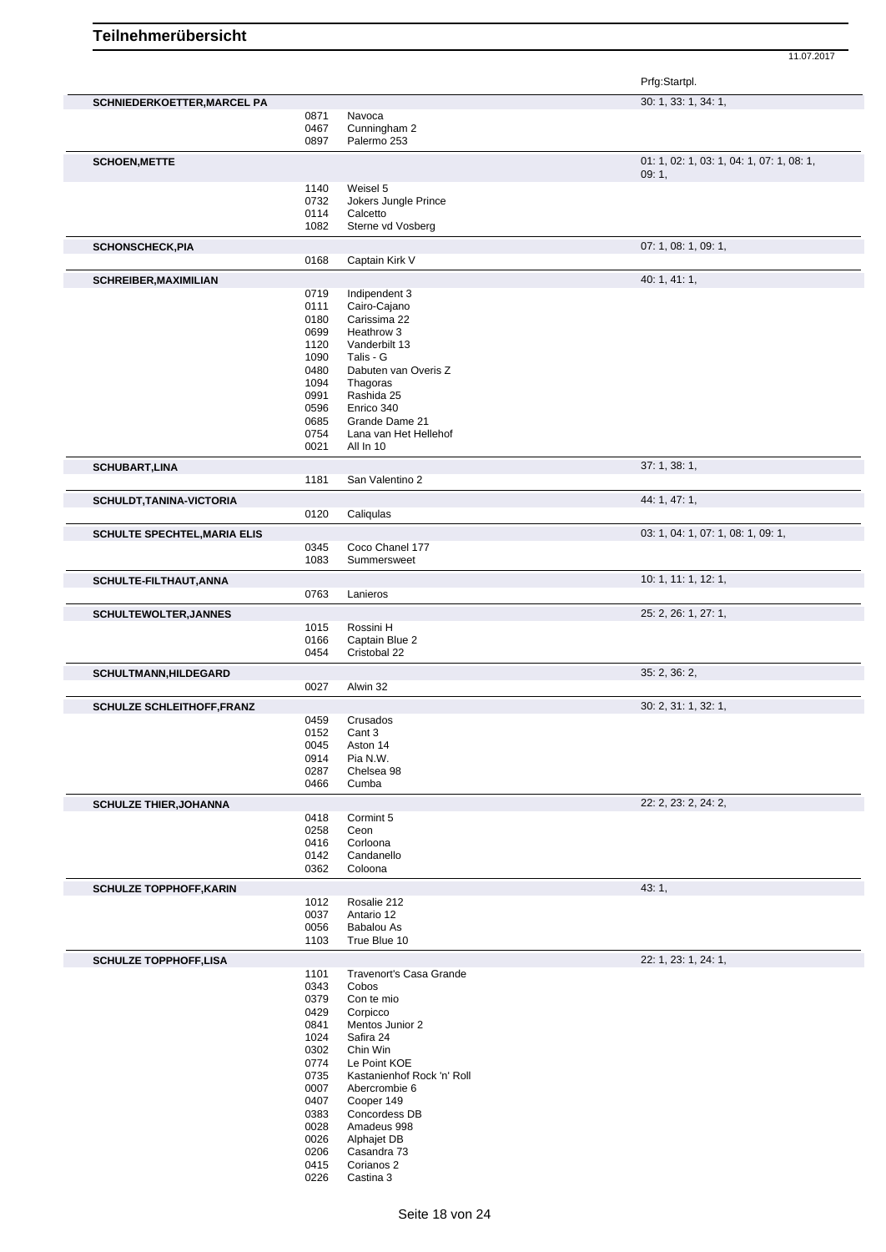|                                     |              |                                | Prfg:Startpl.                                      |
|-------------------------------------|--------------|--------------------------------|----------------------------------------------------|
| <b>SCHNIEDERKOETTER, MARCEL PA</b>  |              |                                | 30: 1, 33: 1, 34: 1,                               |
|                                     | 0871         | Navoca                         |                                                    |
|                                     | 0467         | Cunningham 2                   |                                                    |
|                                     | 0897         | Palermo 253                    |                                                    |
| <b>SCHOEN, METTE</b>                |              |                                | 01: 1, 02: 1, 03: 1, 04: 1, 07: 1, 08: 1,<br>09:1, |
|                                     | 1140         | Weisel 5                       |                                                    |
|                                     | 0732         | Jokers Jungle Prince           |                                                    |
|                                     | 0114         | Calcetto                       |                                                    |
|                                     | 1082         | Sterne vd Vosberg              |                                                    |
| <b>SCHONSCHECK, PIA</b>             |              |                                | 07: 1, 08: 1, 09: 1,                               |
|                                     | 0168         | Captain Kirk V                 |                                                    |
| <b>SCHREIBER, MAXIMILIAN</b>        |              |                                | 40: 1, 41: 1,                                      |
|                                     | 0719         | Indipendent 3                  |                                                    |
|                                     | 0111         | Cairo-Cajano                   |                                                    |
|                                     | 0180         | Carissima 22                   |                                                    |
|                                     | 0699         | Heathrow 3                     |                                                    |
|                                     | 1120         | Vanderbilt 13                  |                                                    |
|                                     | 1090         | Talis - G                      |                                                    |
|                                     | 0480         | Dabuten van Overis Z           |                                                    |
|                                     | 1094         | Thagoras                       |                                                    |
|                                     | 0991         | Rashida 25<br>Enrico 340       |                                                    |
|                                     | 0596<br>0685 | Grande Dame 21                 |                                                    |
|                                     | 0754         | Lana van Het Hellehof          |                                                    |
|                                     | 0021         | All In 10                      |                                                    |
| <b>SCHUBART, LINA</b>               |              |                                | 37:1,38:1,                                         |
|                                     | 1181         | San Valentino 2                |                                                    |
| SCHULDT, TANINA-VICTORIA            | 0120         | Caliqulas                      | 44: 1, 47: 1,                                      |
| <b>SCHULTE SPECHTEL, MARIA ELIS</b> |              |                                | 03: 1, 04: 1, 07: 1, 08: 1, 09: 1,                 |
|                                     | 0345         | Coco Chanel 177                |                                                    |
|                                     | 1083         | Summersweet                    |                                                    |
|                                     |              |                                | 10: 1, 11: 1, 12: 1,                               |
| SCHULTE-FILTHAUT, ANNA              | 0763         | Lanieros                       |                                                    |
|                                     |              |                                |                                                    |
| <b>SCHULTEWOLTER, JANNES</b>        |              |                                | 25: 2, 26: 1, 27: 1,                               |
|                                     | 1015         | Rossini H                      |                                                    |
|                                     | 0166<br>0454 | Captain Blue 2<br>Cristobal 22 |                                                    |
|                                     |              |                                |                                                    |
| <b>SCHULTMANN,HILDEGARD</b>         |              |                                | 35: 2, 36: 2,                                      |
|                                     | 0027         | Alwin 32                       |                                                    |
| <b>SCHULZE SCHLEITHOFF, FRANZ</b>   |              |                                | 30: 2, 31: 1, 32: 1,                               |
|                                     | 0459         | Crusados                       |                                                    |
|                                     | 0152         | Cant 3                         |                                                    |
|                                     | 0045         | Aston 14                       |                                                    |
|                                     | 0914         | Pia N.W.                       |                                                    |
|                                     | 0287<br>0466 | Chelsea 98<br>Cumba            |                                                    |
|                                     |              |                                |                                                    |
| <b>SCHULZE THIER, JOHANNA</b>       |              |                                | 22: 2, 23: 2, 24: 2,                               |
|                                     | 0418         | Cormint 5                      |                                                    |
|                                     | 0258<br>0416 | Ceon<br>Corloona               |                                                    |
|                                     | 0142         | Candanello                     |                                                    |
|                                     | 0362         | Coloona                        |                                                    |
| <b>SCHULZE TOPPHOFF, KARIN</b>      |              |                                | 43:1,                                              |
|                                     | 1012         | Rosalie 212                    |                                                    |
|                                     | 0037         | Antario 12                     |                                                    |
|                                     | 0056         | <b>Babalou As</b>              |                                                    |
|                                     | 1103         | True Blue 10                   |                                                    |
| <b>SCHULZE TOPPHOFF,LISA</b>        |              |                                | 22: 1, 23: 1, 24: 1,                               |
|                                     | 1101         | Travenort's Casa Grande        |                                                    |
|                                     | 0343         | Cobos                          |                                                    |
|                                     | 0379         | Con te mio                     |                                                    |
|                                     | 0429         | Corpicco                       |                                                    |
|                                     | 0841         | Mentos Junior 2                |                                                    |
|                                     | 1024         | Safira 24                      |                                                    |
|                                     | 0302         | Chin Win                       |                                                    |
|                                     | 0774         | Le Point KOE                   |                                                    |
|                                     | 0735         | Kastanienhof Rock 'n' Roll     |                                                    |
|                                     | 0007<br>0407 | Abercrombie 6<br>Cooper 149    |                                                    |
|                                     | 0383         | Concordess DB                  |                                                    |
|                                     | 0028         | Amadeus 998                    |                                                    |
|                                     | 0026         | Alphajet DB                    |                                                    |
|                                     | 0206         | Casandra 73                    |                                                    |
|                                     | 0415         | Corianos 2                     |                                                    |
|                                     | 0226         | Castina 3                      |                                                    |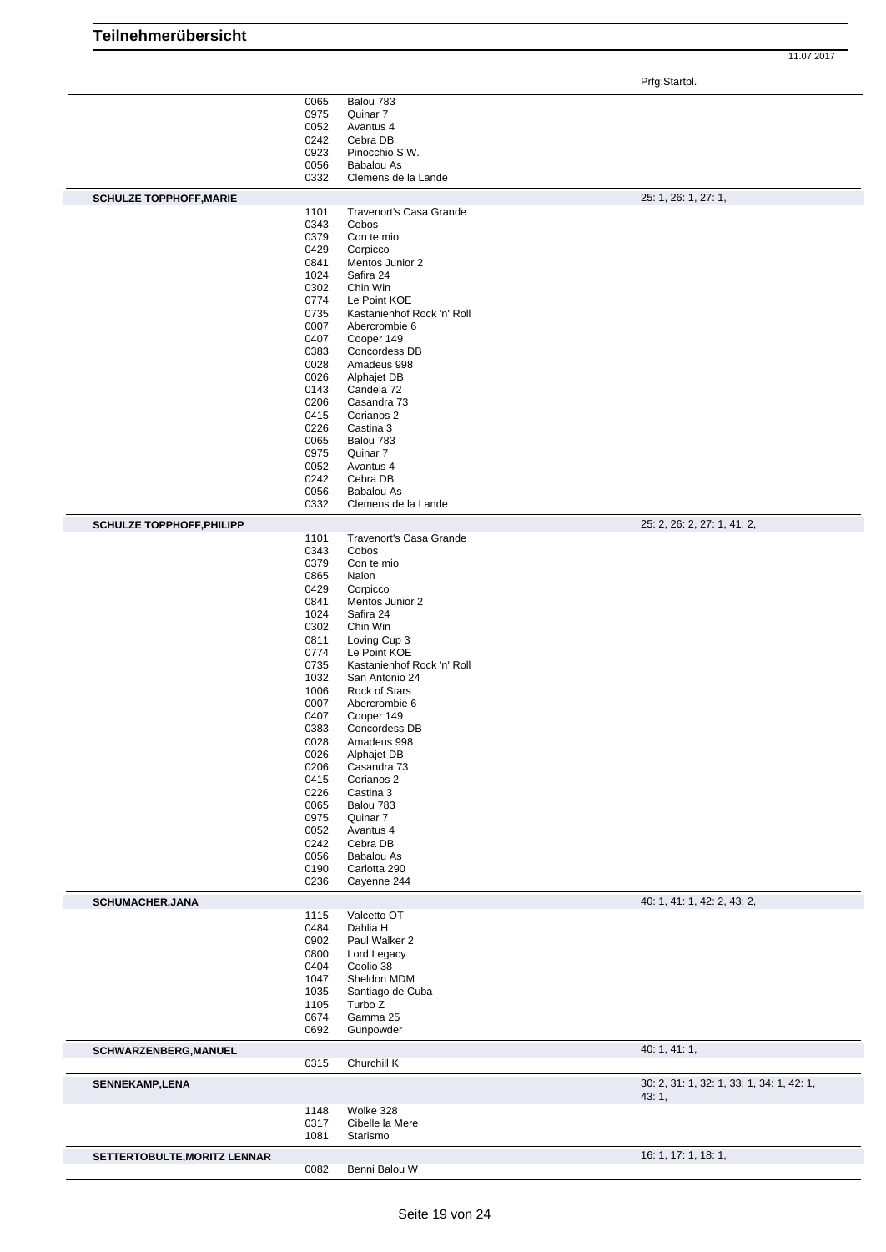|                                  |              |                                     | 11.07.2017                  |
|----------------------------------|--------------|-------------------------------------|-----------------------------|
|                                  |              |                                     | Prfg:Startpl.               |
|                                  | 0065         | Balou 783                           |                             |
|                                  | 0975         | Quinar 7                            |                             |
|                                  | 0052         | Avantus 4                           |                             |
|                                  | 0242         | Cebra DB                            |                             |
|                                  | 0923<br>0056 | Pinocchio S.W.<br><b>Babalou As</b> |                             |
|                                  | 0332         | Clemens de la Lande                 |                             |
|                                  |              |                                     |                             |
| <b>SCHULZE TOPPHOFF, MARIE</b>   | 1101         | Travenort's Casa Grande             | 25: 1, 26: 1, 27: 1,        |
|                                  | 0343         | Cobos                               |                             |
|                                  | 0379         | Con te mio                          |                             |
|                                  | 0429         | Corpicco                            |                             |
|                                  | 0841         | Mentos Junior 2                     |                             |
|                                  | 1024         | Safira 24                           |                             |
|                                  | 0302         | Chin Win                            |                             |
|                                  | 0774         | Le Point KOE                        |                             |
|                                  | 0735         | Kastanienhof Rock 'n' Roll          |                             |
|                                  | 0007         | Abercrombie 6                       |                             |
|                                  | 0407         | Cooper 149                          |                             |
|                                  | 0383         | Concordess DB                       |                             |
|                                  | 0028         | Amadeus 998                         |                             |
|                                  | 0026         | Alphajet DB                         |                             |
|                                  | 0143         | Candela 72                          |                             |
|                                  | 0206         | Casandra 73                         |                             |
|                                  | 0415         | Corianos 2                          |                             |
|                                  | 0226         | Castina 3                           |                             |
|                                  | 0065         | Balou 783                           |                             |
|                                  | 0975         | Quinar 7                            |                             |
|                                  | 0052         | Avantus 4                           |                             |
|                                  | 0242         | Cebra DB                            |                             |
|                                  | 0056<br>0332 | <b>Babalou As</b>                   |                             |
|                                  |              | Clemens de la Lande                 |                             |
| <b>SCHULZE TOPPHOFF, PHILIPP</b> | 1101         | Travenort's Casa Grande             | 25: 2, 26: 2, 27: 1, 41: 2, |
|                                  | 0343         | Cobos                               |                             |
|                                  | 0379         | Con te mio                          |                             |
|                                  | 0865         | Nalon                               |                             |
|                                  | 0429         | Corpicco                            |                             |
|                                  | 0841         | Mentos Junior 2                     |                             |
|                                  | 1024         | Safira 24                           |                             |
|                                  | 0302         | Chin Win                            |                             |
|                                  | 0811         | Loving Cup 3                        |                             |
|                                  | 0774         | Le Point KOE                        |                             |
|                                  | 0735         | Kastanienhof Rock 'n' Roll          |                             |
|                                  | 1032         | San Antonio 24                      |                             |
|                                  | 1006         | Rock of Stars                       |                             |
|                                  | 0007         | Abercrombie 6                       |                             |
|                                  | 0407         | Cooper 149                          |                             |
|                                  | 0383         | Concordess DB                       |                             |
|                                  | 0028         | Amadeus 998                         |                             |
|                                  | 0026         | Alphajet DB                         |                             |
|                                  | 0206         | Casandra 73                         |                             |
|                                  | 0415         | Corianos 2                          |                             |
|                                  | 0226         | Castina 3                           |                             |
|                                  | 0065         | Balou 783<br>Quinar 7               |                             |
|                                  | 0975         |                                     |                             |
|                                  | 0052<br>0242 | Avantus 4<br>Cebra DB               |                             |
|                                  | 0056         | Babalou As                          |                             |
|                                  | 0190         | Carlotta 290                        |                             |
|                                  | 0236         | Cayenne 244                         |                             |
|                                  |              |                                     |                             |

#### **SCHUMACHER,JANA** 40: 1, 41: 1, 42: 2, 43: 2, 43: 2, 43: 2, 43: 2, 43: 2, 43: 2, 43: 2, 43: 2, 43: 2, 43: 2, 43: 2, 43: 2, 43: 2, 43: 2, 43: 2, 43: 2, 43: 2, 43: 2, 43: 2, 43: 2, 43: 2, 43: 2, 43: 2, 43: 2, 43: 2, 43: 2, 4 Valcetto OT Dahlia H Paul Walker 2 Lord Legacy Coolio 38 Sheldon MDM Santiago de Cuba Turbo Z

|                              | 0674<br>0692         | Gamma 25<br>Gunpowder                    |                                                    |
|------------------------------|----------------------|------------------------------------------|----------------------------------------------------|
| <b>SCHWARZENBERG, MANUEL</b> |                      |                                          | 40:1, 41:1,                                        |
|                              | 0315                 | Churchill K                              |                                                    |
| <b>SENNEKAMP,LENA</b>        |                      |                                          | 30: 2, 31: 1, 32: 1, 33: 1, 34: 1, 42: 1,<br>43:1, |
|                              | 1148<br>0317<br>1081 | Wolke 328<br>Cibelle la Mere<br>Starismo |                                                    |
| SETTERTOBULTE, MORITZ LENNAR |                      |                                          | 16: 1, 17: 1, 18: 1,                               |
|                              | 0082                 | Benni Balou W                            |                                                    |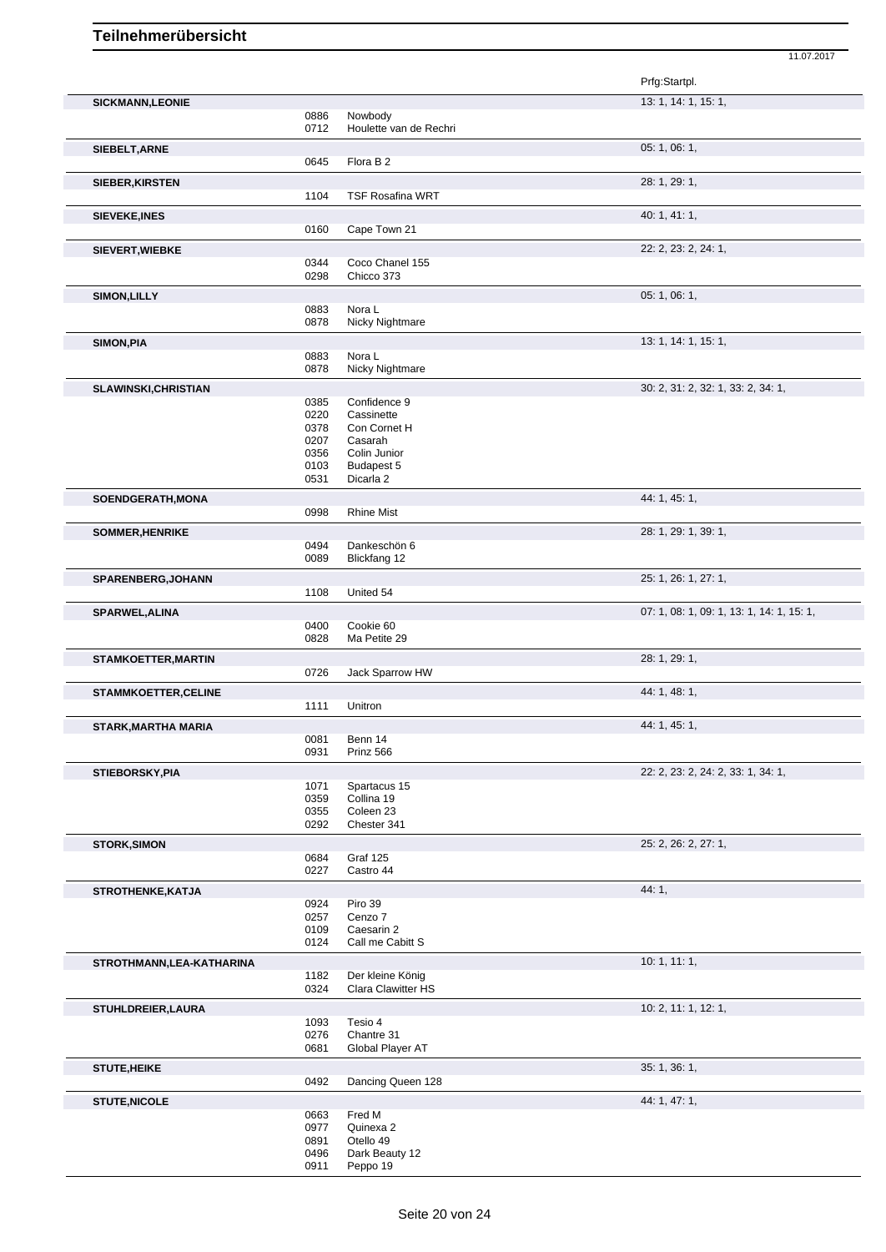|                             |              |                                        | Prfg:Startpl.                             |
|-----------------------------|--------------|----------------------------------------|-------------------------------------------|
| <b>SICKMANN,LEONIE</b>      |              |                                        | 13: 1, 14: 1, 15: 1,                      |
|                             | 0886<br>0712 | Nowbody<br>Houlette van de Rechri      |                                           |
|                             |              |                                        | 05: 1, 06: 1,                             |
| SIEBELT, ARNE               | 0645         | Flora B <sub>2</sub>                   |                                           |
|                             |              |                                        | 28: 1, 29: 1,                             |
| SIEBER, KIRSTEN             | 1104         | <b>TSF Rosafina WRT</b>                |                                           |
|                             |              |                                        | 40: 1, 41: 1,                             |
| <b>SIEVEKE, INES</b>        | 0160         | Cape Town 21                           |                                           |
| <b>SIEVERT, WIEBKE</b>      |              |                                        | 22: 2, 23: 2, 24: 1,                      |
|                             | 0344         | Coco Chanel 155                        |                                           |
|                             | 0298         | Chicco 373                             |                                           |
| <b>SIMON, LILLY</b>         |              |                                        | 05: 1, 06: 1,                             |
|                             | 0883         | Nora L                                 |                                           |
|                             | 0878         | Nicky Nightmare                        |                                           |
| SIMON, PIA                  |              |                                        | 13: 1, 14: 1, 15: 1,                      |
|                             | 0883<br>0878 | Nora L<br>Nicky Nightmare              |                                           |
|                             |              |                                        |                                           |
| SLAWINSKI, CHRISTIAN        | 0385         | Confidence 9                           | 30: 2, 31: 2, 32: 1, 33: 2, 34: 1,        |
|                             | 0220         | Cassinette                             |                                           |
|                             | 0378         | Con Cornet H                           |                                           |
|                             | 0207<br>0356 | Casarah<br>Colin Junior                |                                           |
|                             | 0103         | Budapest 5                             |                                           |
|                             | 0531         | Dicarla 2                              |                                           |
| SOENDGERATH, MONA           |              |                                        | 44: 1, 45: 1,                             |
|                             | 0998         | <b>Rhine Mist</b>                      |                                           |
| SOMMER, HENRIKE             |              |                                        | 28: 1, 29: 1, 39: 1,                      |
|                             | 0494         | Dankeschön 6                           |                                           |
|                             | 0089         | Blickfang 12                           |                                           |
| SPARENBERG, JOHANN          |              |                                        | 25: 1, 26: 1, 27: 1,                      |
|                             | 1108         | United 54                              |                                           |
| SPARWEL, ALINA              | 0400         | Cookie 60                              | 07: 1, 08: 1, 09: 1, 13: 1, 14: 1, 15: 1, |
|                             | 0828         | Ma Petite 29                           |                                           |
| <b>STAMKOETTER, MARTIN</b>  |              |                                        | 28: 1, 29: 1,                             |
|                             | 0726         | Jack Sparrow HW                        |                                           |
| <b>STAMMKOETTER, CELINE</b> |              |                                        | 44: 1, 48: 1,                             |
|                             | 1111         | Unitron                                |                                           |
| <b>STARK, MARTHA MARIA</b>  |              |                                        | 44: 1, 45: 1,                             |
|                             | 0081         | Benn 14                                |                                           |
|                             | 0931         | Prinz 566                              |                                           |
| <b>STIEBORSKY, PIA</b>      |              |                                        | 22: 2, 23: 2, 24: 2, 33: 1, 34: 1,        |
|                             | 1071<br>0359 | Spartacus 15<br>Collina 19             |                                           |
|                             | 0355         | Coleen 23                              |                                           |
|                             | 0292         | Chester 341                            |                                           |
| <b>STORK, SIMON</b>         |              |                                        | 25: 2, 26: 2, 27: 1,                      |
|                             | 0684         | Graf 125                               |                                           |
|                             | 0227         | Castro 44                              |                                           |
| STROTHENKE, KATJA           |              |                                        | 44: 1,                                    |
|                             | 0924<br>0257 | Piro 39<br>Cenzo 7                     |                                           |
|                             | 0109         | Caesarin 2                             |                                           |
|                             | 0124         | Call me Cabitt S                       |                                           |
| STROTHMANN, LEA-KATHARINA   |              |                                        | 10: 1, 11: 1,                             |
|                             | 1182<br>0324 | Der kleine König<br>Clara Clawitter HS |                                           |
|                             |              |                                        |                                           |
| <b>STUHLDREIER, LAURA</b>   | 1093         | Tesio 4                                | 10: 2, 11: 1, 12: 1,                      |
|                             | 0276         | Chantre 31                             |                                           |
|                             | 0681         | Global Player AT                       |                                           |
| <b>STUTE, HEIKE</b>         |              |                                        | 35: 1, 36: 1,                             |
|                             | 0492         | Dancing Queen 128                      |                                           |
| <b>STUTE, NICOLE</b>        |              |                                        | 44: 1, 47: 1,                             |
|                             | 0663         | Fred M                                 |                                           |
|                             | 0977<br>0891 | Quinexa 2<br>Otello 49                 |                                           |
|                             | 0496         | Dark Beauty 12                         |                                           |

11.07.2017

Peppo 19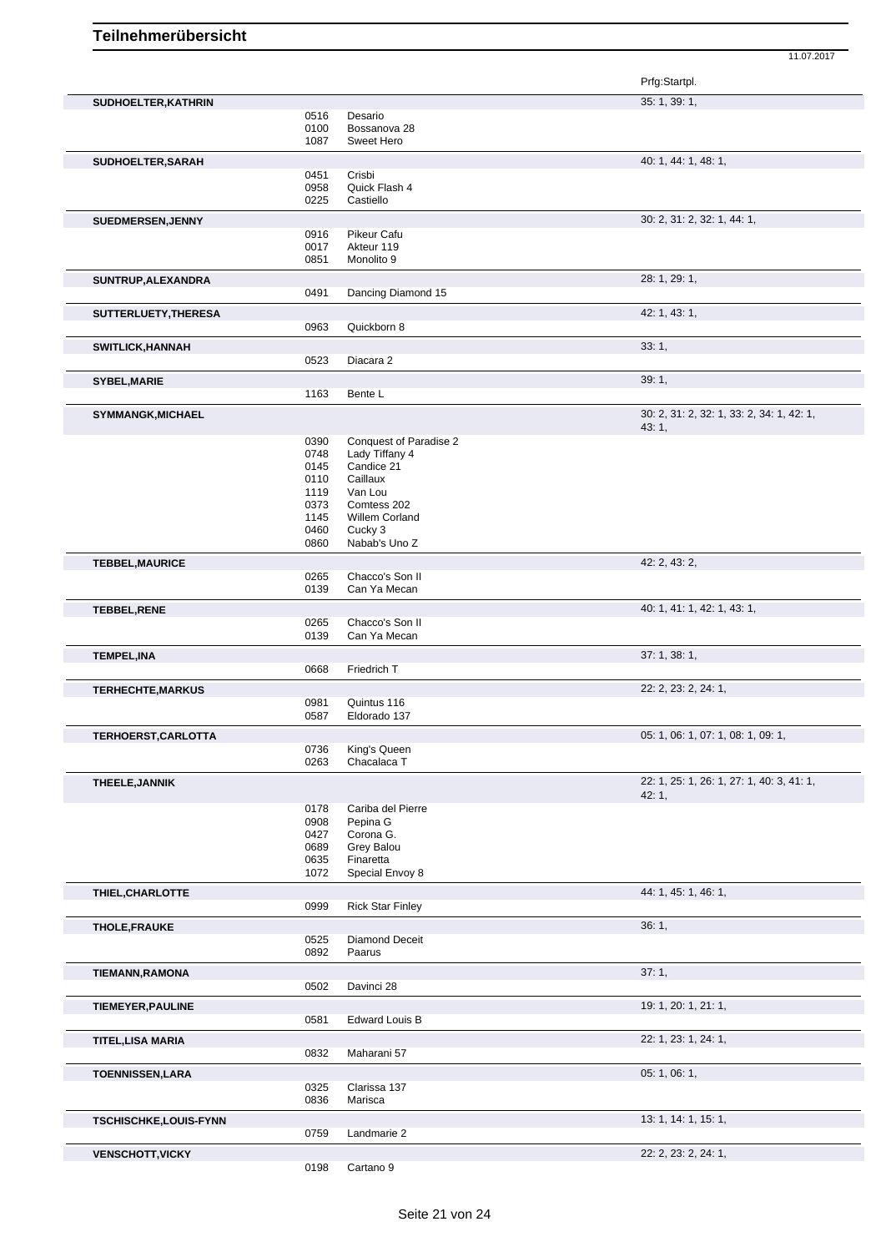|                          |              |                                 | Prfg:Startpl.                             |
|--------------------------|--------------|---------------------------------|-------------------------------------------|
| SUDHOELTER, KATHRIN      |              |                                 | 35: 1, 39: 1,                             |
|                          | 0516         | Desario                         |                                           |
|                          | 0100         | Bossanova 28                    |                                           |
|                          | 1087         | Sweet Hero                      |                                           |
| SUDHOELTER, SARAH        |              |                                 | 40: 1, 44: 1, 48: 1,                      |
|                          | 0451         | Crisbi                          |                                           |
|                          | 0958         | Quick Flash 4                   |                                           |
|                          | 0225         | Castiello                       |                                           |
| SUEDMERSEN, JENNY        |              |                                 | 30: 2, 31: 2, 32: 1, 44: 1,               |
|                          | 0916         | Pikeur Cafu                     |                                           |
|                          | 0017<br>0851 | Akteur 119<br>Monolito 9        |                                           |
|                          |              |                                 |                                           |
| SUNTRUP, ALEXANDRA       |              |                                 | 28: 1, 29: 1,                             |
|                          | 0491         | Dancing Diamond 15              |                                           |
| SUTTERLUETY, THERESA     |              |                                 | 42: 1, 43: 1,                             |
|                          | 0963         | Quickborn 8                     |                                           |
| SWITLICK, HANNAH         |              |                                 | 33:1,                                     |
|                          | 0523         | Diacara 2                       |                                           |
| <b>SYBEL, MARIE</b>      |              |                                 | 39:1,                                     |
|                          | 1163         | Bente L                         |                                           |
|                          |              |                                 | 30: 2, 31: 2, 32: 1, 33: 2, 34: 1, 42: 1, |
| <b>SYMMANGK, MICHAEL</b> |              |                                 | 43: 1,                                    |
|                          | 0390         | Conquest of Paradise 2          |                                           |
|                          | 0748         | Lady Tiffany 4                  |                                           |
|                          | 0145         | Candice 21                      |                                           |
|                          | 0110         | Caillaux                        |                                           |
|                          | 1119         | Van Lou                         |                                           |
|                          | 0373         | Comtess 202                     |                                           |
|                          | 1145<br>0460 | Willem Corland<br>Cucky 3       |                                           |
|                          | 0860         | Nabab's Uno Z                   |                                           |
|                          |              |                                 |                                           |
| <b>TEBBEL, MAURICE</b>   | 0265         | Chacco's Son II                 | 42: 2, 43: 2,                             |
|                          | 0139         | Can Ya Mecan                    |                                           |
|                          |              |                                 |                                           |
| <b>TEBBEL, RENE</b>      |              |                                 | 40: 1, 41: 1, 42: 1, 43: 1,               |
|                          | 0265<br>0139 | Chacco's Son II<br>Can Ya Mecan |                                           |
|                          |              |                                 |                                           |
| <b>TEMPEL, INA</b>       |              |                                 | 37: 1, 38: 1,                             |
|                          | 0668         | Friedrich T                     |                                           |
| <b>TERHECHTE, MARKUS</b> |              |                                 | 22: 2, 23: 2, 24: 1,                      |
|                          | 0981         | Quintus 116                     |                                           |
|                          | 0587         | Eldorado 137                    |                                           |
| TERHOERST, CARLOTTA      |              |                                 | 05: 1, 06: 1, 07: 1, 08: 1, 09: 1,        |
|                          | 0736         | King's Queen                    |                                           |
|                          | 0263         | Chacalaca T                     |                                           |
| THEELE, JANNIK           |              |                                 | 22: 1, 25: 1, 26: 1, 27: 1, 40: 3, 41: 1, |
|                          |              |                                 | 42:1,                                     |
|                          | 0178         | Cariba del Pierre               |                                           |
|                          | 0908<br>0427 | Pepina G                        |                                           |
|                          | 0689         | Corona G.<br>Grey Balou         |                                           |
|                          | 0635         | Finaretta                       |                                           |
|                          | 1072         | Special Envoy 8                 |                                           |
| THIEL, CHARLOTTE         |              |                                 | 44: 1, 45: 1, 46: 1,                      |
|                          | 0999         | <b>Rick Star Finley</b>         |                                           |
|                          |              |                                 |                                           |
| <b>THOLE, FRAUKE</b>     |              |                                 | 36:1,                                     |
|                          | 0525<br>0892 | Diamond Deceit<br>Paarus        |                                           |
|                          |              |                                 |                                           |
| <b>TIEMANN, RAMONA</b>   |              |                                 | 37:1,                                     |
|                          | 0502         | Davinci 28                      |                                           |
| <b>TIEMEYER, PAULINE</b> |              |                                 | 19: 1, 20: 1, 21: 1,                      |
|                          | 0581         | <b>Edward Louis B</b>           |                                           |
| <b>TITEL, LISA MARIA</b> |              |                                 | 22: 1, 23: 1, 24: 1,                      |
|                          | 0832         | Maharani 57                     |                                           |
|                          |              |                                 | 05: 1, 06: 1,                             |
| <b>TOENNISSEN,LARA</b>   |              |                                 |                                           |
|                          | 0325<br>0836 | Clarissa 137<br>Marisca         |                                           |
|                          |              |                                 |                                           |
| TSCHISCHKE,LOUIS-FYNN    |              |                                 | 13: 1, 14: 1, 15: 1,                      |
|                          | 0759         | Landmarie 2                     |                                           |
| <b>VENSCHOTT, VICKY</b>  |              |                                 | 22: 2, 23: 2, 24: 1,                      |
|                          | 0198         | Cartano <sub>9</sub>            |                                           |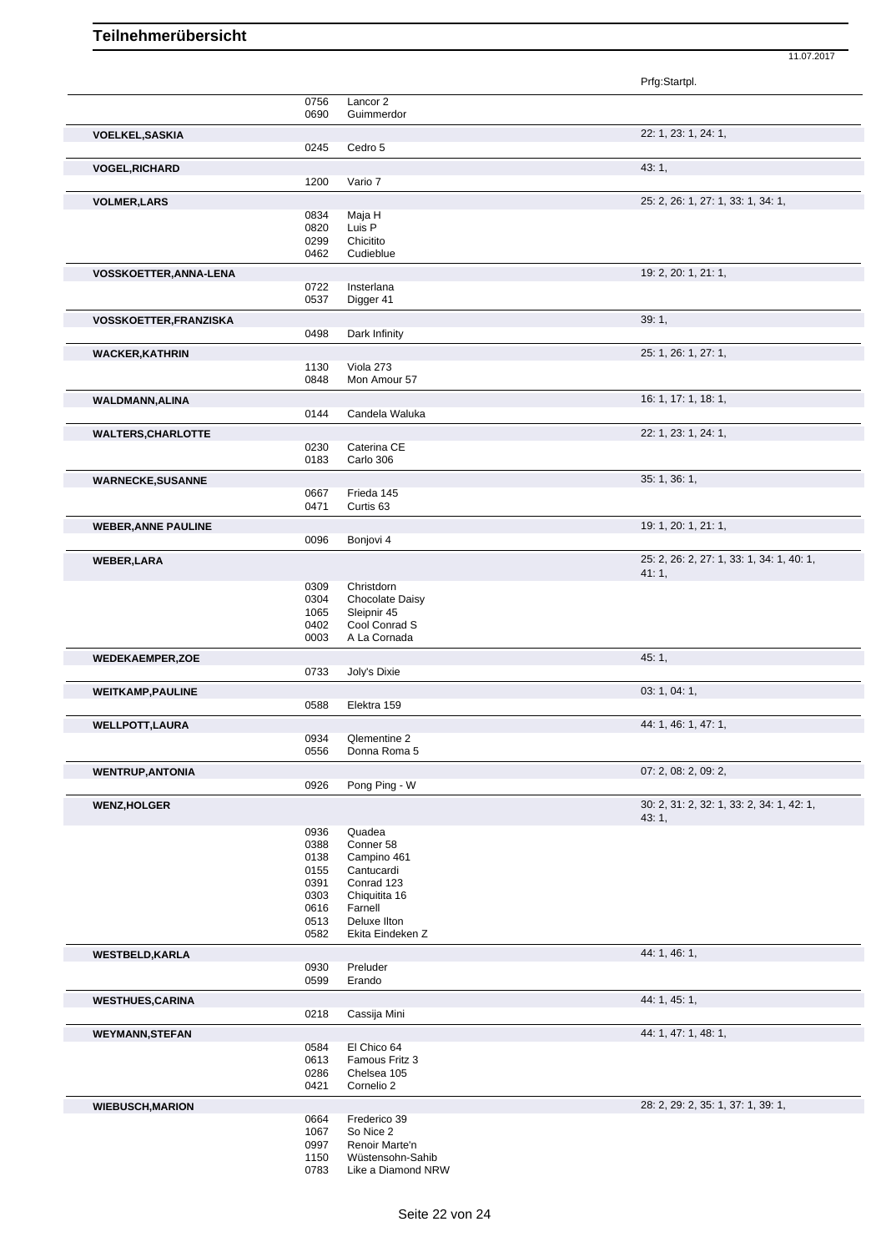|                               |              |                                    | Prfg:Startpl.                                      |
|-------------------------------|--------------|------------------------------------|----------------------------------------------------|
|                               | 0756<br>0690 | Lancor 2<br>Guimmerdor             |                                                    |
| <b>VOELKEL, SASKIA</b>        |              |                                    | 22: 1, 23: 1, 24: 1,                               |
|                               | 0245         | Cedro 5                            |                                                    |
| <b>VOGEL, RICHARD</b>         |              |                                    | 43:1,                                              |
|                               | 1200         | Vario 7                            |                                                    |
| <b>VOLMER, LARS</b>           |              |                                    | 25: 2, 26: 1, 27: 1, 33: 1, 34: 1,                 |
|                               | 0834<br>0820 | Maja H<br>Luis P                   |                                                    |
|                               | 0299         | Chicitito                          |                                                    |
|                               | 0462         | Cudieblue                          |                                                    |
| <b>VOSSKOETTER, ANNA-LENA</b> |              |                                    | 19: 2, 20: 1, 21: 1,                               |
|                               | 0722         | Insterlana                         |                                                    |
|                               | 0537         | Digger 41                          |                                                    |
| <b>VOSSKOETTER,FRANZISKA</b>  |              |                                    | 39:1,                                              |
|                               | 0498         | Dark Infinity                      |                                                    |
| <b>WACKER, KATHRIN</b>        |              |                                    | 25: 1, 26: 1, 27: 1,                               |
|                               | 1130         | Viola 273                          |                                                    |
|                               | 0848         | Mon Amour 57                       |                                                    |
| <b>WALDMANN, ALINA</b>        |              |                                    | 16: 1, 17: 1, 18: 1,                               |
|                               | 0144         | Candela Waluka                     |                                                    |
| <b>WALTERS, CHARLOTTE</b>     |              |                                    | 22: 1, 23: 1, 24: 1,                               |
|                               | 0230<br>0183 | Caterina CE<br>Carlo 306           |                                                    |
|                               |              |                                    |                                                    |
| <b>WARNECKE, SUSANNE</b>      |              |                                    | 35: 1, 36: 1,                                      |
|                               | 0667<br>0471 | Frieda 145<br>Curtis <sub>63</sub> |                                                    |
|                               |              |                                    |                                                    |
| <b>WEBER, ANNE PAULINE</b>    | 0096         | Bonjovi 4                          | 19: 1, 20: 1, 21: 1,                               |
|                               |              |                                    |                                                    |
| <b>WEBER, LARA</b>            |              |                                    | 25: 2, 26: 2, 27: 1, 33: 1, 34: 1, 40: 1,<br>41:1, |
|                               | 0309         | Christdorn                         |                                                    |
|                               | 0304         | Chocolate Daisy                    |                                                    |
|                               | 1065         | Sleipnir 45                        |                                                    |
|                               | 0402<br>0003 | Cool Conrad S                      |                                                    |
|                               |              | A La Cornada                       |                                                    |
| <b>WEDEKAEMPER,ZOE</b>        |              |                                    | 45: 1,                                             |
|                               | 0733         | Joly's Dixie                       |                                                    |
| <b>WEITKAMP, PAULINE</b>      | 0588         | Elektra 159                        | 03: 1, 04: 1,                                      |
|                               |              |                                    |                                                    |
| <b>WELLPOTT, LAURA</b>        |              |                                    | 44: 1, 46: 1, 47: 1,                               |
|                               | 0934<br>0556 | Qlementine 2<br>Donna Roma 5       |                                                    |
|                               |              |                                    | 07: 2, 08: 2, 09: 2,                               |
| <b>WENTRUP, ANTONIA</b>       | 0926         | Pong Ping - W                      |                                                    |
|                               |              |                                    | 30: 2, 31: 2, 32: 1, 33: 2, 34: 1, 42: 1,          |
| <b>WENZ, HOLGER</b>           |              |                                    | 43:1,                                              |
|                               | 0936         | Quadea                             |                                                    |
|                               | 0388         | Conner 58                          |                                                    |
|                               | 0138         | Campino 461                        |                                                    |
|                               | 0155<br>0391 | Cantucardi<br>Conrad 123           |                                                    |
|                               | 0303         | Chiquitita 16                      |                                                    |
|                               | 0616         | Farnell                            |                                                    |
|                               | 0513         | Deluxe Ilton                       |                                                    |
|                               | 0582         | Ekita Eindeken Z                   |                                                    |
| <b>WESTBELD, KARLA</b>        |              |                                    | 44: 1, 46: 1,                                      |
|                               | 0930         | Preluder                           |                                                    |
|                               | 0599         | Erando                             |                                                    |
| <b>WESTHUES, CARINA</b>       |              |                                    | 44: 1, 45: 1,                                      |
|                               | 0218         | Cassija Mini                       |                                                    |
| <b>WEYMANN, STEFAN</b>        |              |                                    | 44: 1, 47: 1, 48: 1,                               |
|                               | 0584         | El Chico 64                        |                                                    |
|                               | 0613<br>0286 | Famous Fritz 3<br>Chelsea 105      |                                                    |
|                               | 0421         | Cornelio 2                         |                                                    |
|                               |              |                                    | 28: 2, 29: 2, 35: 1, 37: 1, 39: 1,                 |
| <b>WIEBUSCH, MARION</b>       | 0664         | Frederico 39                       |                                                    |
|                               | 1067         | So Nice 2                          |                                                    |
|                               | 0997         | Renoir Marte'n                     |                                                    |
|                               | 1150         | Wüstensohn-Sahib                   |                                                    |
|                               | 0783         | Like a Diamond NRW                 |                                                    |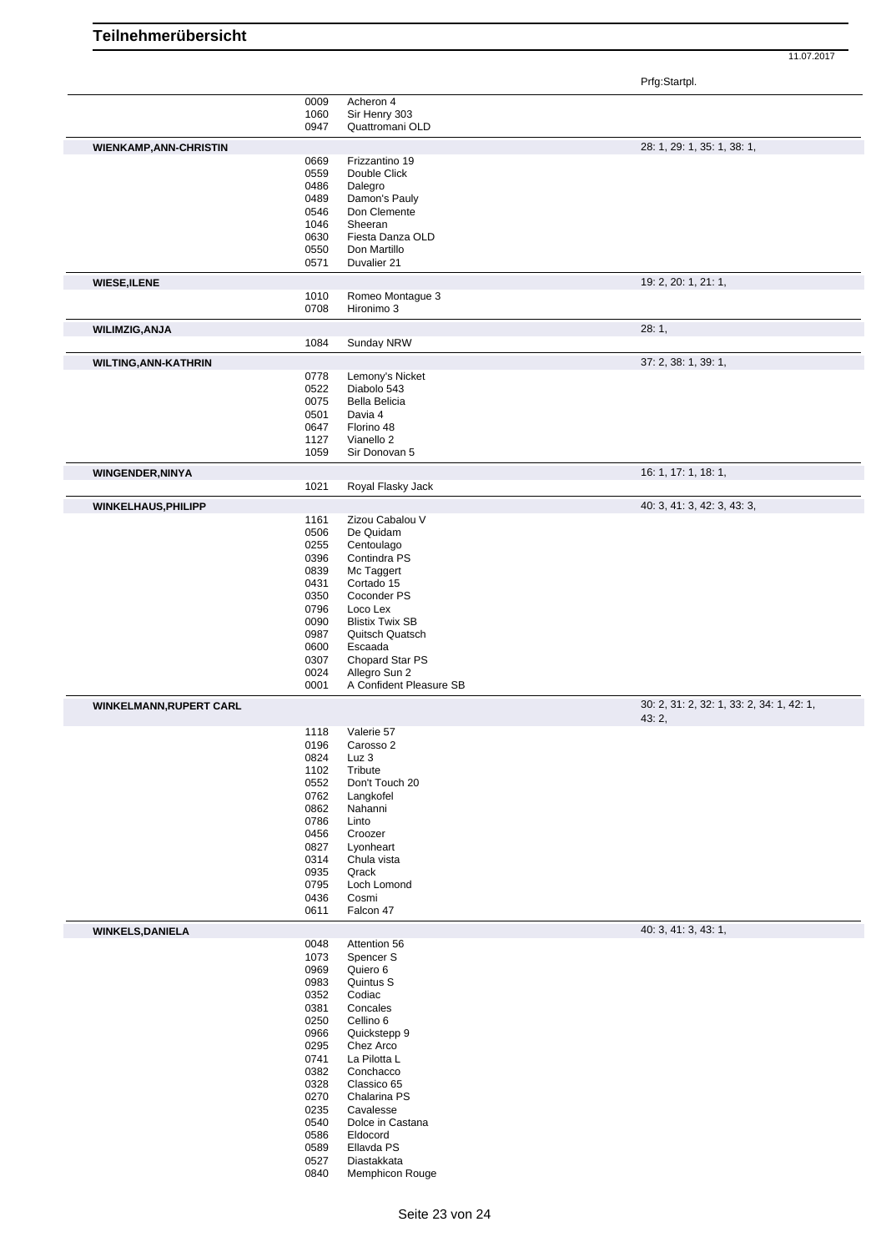11.07.2017

Prfg:Startpl.

|                                                           | 0009         | Acheron 4                      |                                           |
|-----------------------------------------------------------|--------------|--------------------------------|-------------------------------------------|
|                                                           | 1060         | Sir Henry 303                  |                                           |
|                                                           | 0947         | Quattromani OLD                |                                           |
|                                                           |              |                                |                                           |
| <b>WIENKAMP, ANN-CHRISTIN</b>                             |              |                                | 28: 1, 29: 1, 35: 1, 38: 1,               |
|                                                           | 0669         | Frizzantino 19                 |                                           |
|                                                           | 0559         | Double Click                   |                                           |
|                                                           | 0486         | Dalegro                        |                                           |
|                                                           | 0489         | Damon's Pauly                  |                                           |
|                                                           | 0546         | Don Clemente                   |                                           |
|                                                           | 1046         | Sheeran                        |                                           |
|                                                           | 0630         | Fiesta Danza OLD               |                                           |
|                                                           | 0550         | Don Martillo                   |                                           |
|                                                           | 0571         | Duvalier 21                    |                                           |
|                                                           |              |                                |                                           |
| <b>WIESE, ILENE</b>                                       |              |                                | 19: 2, 20: 1, 21: 1,                      |
|                                                           | 1010         | Romeo Montague 3               |                                           |
|                                                           | 0708         | Hironimo 3                     |                                           |
| <b>WILIMZIG, ANJA</b>                                     |              |                                | 28:1,                                     |
|                                                           | 1084         | Sunday NRW                     |                                           |
|                                                           |              |                                |                                           |
| WILTING, ANN-KATHRIN                                      |              |                                | 37: 2, 38: 1, 39: 1,                      |
|                                                           | 0778         | Lemony's Nicket                |                                           |
|                                                           | 0522         | Diabolo 543                    |                                           |
|                                                           | 0075         | Bella Belicia                  |                                           |
|                                                           | 0501         | Davia 4                        |                                           |
|                                                           | 0647         | Florino 48                     |                                           |
|                                                           | 1127         | Vianello 2                     |                                           |
|                                                           | 1059         | Sir Donovan 5                  |                                           |
|                                                           |              |                                |                                           |
| <b>WINGENDER, NINYA</b>                                   |              |                                | 16: 1, 17: 1, 18: 1,                      |
|                                                           | 1021         | Royal Flasky Jack              |                                           |
| WINKELHAUS, PHILIPP                                       |              |                                | 40: 3, 41: 3, 42: 3, 43: 3,               |
|                                                           | 1161         | Zizou Cabalou V                |                                           |
|                                                           | 0506         | De Quidam                      |                                           |
|                                                           | 0255         | Centoulago                     |                                           |
|                                                           | 0396         | Contindra PS                   |                                           |
|                                                           | 0839         | Mc Taggert                     |                                           |
|                                                           | 0431         | Cortado 15                     |                                           |
|                                                           |              |                                |                                           |
|                                                           | 0350         | Coconder PS                    |                                           |
|                                                           | 0796         | Loco Lex                       |                                           |
|                                                           | 0090         | <b>Blistix Twix SB</b>         |                                           |
|                                                           | 0987         | Quitsch Quatsch                |                                           |
|                                                           | 0600         | Escaada                        |                                           |
|                                                           | 0307         | Chopard Star PS                |                                           |
|                                                           | 0024         | Allegro Sun 2                  |                                           |
|                                                           | 0001         | A Confident Pleasure SB        |                                           |
|                                                           |              |                                | 30: 2, 31: 2, 32: 1, 33: 2, 34: 1, 42: 1, |
|                                                           |              |                                | 43:2,                                     |
|                                                           |              |                                |                                           |
|                                                           | 1118         | Valerie 57                     |                                           |
|                                                           | 0196         | Carosso 2                      |                                           |
|                                                           |              |                                |                                           |
|                                                           | 0824         | Luz 3                          |                                           |
|                                                           | 1102         | Tribute                        |                                           |
|                                                           | 0552         | Don't Touch 20                 |                                           |
|                                                           | 0762         | Langkofel                      |                                           |
|                                                           | 0862         | Nahanni                        |                                           |
|                                                           | 0786         | Linto                          |                                           |
|                                                           | 0456         | Croozer                        |                                           |
|                                                           | 0827         | Lyonheart                      |                                           |
|                                                           | 0314         | Chula vista                    |                                           |
|                                                           | 0935         | Qrack                          |                                           |
|                                                           | 0795         | Loch Lomond                    |                                           |
|                                                           | 0436         | Cosmi                          |                                           |
|                                                           | 0611         | Falcon 47                      |                                           |
|                                                           |              |                                | 40: 3, 41: 3, 43: 1,                      |
|                                                           | 0048         | Attention 56                   |                                           |
|                                                           | 1073         | Spencer S                      |                                           |
|                                                           | 0969         | Quiero 6                       |                                           |
|                                                           | 0983         | Quintus S                      |                                           |
|                                                           | 0352         | Codiac                         |                                           |
|                                                           | 0381         | Concales                       |                                           |
|                                                           |              |                                |                                           |
|                                                           | 0250         | Cellino 6                      |                                           |
|                                                           | 0966         | Quickstepp 9                   |                                           |
|                                                           | 0295         | Chez Arco                      |                                           |
|                                                           | 0741         | La Pilotta L                   |                                           |
|                                                           | 0382         | Conchacco                      |                                           |
|                                                           | 0328         | Classico 65                    |                                           |
|                                                           | 0270         | Chalarina PS                   |                                           |
|                                                           | 0235         | Cavalesse                      |                                           |
|                                                           | 0540         | Dolce in Castana               |                                           |
|                                                           | 0586         | Eldocord                       |                                           |
|                                                           | 0589         | Ellavda PS                     |                                           |
| <b>WINKELMANN, RUPERT CARL</b><br><b>WINKELS, DANIELA</b> | 0527<br>0840 | Diastakkata<br>Memphicon Rouge |                                           |